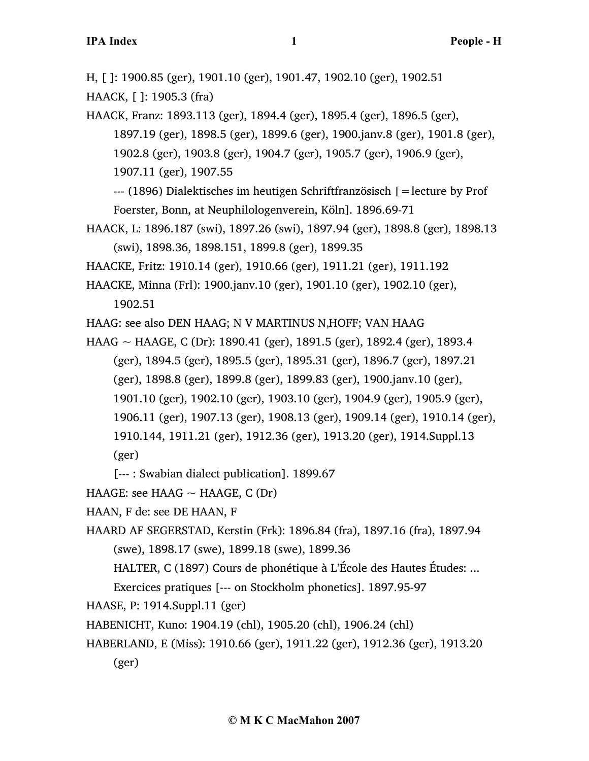H, [ ]: 1900.85 (ger), 1901.10 (ger), 1901.47, 1902.10 (ger), 1902.51

HAACK, [ ]: 1905.3 (fra)

- HAACK, Franz: 1893.113 (ger), 1894.4 (ger), 1895.4 (ger), 1896.5 (ger), 1897.19 (ger), 1898.5 (ger), 1899.6 (ger), 1900.janv.8 (ger), 1901.8 (ger), 1902.8 (ger), 1903.8 (ger), 1904.7 (ger), 1905.7 (ger), 1906.9 (ger), 1907.11 (ger), 1907.55 --- (1896) Dialektisches im heutigen Schriftfranzösisch [=lecture by Prof
	- Foerster, Bonn, at Neuphilologenverein, Köln]. 1896.69-71
- HAACK, L: 1896.187 (swi), 1897.26 (swi), 1897.94 (ger), 1898.8 (ger), 1898.13 (swi), 1898.36, 1898.151, 1899.8 (ger), 1899.35
- HAACKE, Fritz: 1910.14 (ger), 1910.66 (ger), 1911.21 (ger), 1911.192
- HAACKE, Minna (Frl): 1900.janv.10 (ger), 1901.10 (ger), 1902.10 (ger), 1902.51
- HAAG: see also DEN HAAG; N V MARTINUS N, HOFF; VAN HAAG
- HAAG ~ HAAGE, C (Dr): 1890.41 (ger), 1891.5 (ger), 1892.4 (ger), 1893.4 (ger), 1894.5 (ger), 1895.5 (ger), 1895.31 (ger), 1896.7 (ger), 1897.21 (ger), 1898.8 (ger), 1899.8 (ger), 1899.83 (ger), 1900.janv.10 (ger), 1901.10 (ger), 1902.10 (ger), 1903.10 (ger), 1904.9 (ger), 1905.9 (ger), 1906.11 (ger), 1907.13 (ger), 1908.13 (ger), 1909.14 (ger), 1910.14 (ger), 1910.144, 1911.21 (ger), 1912.36 (ger), 1913.20 (ger), 1914.Suppl.13 (ger)
	- [--- : Swabian dialect publication]. 1899.67
- HAAGE: see HAAG  $\sim$  HAAGE, C (Dr)
- HAAN, F de: see DE HAAN, F
- HAARD AF SEGERSTAD, Kerstin (Frk): 1896.84 (fra), 1897.16 (fra), 1897.94 (swe), 1898.17 (swe), 1899.18 (swe), 1899.36
	- HALTER, C (1897) Cours de phonétique à L'École des Hautes Études: ...
	- Exercices pratiques [--- on Stockholm phonetics]. 1897.95-97
- HAASE, P: 1914.Suppl.11 (ger)
- HABENICHT, Kuno: 1904.19 (chl), 1905.20 (chl), 1906.24 (chl)
- HABERLAND, E (Miss): 1910.66 (ger), 1911.22 (ger), 1912.36 (ger), 1913.20 (ger)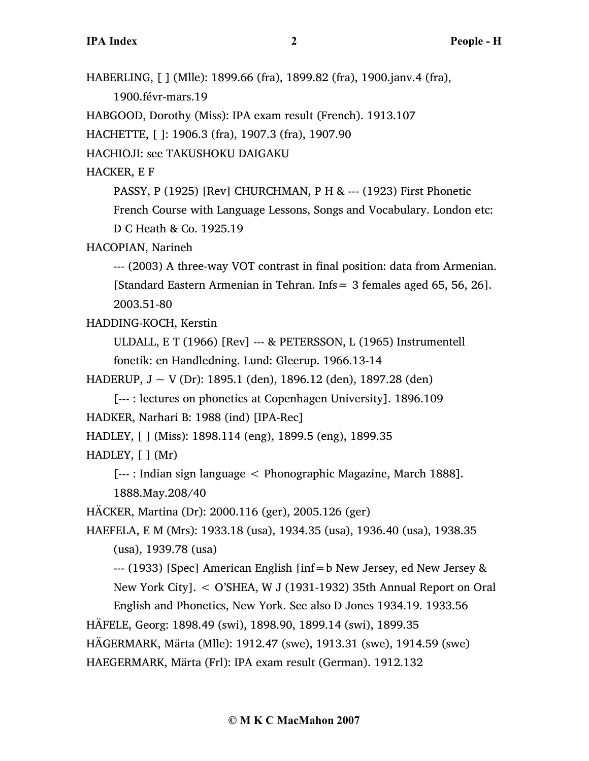HABERLING, [ ] (Mlle): 1899.66 (fra), 1899.82 (fra), 1900.janv.4 (fra), 1900.févr-mars.19 HABGOOD, Dorothy (Miss): IPA exam result (French). 1913.107 HACHETTE, [ ]: 1906.3 (fra), 1907.3 (fra), 1907.90 HACHIOJI: see TAKUSHOKU DAIGAKU HACKER, E F PASSY, P (1925) [Rev] CHURCHMAN, P H & --- (1923) First Phonetic French Course with Language Lessons, Songs and Vocabulary. London etc: D C Heath & Co. 1925.19 HACOPIAN, Narineh --- (2003) A three-way VOT contrast in final position: data from Armenian. [Standard Eastern Armenian in Tehran. Infs= 3 females aged 65, 56, 26]. 2003.51-80 HADDING-KOCH, Kerstin ULDALL, E T (1966) [Rev] --- & PETERSSON, L (1965) Instrumentell fonetik: en Handledning. Lund: Gleerup. 1966.13-14 HADERUP,  $J \sim V$  (Dr): 1895.1 (den), 1896.12 (den), 1897.28 (den) [--- : lectures on phonetics at Copenhagen University]. 1896.109 HADKER, Narhari B: 1988 (ind) [IPA-Rec] HADLEY, [ ] (Miss): 1898.114 (eng), 1899.5 (eng), 1899.35 HADLEY,  $\lceil \cdot \rceil$  (Mr) [--- : Indian sign language < Phonographic Magazine, March 1888]. 1888.May.208/40 HÄCKER, Martina (Dr): 2000.116 (ger), 2005.126 (ger) HAEFELA, E M (Mrs): 1933.18 (usa), 1934.35 (usa), 1936.40 (usa), 1938.35 (usa), 1939.78 (usa)  $-$ -- (1933) [Spec] American English [inf=b New Jersey, ed New Jersey & New York City]. < O'SHEA, W J (1931-1932) 35th Annual Report on Oral English and Phonetics, New York. See also D Jones 1934.19. 1933.56 HÄFELE, Georg: 1898.49 (swi), 1898.90, 1899.14 (swi), 1899.35 HÄGERMARK, Märta (Mlle): 1912.47 (swe), 1913.31 (swe), 1914.59 (swe) HAEGERMARK, Märta (Frl): IPA exam result (German). 1912.132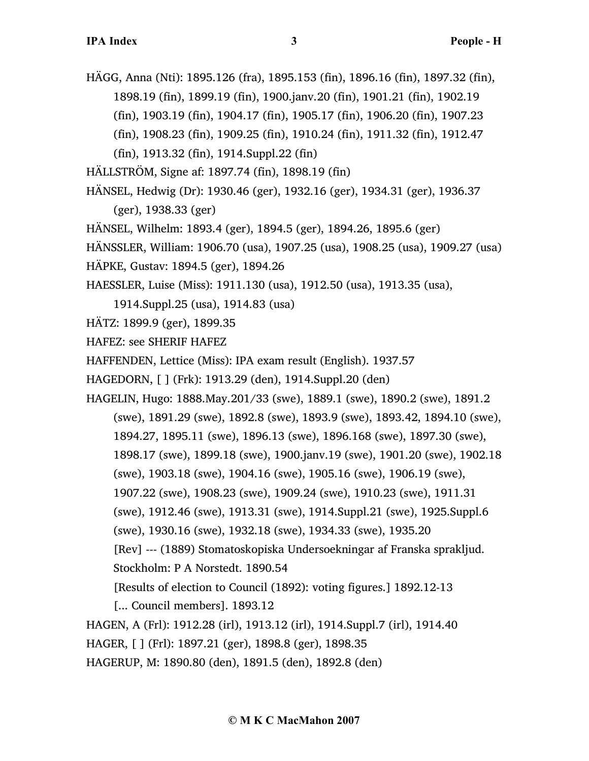HÄGG, Anna (Nti): 1895.126 (fra), 1895.153 (fin), 1896.16 (fin), 1897.32 (fin), 1898.19 (fin), 1899.19 (fin), 1900.janv.20 (fin), 1901.21 (fin), 1902.19 (fin), 1903.19 (fin), 1904.17 (fin), 1905.17 (fin), 1906.20 (fin), 1907.23 (fin), 1908.23 (fin), 1909.25 (fin), 1910.24 (fin), 1911.32 (fin), 1912.47

(fin), 1913.32 (fin), 1914.Suppl.22 (fin)

HÄLLSTRÖM, Signe af: 1897.74 (fin), 1898.19 (fin)

HÄNSEL, Hedwig (Dr): 1930.46 (ger), 1932.16 (ger), 1934.31 (ger), 1936.37

(ger), 1938.33 (ger)

HÄNSEL, Wilhelm: 1893.4 (ger), 1894.5 (ger), 1894.26, 1895.6 (ger)

```
HÄNSSLER, William: 1906.70 (usa), 1907.25 (usa), 1908.25 (usa), 1909.27 (usa)
```
HÄPKE, Gustav: 1894.5 (ger), 1894.26

HAESSLER, Luise (Miss): 1911.130 (usa), 1912.50 (usa), 1913.35 (usa),

1914.Suppl.25 (usa), 1914.83 (usa)

HÄTZ: 1899.9 (ger), 1899.35

HAFEZ: see SHERIF HAFEZ

HAFFENDEN, Lettice (Miss): IPA exam result (English). 1937.57

HAGEDORN, [ ] (Frk): 1913.29 (den), 1914.Suppl.20 (den)

HAGELIN, Hugo: 1888.May.201/33 (swe), 1889.1 (swe), 1890.2 (swe), 1891.2 (swe), 1891.29 (swe), 1892.8 (swe), 1893.9 (swe), 1893.42, 1894.10 (swe), 1894.27, 1895.11 (swe), 1896.13 (swe), 1896.168 (swe), 1897.30 (swe), 1898.17 (swe), 1899.18 (swe), 1900.janv.19 (swe), 1901.20 (swe), 1902.18 (swe), 1903.18 (swe), 1904.16 (swe), 1905.16 (swe), 1906.19 (swe), 1907.22 (swe), 1908.23 (swe), 1909.24 (swe), 1910.23 (swe), 1911.31 (swe), 1912.46 (swe), 1913.31 (swe), 1914.Suppl.21 (swe), 1925.Suppl.6 (swe), 1930.16 (swe), 1932.18 (swe), 1934.33 (swe), 1935.20 [Rev] --- (1889) Stomatoskopiska Undersoekningar af Franska sprakljud. Stockholm: P A Norstedt. 1890.54 [Results of election to Council (1892): voting figures.] 1892.12-13 [... Council members]. 1893.12

HAGEN, A (Frl): 1912.28 (irl), 1913.12 (irl), 1914.Suppl.7 (irl), 1914.40

HAGER, [ ] (Frl): 1897.21 (ger), 1898.8 (ger), 1898.35

HAGERUP, M: 1890.80 (den), 1891.5 (den), 1892.8 (den)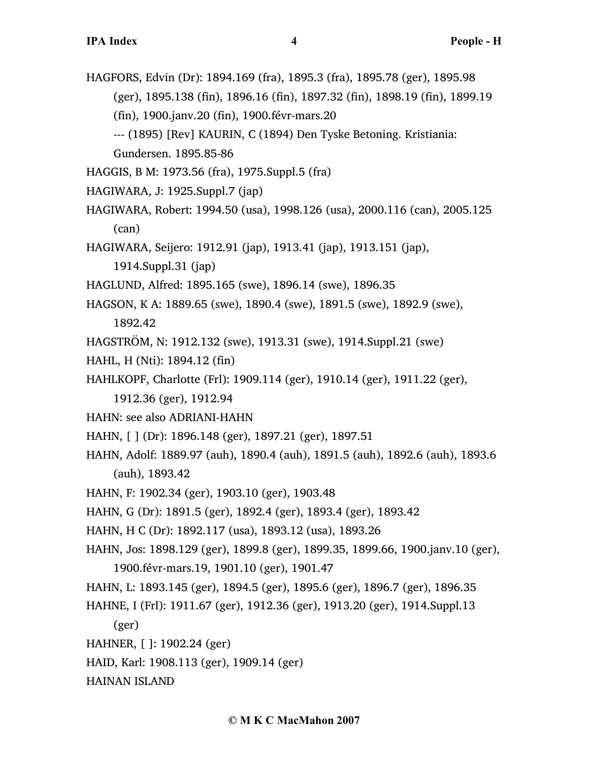HAGFORS, Edvin (Dr): 1894.169 (fra), 1895.3 (fra), 1895.78 (ger), 1895.98 (ger), 1895.138 (fin), 1896.16 (fin), 1897.32 (fin), 1898.19 (fin), 1899.19 (fin), 1900.janv.20 (fin), 1900.févr-mars.20 --- (1895) [Rev] KAURIN, C (1894) Den Tyske Betoning. Kristiania:

Gundersen. 1895.85-86

- HAGGIS, B M: 1973.56 (fra), 1975.Suppl.5 (fra)
- HAGIWARA, J: 1925.Suppl.7 (jap)
- HAGIWARA, Robert: 1994.50 (usa), 1998.126 (usa), 2000.116 (can), 2005.125 (can)
- HAGIWARA, Seijero: 1912.91 (jap), 1913.41 (jap), 1913.151 (jap),

1914.Suppl.31 (jap)

- HAGLUND, Alfred: 1895.165 (swe), 1896.14 (swe), 1896.35
- HAGSON, K A: 1889.65 (swe), 1890.4 (swe), 1891.5 (swe), 1892.9 (swe), 1892.42
- HAGSTRÖM, N: 1912.132 (swe), 1913.31 (swe), 1914.Suppl.21 (swe)
- HAHL, H (Nti): 1894.12 (fin)
- HAHLKOPF, Charlotte (Frl): 1909.114 (ger), 1910.14 (ger), 1911.22 (ger),
	- 1912.36 (ger), 1912.94
- HAHN: see also ADRIANI-HAHN
- HAHN, [ ] (Dr): 1896.148 (ger), 1897.21 (ger), 1897.51
- HAHN, Adolf: 1889.97 (auh), 1890.4 (auh), 1891.5 (auh), 1892.6 (auh), 1893.6 (auh), 1893.42
- HAHN, F: 1902.34 (ger), 1903.10 (ger), 1903.48
- HAHN, G (Dr): 1891.5 (ger), 1892.4 (ger), 1893.4 (ger), 1893.42
- HAHN, H C (Dr): 1892.117 (usa), 1893.12 (usa), 1893.26
- HAHN, Jos: 1898.129 (ger), 1899.8 (ger), 1899.35, 1899.66, 1900.janv.10 (ger), 1900.févr-mars.19, 1901.10 (ger), 1901.47
- HAHN, L: 1893.145 (ger), 1894.5 (ger), 1895.6 (ger), 1896.7 (ger), 1896.35
- HAHNE, I (Frl): 1911.67 (ger), 1912.36 (ger), 1913.20 (ger), 1914.Suppl.13
	- (ger)
- HAHNER, [ ]: 1902.24 (ger)
- HAID, Karl: 1908.113 (ger), 1909.14 (ger)

HAINAN ISLAND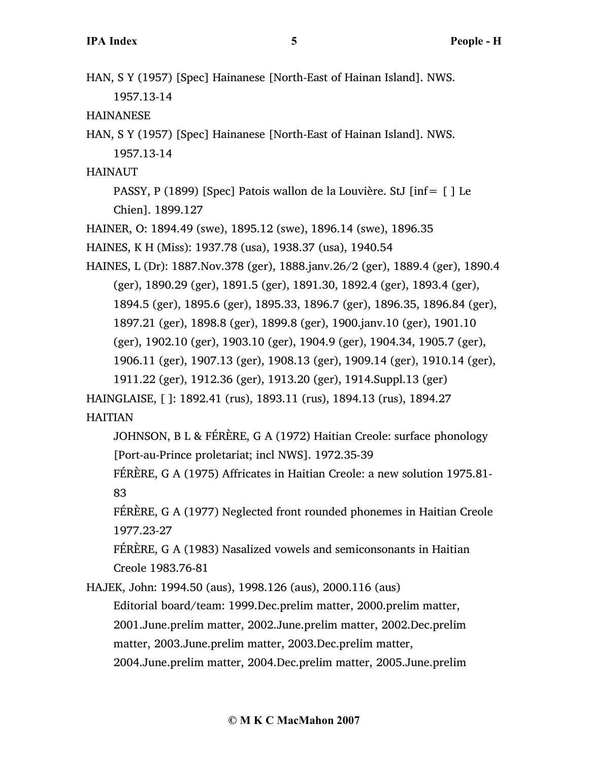HAN, S Y (1957) [Spec] Hainanese [North-East of Hainan Island]. NWS. 1957.13-14

HAINANESE

HAN, S Y (1957) [Spec] Hainanese [North-East of Hainan Island]. NWS. 1957.13-14

HAINAUT

PASSY, P (1899) [Spec] Patois wallon de la Louvière. StJ [inf= [ ] Le Chien]. 1899.127

HAINER, O: 1894.49 (swe), 1895.12 (swe), 1896.14 (swe), 1896.35

HAINES, K H (Miss): 1937.78 (usa), 1938.37 (usa), 1940.54

HAINES, L (Dr): 1887.Nov.378 (ger), 1888.janv.26/2 (ger), 1889.4 (ger), 1890.4 (ger), 1890.29 (ger), 1891.5 (ger), 1891.30, 1892.4 (ger), 1893.4 (ger), 1894.5 (ger), 1895.6 (ger), 1895.33, 1896.7 (ger), 1896.35, 1896.84 (ger), 1897.21 (ger), 1898.8 (ger), 1899.8 (ger), 1900.janv.10 (ger), 1901.10 (ger), 1902.10 (ger), 1903.10 (ger), 1904.9 (ger), 1904.34, 1905.7 (ger), 1906.11 (ger), 1907.13 (ger), 1908.13 (ger), 1909.14 (ger), 1910.14 (ger), 1911.22 (ger), 1912.36 (ger), 1913.20 (ger), 1914.Suppl.13 (ger)

HAINGLAISE, [ ]: 1892.41 (rus), 1893.11 (rus), 1894.13 (rus), 1894.27

HAITIAN

JOHNSON, B L & FÉRÈRE, G A (1972) Haitian Creole: surface phonology [Port-au-Prince proletariat; incl NWS]. 1972.35-39

FÉRÈRE, G A (1975) Affricates in Haitian Creole: a new solution 1975.81- 83

FÉRÈRE, G A (1977) Neglected front rounded phonemes in Haitian Creole 1977.23-27

FÉRÈRE, G A (1983) Nasalized vowels and semiconsonants in Haitian Creole 1983.76-81

HAJEK, John: 1994.50 (aus), 1998.126 (aus), 2000.116 (aus) Editorial board/team: 1999.Dec.prelim matter, 2000.prelim matter, 2001.June.prelim matter, 2002.June.prelim matter, 2002.Dec.prelim matter, 2003.June.prelim matter, 2003.Dec.prelim matter, 2004.June.prelim matter, 2004.Dec.prelim matter, 2005.June.prelim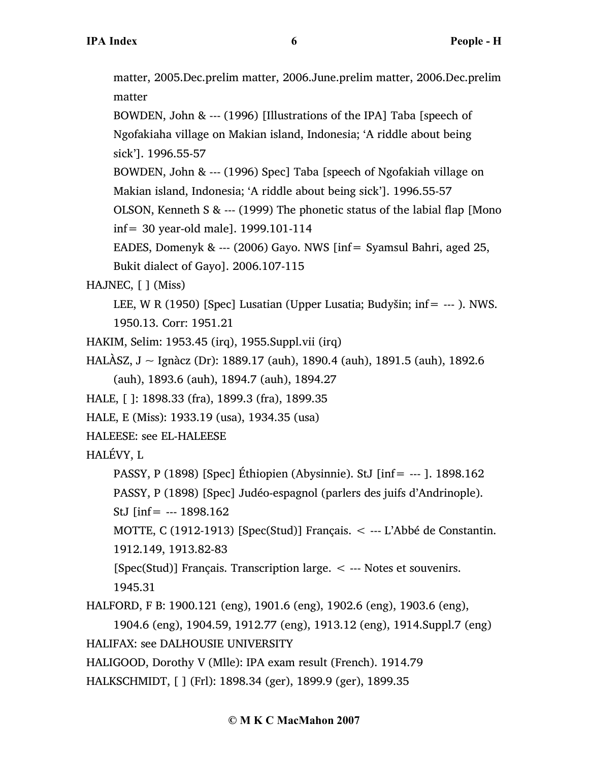matter, 2005.Dec.prelim matter, 2006.June.prelim matter, 2006.Dec.prelim matter

BOWDEN, John & --- (1996) [Illustrations of the IPA] Taba [speech of Ngofakiaha village on Makian island, Indonesia; 'A riddle about being sick']. 1996.55-57

BOWDEN, John & --- (1996) Spec] Taba [speech of Ngofakiah village on Makian island, Indonesia; 'A riddle about being sick']. 1996.55-57

OLSON, Kenneth S & --- (1999) The phonetic status of the labial flap [Mono inf= 30 year-old male]. 1999.101-114

EADES, Domenyk & --- (2006) Gayo. NWS [inf= Syamsul Bahri, aged 25, Bukit dialect of Gayo]. 2006.107-115

HAJNEC, [ ] (Miss)

LEE, W R (1950) [Spec] Lusatian (Upper Lusatia; Budyšin; inf= --- ). NWS. 1950.13. Corr: 1951.21

- HAKIM, Selim: 1953.45 (irq), 1955.Suppl.vii (irq)
- HALÀSZ, J ~ Ignàcz (Dr): 1889.17 (auh), 1890.4 (auh), 1891.5 (auh), 1892.6 (auh), 1893.6 (auh), 1894.7 (auh), 1894.27
- HALE, [ ]: 1898.33 (fra), 1899.3 (fra), 1899.35
- HALE, E (Miss): 1933.19 (usa), 1934.35 (usa)
- HALEESE: see EL-HALEESE

HALÉVY, L

PASSY, P (1898) [Spec] Éthiopien (Abysinnie). StJ [inf= --- ]. 1898.162

PASSY, P (1898) [Spec] Judéo-espagnol (parlers des juifs d'Andrinople).

StJ [inf= --- 1898.162

MOTTE, C (1912-1913) [Spec(Stud)] Français. < --- L'Abbé de Constantin.

1912.149, 1913.82-83

[Spec(Stud)] Français. Transcription large. < --- Notes et souvenirs. 1945.31

HALFORD, F B: 1900.121 (eng), 1901.6 (eng), 1902.6 (eng), 1903.6 (eng),

1904.6 (eng), 1904.59, 1912.77 (eng), 1913.12 (eng), 1914.Suppl.7 (eng) HALIFAX: see DALHOUSIE UNIVERSITY

HALIGOOD, Dorothy V (Mlle): IPA exam result (French). 1914.79

HALKSCHMIDT, [ ] (Frl): 1898.34 (ger), 1899.9 (ger), 1899.35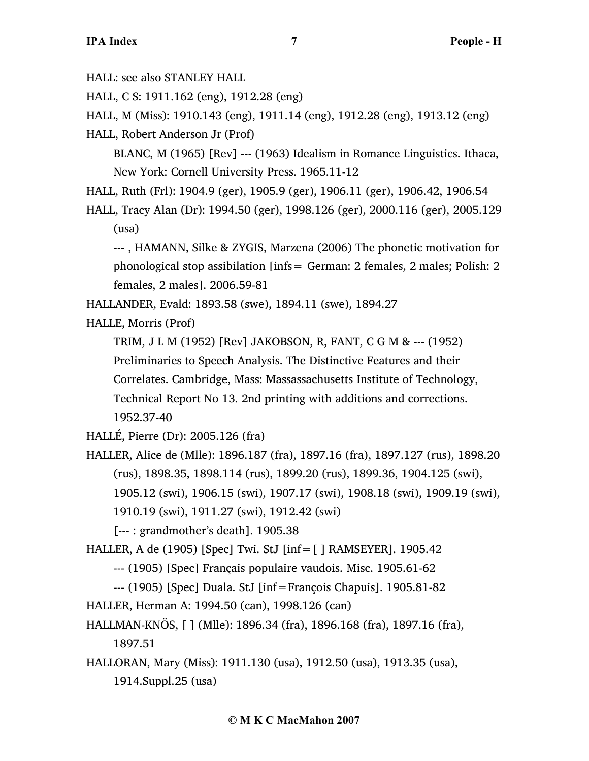HALL: see also STANLEY HALL

HALL, C S: 1911.162 (eng), 1912.28 (eng)

HALL, M (Miss): 1910.143 (eng), 1911.14 (eng), 1912.28 (eng), 1913.12 (eng)

HALL, Robert Anderson Jr (Prof)

BLANC, M (1965) [Rev] --- (1963) Idealism in Romance Linguistics. Ithaca, New York: Cornell University Press. 1965.11-12

HALL, Ruth (Frl): 1904.9 (ger), 1905.9 (ger), 1906.11 (ger), 1906.42, 1906.54

HALL, Tracy Alan (Dr): 1994.50 (ger), 1998.126 (ger), 2000.116 (ger), 2005.129 (usa)

--- , HAMANN, Silke & ZYGIS, Marzena (2006) The phonetic motivation for phonological stop assibilation [infs= German: 2 females, 2 males; Polish: 2 females, 2 males]. 2006.59-81

HALLANDER, Evald: 1893.58 (swe), 1894.11 (swe), 1894.27

HALLE, Morris (Prof)

TRIM, J L M (1952) [Rev] JAKOBSON, R, FANT, C G M & --- (1952) Preliminaries to Speech Analysis. The Distinctive Features and their Correlates. Cambridge, Mass: Massassachusetts Institute of Technology, Technical Report No 13. 2nd printing with additions and corrections. 1952.37-40

HALLÉ, Pierre (Dr): 2005.126 (fra)

HALLER, Alice de (Mlle): 1896.187 (fra), 1897.16 (fra), 1897.127 (rus), 1898.20 (rus), 1898.35, 1898.114 (rus), 1899.20 (rus), 1899.36, 1904.125 (swi), 1905.12 (swi), 1906.15 (swi), 1907.17 (swi), 1908.18 (swi), 1909.19 (swi), 1910.19 (swi), 1911.27 (swi), 1912.42 (swi)

[--- : grandmother's death]. 1905.38

HALLER, A de (1905) [Spec] Twi. StJ [inf=[ ] RAMSEYER]. 1905.42

--- (1905) [Spec] Français populaire vaudois. Misc. 1905.61-62

--- (1905) [Spec] Duala. StJ [inf=François Chapuis]. 1905.81-82

HALLER, Herman A: 1994.50 (can), 1998.126 (can)

HALLMAN-KNÖS, [ ] (Mlle): 1896.34 (fra), 1896.168 (fra), 1897.16 (fra),

1897.51

HALLORAN, Mary (Miss): 1911.130 (usa), 1912.50 (usa), 1913.35 (usa), 1914.Suppl.25 (usa)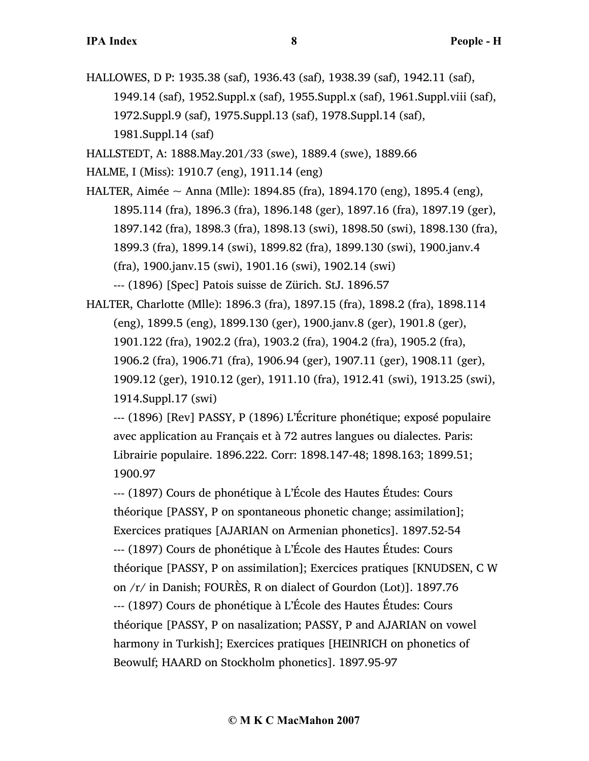HALLOWES, D P: 1935.38 (saf), 1936.43 (saf), 1938.39 (saf), 1942.11 (saf), 1949.14 (saf), 1952.Suppl.x (saf), 1955.Suppl.x (saf), 1961.Suppl.viii (saf), 1972.Suppl.9 (saf), 1975.Suppl.13 (saf), 1978.Suppl.14 (saf), 1981.Suppl.14 (saf)

HALLSTEDT, A: 1888.May.201/33 (swe), 1889.4 (swe), 1889.66

HALME, I (Miss): 1910.7 (eng), 1911.14 (eng)

HALTER, Aimée  $\sim$  Anna (Mlle): 1894.85 (fra), 1894.170 (eng), 1895.4 (eng), 1895.114 (fra), 1896.3 (fra), 1896.148 (ger), 1897.16 (fra), 1897.19 (ger), 1897.142 (fra), 1898.3 (fra), 1898.13 (swi), 1898.50 (swi), 1898.130 (fra), 1899.3 (fra), 1899.14 (swi), 1899.82 (fra), 1899.130 (swi), 1900.janv.4 (fra), 1900.janv.15 (swi), 1901.16 (swi), 1902.14 (swi) --- (1896) [Spec] Patois suisse de Zürich. StJ. 1896.57

HALTER, Charlotte (Mlle): 1896.3 (fra), 1897.15 (fra), 1898.2 (fra), 1898.114 (eng), 1899.5 (eng), 1899.130 (ger), 1900.janv.8 (ger), 1901.8 (ger), 1901.122 (fra), 1902.2 (fra), 1903.2 (fra), 1904.2 (fra), 1905.2 (fra), 1906.2 (fra), 1906.71 (fra), 1906.94 (ger), 1907.11 (ger), 1908.11 (ger), 1909.12 (ger), 1910.12 (ger), 1911.10 (fra), 1912.41 (swi), 1913.25 (swi), 1914.Suppl.17 (swi)

--- (1896) [Rev] PASSY, P (1896) L'Écriture phonétique; exposé populaire avec application au Français et à 72 autres langues ou dialectes. Paris: Librairie populaire. 1896.222. Corr: 1898.147-48; 1898.163; 1899.51; 1900.97

--- (1897) Cours de phonétique à L'École des Hautes Études: Cours théorique [PASSY, P on spontaneous phonetic change; assimilation]; Exercices pratiques [AJARIAN on Armenian phonetics]. 1897.52-54 --- (1897) Cours de phonétique à L'École des Hautes Études: Cours théorique [PASSY, P on assimilation]; Exercices pratiques [KNUDSEN, C W on /r/ in Danish; FOURÈS, R on dialect of Gourdon (Lot)]. 1897.76 --- (1897) Cours de phonétique à L'École des Hautes Études: Cours théorique [PASSY, P on nasalization; PASSY, P and AJARIAN on vowel harmony in Turkish]; Exercices pratiques [HEINRICH on phonetics of Beowulf; HAARD on Stockholm phonetics]. 1897.95-97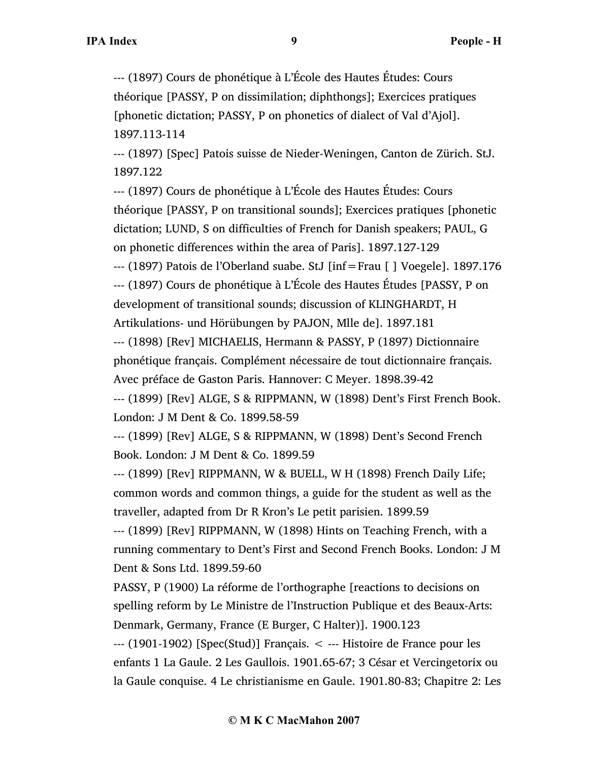--- (1897) Cours de phonétique à L'École des Hautes Études: Cours théorique [PASSY, P on dissimilation; diphthongs]; Exercices pratiques [phonetic dictation; PASSY, P on phonetics of dialect of Val d'Ajol]. 1897.113-114

--- (1897) [Spec] Patois suisse de Nieder-Weningen, Canton de Zürich. StJ. 1897.122

--- (1897) Cours de phonétique à L'École des Hautes Études: Cours théorique [PASSY, P on transitional sounds]; Exercices pratiques [phonetic dictation; LUND, S on difficulties of French for Danish speakers; PAUL, G on phonetic differences within the area of Paris]. 1897.127-129

--- (1897) Patois de l'Oberland suabe. StJ [inf=Frau [ ] Voegele]. 1897.176 --- (1897) Cours de phonétique à L'École des Hautes Études [PASSY, P on development of transitional sounds; discussion of KLINGHARDT, H Artikulations- und Hörübungen by PAJON, Mlle de]. 1897.181

--- (1898) [Rev] MICHAELIS, Hermann & PASSY, P (1897) Dictionnaire phonétique français. Complément nécessaire de tout dictionnaire français. Avec préface de Gaston Paris. Hannover: C Meyer. 1898.39-42

--- (1899) [Rev] ALGE, S & RIPPMANN, W (1898) Dent's First French Book. London: J M Dent & Co. 1899.58-59

--- (1899) [Rev] ALGE, S & RIPPMANN, W (1898) Dent's Second French Book. London: J M Dent & Co. 1899.59

--- (1899) [Rev] RIPPMANN, W & BUELL, W H (1898) French Daily Life; common words and common things, a guide for the student as well as the traveller, adapted from Dr R Kron's Le petit parisien. 1899.59

--- (1899) [Rev] RIPPMANN, W (1898) Hints on Teaching French, with a running commentary to Dent's First and Second French Books. London: J M Dent & Sons Ltd. 1899.59-60

PASSY, P (1900) La réforme de l'orthographe [reactions to decisions on spelling reform by Le Ministre de l'Instruction Publique et des Beaux-Arts: Denmark, Germany, France (E Burger, C Halter)]. 1900.123

--- (1901-1902) [Spec(Stud)] Français. < --- Histoire de France pour les enfants 1 La Gaule. 2 Les Gaullois. 1901.65-67; 3 César et Vercingetorix ou la Gaule conquise. 4 Le christianisme en Gaule. 1901.80-83; Chapitre 2: Les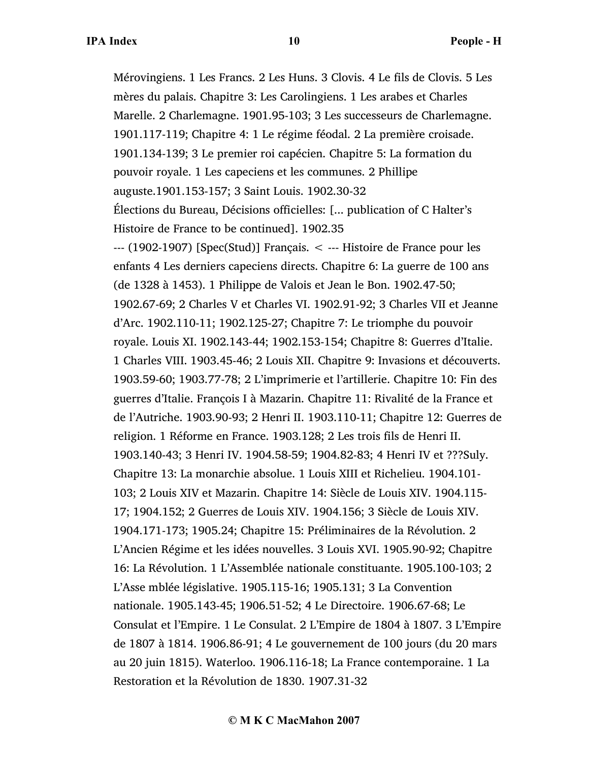Mérovingiens. 1 Les Francs. 2 Les Huns. 3 Clovis. 4 Le fils de Clovis. 5 Les mères du palais. Chapitre 3: Les Carolingiens. 1 Les arabes et Charles Marelle. 2 Charlemagne. 1901.95-103; 3 Les successeurs de Charlemagne. 1901.117-119; Chapitre 4: 1 Le régime féodal. 2 La première croisade. 1901.134-139; 3 Le premier roi capécien. Chapitre 5: La formation du pouvoir royale. 1 Les capeciens et les communes. 2 Phillipe auguste.1901.153-157; 3 Saint Louis. 1902.30-32 Élections du Bureau, Décisions officielles: [... publication of C Halter's Histoire de France to be continued]. 1902.35 --- (1902-1907) [Spec(Stud)] Français. < --- Histoire de France pour les enfants 4 Les derniers capeciens directs. Chapitre 6: La guerre de 100 ans (de 1328 à 1453). 1 Philippe de Valois et Jean le Bon. 1902.47-50; 1902.67-69; 2 Charles V et Charles VI. 1902.91-92; 3 Charles VII et Jeanne d'Arc. 1902.110-11; 1902.125-27; Chapitre 7: Le triomphe du pouvoir royale. Louis XI. 1902.143-44; 1902.153-154; Chapitre 8: Guerres d'Italie. 1 Charles VIII. 1903.45-46; 2 Louis XII. Chapitre 9: Invasions et découverts. 1903.59-60; 1903.77-78; 2 L'imprimerie et l'artillerie. Chapitre 10: Fin des guerres d'Italie. François I à Mazarin. Chapitre 11: Rivalité de la France et de l'Autriche. 1903.90-93; 2 Henri II. 1903.110-11; Chapitre 12: Guerres de religion. 1 Réforme en France. 1903.128; 2 Les trois fils de Henri II. 1903.140-43; 3 Henri IV. 1904.58-59; 1904.82-83; 4 Henri IV et ???Suly. Chapitre 13: La monarchie absolue. 1 Louis XIII et Richelieu. 1904.101- 103; 2 Louis XIV et Mazarin. Chapitre 14: Siècle de Louis XIV. 1904.115- 17; 1904.152; 2 Guerres de Louis XIV. 1904.156; 3 Siècle de Louis XIV. 1904.171-173; 1905.24; Chapitre 15: Préliminaires de la Révolution. 2 L'Ancien Régime et les idées nouvelles. 3 Louis XVI. 1905.90-92; Chapitre 16: La Révolution. 1 L'Assemblée nationale constituante. 1905.100-103; 2 L'Asse mblée législative. 1905.115-16; 1905.131; 3 La Convention nationale. 1905.143-45; 1906.51-52; 4 Le Directoire. 1906.67-68; Le Consulat et l'Empire. 1 Le Consulat. 2 L'Empire de 1804 à 1807. 3 L'Empire de 1807 à 1814. 1906.86-91; 4 Le gouvernement de 100 jours (du 20 mars au 20 juin 1815). Waterloo. 1906.116-18; La France contemporaine. 1 La Restoration et la Révolution de 1830. 1907.31-32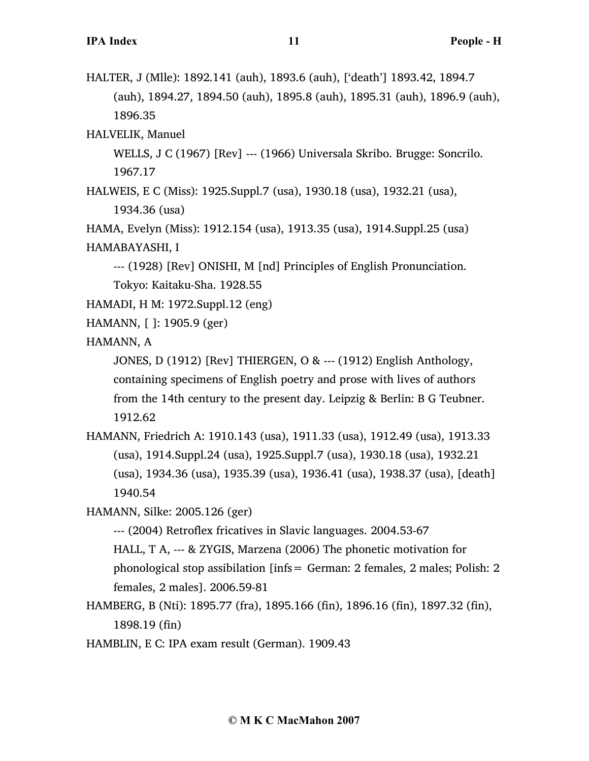- HALTER, J (Mlle): 1892.141 (auh), 1893.6 (auh), ['death'] 1893.42, 1894.7 (auh), 1894.27, 1894.50 (auh), 1895.8 (auh), 1895.31 (auh), 1896.9 (auh), 1896.35
- HALVELIK, Manuel
	- WELLS, J C (1967) [Rev] --- (1966) Universala Skribo. Brugge: Soncrilo. 1967.17
- HALWEIS, E C (Miss): 1925.Suppl.7 (usa), 1930.18 (usa), 1932.21 (usa), 1934.36 (usa)
- HAMA, Evelyn (Miss): 1912.154 (usa), 1913.35 (usa), 1914.Suppl.25 (usa) HAMABAYASHI, I
	- --- (1928) [Rev] ONISHI, M [nd] Principles of English Pronunciation. Tokyo: Kaitaku-Sha. 1928.55
- HAMADI, H M: 1972.Suppl.12 (eng)
- HAMANN, [ ]: 1905.9 (ger)

HAMANN, A

- JONES, D (1912) [Rev] THIERGEN, O & --- (1912) English Anthology, containing specimens of English poetry and prose with lives of authors from the 14th century to the present day. Leipzig & Berlin: B G Teubner. 1912.62
- HAMANN, Friedrich A: 1910.143 (usa), 1911.33 (usa), 1912.49 (usa), 1913.33 (usa), 1914.Suppl.24 (usa), 1925.Suppl.7 (usa), 1930.18 (usa), 1932.21 (usa), 1934.36 (usa), 1935.39 (usa), 1936.41 (usa), 1938.37 (usa), [death] 1940.54
- HAMANN, Silke: 2005.126 (ger)
	- --- (2004) Retroflex fricatives in Slavic languages. 2004.53-67
	- HALL, T A, --- & ZYGIS, Marzena (2006) The phonetic motivation for phonological stop assibilation [infs= German: 2 females, 2 males; Polish: 2 females, 2 males]. 2006.59-81
- HAMBERG, B (Nti): 1895.77 (fra), 1895.166 (fin), 1896.16 (fin), 1897.32 (fin), 1898.19 (fin)
- HAMBLIN, E C: IPA exam result (German). 1909.43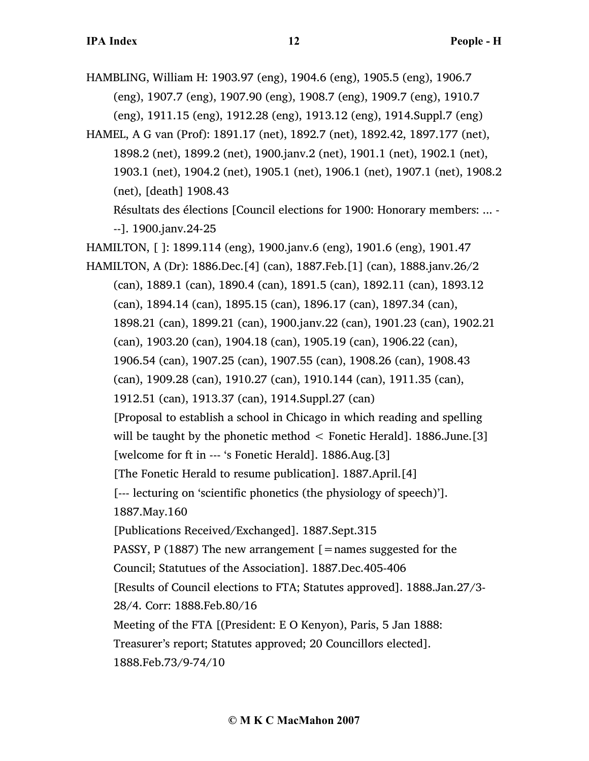HAMBLING, William H: 1903.97 (eng), 1904.6 (eng), 1905.5 (eng), 1906.7 (eng), 1907.7 (eng), 1907.90 (eng), 1908.7 (eng), 1909.7 (eng), 1910.7 (eng), 1911.15 (eng), 1912.28 (eng), 1913.12 (eng), 1914.Suppl.7 (eng)

HAMEL, A G van (Prof): 1891.17 (net), 1892.7 (net), 1892.42, 1897.177 (net), 1898.2 (net), 1899.2 (net), 1900.janv.2 (net), 1901.1 (net), 1902.1 (net), 1903.1 (net), 1904.2 (net), 1905.1 (net), 1906.1 (net), 1907.1 (net), 1908.2 (net), [death] 1908.43 Résultats des élections [Council elections for 1900: Honorary members: ... - --]. 1900.janv.24-25

HAMILTON, [ ]: 1899.114 (eng), 1900.janv.6 (eng), 1901.6 (eng), 1901.47

HAMILTON, A (Dr): 1886.Dec.[4] (can), 1887.Feb.[1] (can), 1888.janv.26/2 (can), 1889.1 (can), 1890.4 (can), 1891.5 (can), 1892.11 (can), 1893.12 (can), 1894.14 (can), 1895.15 (can), 1896.17 (can), 1897.34 (can), 1898.21 (can), 1899.21 (can), 1900.janv.22 (can), 1901.23 (can), 1902.21 (can), 1903.20 (can), 1904.18 (can), 1905.19 (can), 1906.22 (can), 1906.54 (can), 1907.25 (can), 1907.55 (can), 1908.26 (can), 1908.43 (can), 1909.28 (can), 1910.27 (can), 1910.144 (can), 1911.35 (can), 1912.51 (can), 1913.37 (can), 1914.Suppl.27 (can) [Proposal to establish a school in Chicago in which reading and spelling will be taught by the phonetic method  $\leq$  Fonetic Herald]. 1886.June. [3] [welcome for ft in --- 's Fonetic Herald]. 1886.Aug.[3] [The Fonetic Herald to resume publication]. 1887.April.[4] [--- lecturing on 'scientific phonetics (the physiology of speech)']. 1887.May.160 [Publications Received/Exchanged]. 1887.Sept.315 PASSY, P (1887) The new arrangement  $[$  = names suggested for the Council; Statutues of the Association]. 1887.Dec.405-406 [Results of Council elections to FTA; Statutes approved]. 1888.Jan.27/3- 28/4. Corr: 1888.Feb.80/16 Meeting of the FTA [(President: E O Kenyon), Paris, 5 Jan 1888: Treasurer's report; Statutes approved; 20 Councillors elected]. 1888.Feb.73/9-74/10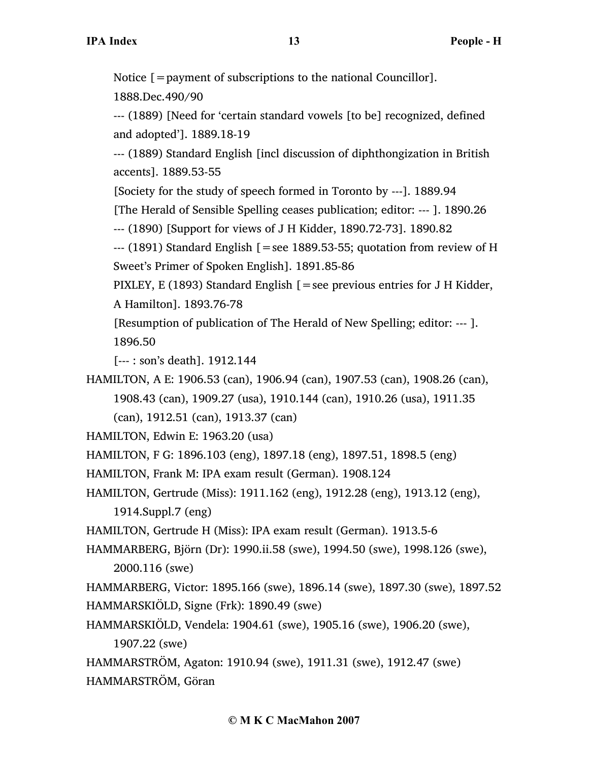Notice [=payment of subscriptions to the national Councillor].

1888.Dec.490/90

--- (1889) [Need for 'certain standard vowels [to be] recognized, defined and adopted']. 1889.18-19

--- (1889) Standard English [incl discussion of diphthongization in British accents]. 1889.53-55

[Society for the study of speech formed in Toronto by ---]. 1889.94

[The Herald of Sensible Spelling ceases publication; editor: --- ]. 1890.26

--- (1890) [Support for views of J H Kidder, 1890.72-73]. 1890.82

 $-$ -- $(1891)$  Standard English [=see 1889.53-55; quotation from review of H Sweet's Primer of Spoken English]. 1891.85-86

PIXLEY, E (1893) Standard English  $[ =$ see previous entries for J H Kidder, A Hamilton]. 1893.76-78

[Resumption of publication of The Herald of New Spelling; editor: --- ]. 1896.50

[--- : son's death]. 1912.144

HAMILTON, A E: 1906.53 (can), 1906.94 (can), 1907.53 (can), 1908.26 (can), 1908.43 (can), 1909.27 (usa), 1910.144 (can), 1910.26 (usa), 1911.35 (can), 1912.51 (can), 1913.37 (can)

HAMILTON, Edwin E: 1963.20 (usa)

HAMILTON, F G: 1896.103 (eng), 1897.18 (eng), 1897.51, 1898.5 (eng)

HAMILTON, Frank M: IPA exam result (German). 1908.124

HAMILTON, Gertrude (Miss): 1911.162 (eng), 1912.28 (eng), 1913.12 (eng),

1914.Suppl.7 (eng)

HAMILTON, Gertrude H (Miss): IPA exam result (German). 1913.5-6

HAMMARBERG, Björn (Dr): 1990.ii.58 (swe), 1994.50 (swe), 1998.126 (swe), 2000.116 (swe)

HAMMARBERG, Victor: 1895.166 (swe), 1896.14 (swe), 1897.30 (swe), 1897.52 HAMMARSKIÖLD, Signe (Frk): 1890.49 (swe)

HAMMARSKIÖLD, Vendela: 1904.61 (swe), 1905.16 (swe), 1906.20 (swe),

1907.22 (swe)

HAMMARSTRÖM, Agaton: 1910.94 (swe), 1911.31 (swe), 1912.47 (swe) HAMMARSTRÖM, Göran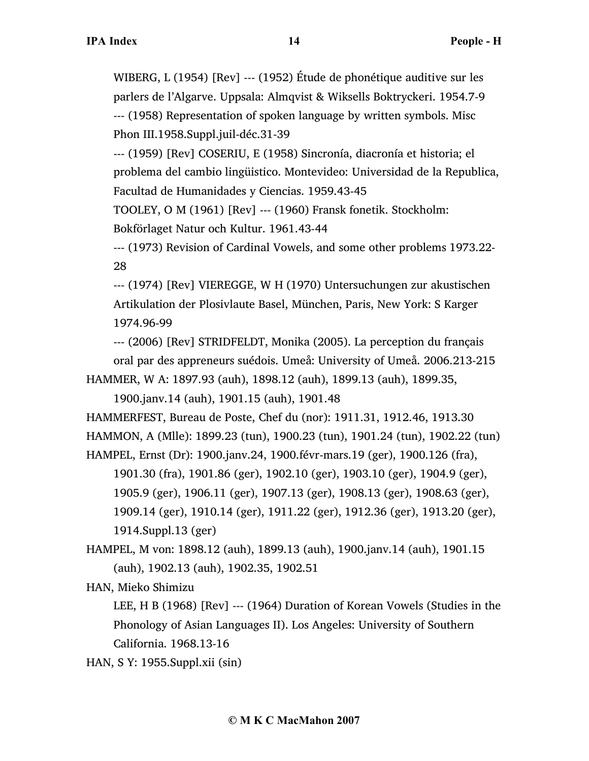WIBERG, L (1954) [Rev] --- (1952) Étude de phonétique auditive sur les parlers de l'Algarve. Uppsala: Almqvist & Wiksells Boktryckeri. 1954.7-9 --- (1958) Representation of spoken language by written symbols. Misc Phon III.1958.Suppl.juil-déc.31-39

--- (1959) [Rev] COSERIU, E (1958) Sincronía, diacronía et historia; el problema del cambio lingüistico. Montevideo: Universidad de la Republica, Facultad de Humanidades y Ciencias. 1959.43-45

TOOLEY, O M (1961) [Rev] --- (1960) Fransk fonetik. Stockholm: Bokförlaget Natur och Kultur. 1961.43-44

--- (1973) Revision of Cardinal Vowels, and some other problems 1973.22- 28

--- (1974) [Rev] VIEREGGE, W H (1970) Untersuchungen zur akustischen Artikulation der Plosivlaute Basel, München, Paris, New York: S Karger 1974.96-99

--- (2006) [Rev] STRIDFELDT, Monika (2005). La perception du français oral par des appreneurs suédois. Umeå: University of Umeå. 2006.213-215

HAMMER, W A: 1897.93 (auh), 1898.12 (auh), 1899.13 (auh), 1899.35,

1900.janv.14 (auh), 1901.15 (auh), 1901.48

HAMMERFEST, Bureau de Poste, Chef du (nor): 1911.31, 1912.46, 1913.30 HAMMON, A (Mlle): 1899.23 (tun), 1900.23 (tun), 1901.24 (tun), 1902.22 (tun)

HAMPEL, Ernst (Dr): 1900.janv.24, 1900.févr-mars.19 (ger), 1900.126 (fra), 1901.30 (fra), 1901.86 (ger), 1902.10 (ger), 1903.10 (ger), 1904.9 (ger), 1905.9 (ger), 1906.11 (ger), 1907.13 (ger), 1908.13 (ger), 1908.63 (ger), 1909.14 (ger), 1910.14 (ger), 1911.22 (ger), 1912.36 (ger), 1913.20 (ger), 1914.Suppl.13 (ger)

HAMPEL, M von: 1898.12 (auh), 1899.13 (auh), 1900.janv.14 (auh), 1901.15 (auh), 1902.13 (auh), 1902.35, 1902.51

HAN, Mieko Shimizu

LEE, H B (1968) [Rev] --- (1964) Duration of Korean Vowels (Studies in the Phonology of Asian Languages II). Los Angeles: University of Southern California. 1968.13-16

HAN, S Y: 1955.Suppl.xii (sin)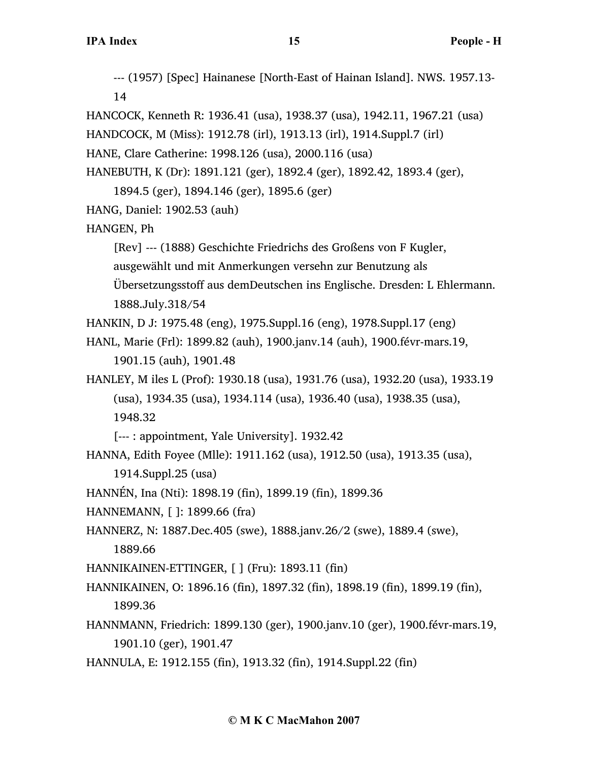--- (1957) [Spec] Hainanese [North-East of Hainan Island]. NWS. 1957.13- 14

HANCOCK, Kenneth R: 1936.41 (usa), 1938.37 (usa), 1942.11, 1967.21 (usa)

HANDCOCK, M (Miss): 1912.78 (irl), 1913.13 (irl), 1914.Suppl.7 (irl)

HANE, Clare Catherine: 1998.126 (usa), 2000.116 (usa)

HANEBUTH, K (Dr): 1891.121 (ger), 1892.4 (ger), 1892.42, 1893.4 (ger),

1894.5 (ger), 1894.146 (ger), 1895.6 (ger)

HANG, Daniel: 1902.53 (auh)

## HANGEN, Ph

[Rev] --- (1888) Geschichte Friedrichs des Großens von F Kugler,

ausgewählt und mit Anmerkungen versehn zur Benutzung als

Übersetzungsstoff aus demDeutschen ins Englische. Dresden: L Ehlermann.

1888.July.318/54

HANKIN, D J: 1975.48 (eng), 1975.Suppl.16 (eng), 1978.Suppl.17 (eng)

HANL, Marie (Frl): 1899.82 (auh), 1900.janv.14 (auh), 1900.févr-mars.19, 1901.15 (auh), 1901.48

HANLEY, M iles L (Prof): 1930.18 (usa), 1931.76 (usa), 1932.20 (usa), 1933.19 (usa), 1934.35 (usa), 1934.114 (usa), 1936.40 (usa), 1938.35 (usa), 1948.32

[--- : appointment, Yale University]. 1932.42

- HANNA, Edith Foyee (Mlle): 1911.162 (usa), 1912.50 (usa), 1913.35 (usa), 1914.Suppl.25 (usa)
- HANNÉN, Ina (Nti): 1898.19 (fin), 1899.19 (fin), 1899.36

HANNEMANN, [ ]: 1899.66 (fra)

HANNERZ, N: 1887.Dec.405 (swe), 1888.janv.26/2 (swe), 1889.4 (swe), 1889.66

HANNIKAINEN-ETTINGER, [ ] (Fru): 1893.11 (fin)

- HANNIKAINEN, O: 1896.16 (fin), 1897.32 (fin), 1898.19 (fin), 1899.19 (fin), 1899.36
- HANNMANN, Friedrich: 1899.130 (ger), 1900.janv.10 (ger), 1900.févr-mars.19, 1901.10 (ger), 1901.47
- HANNULA, E: 1912.155 (fin), 1913.32 (fin), 1914.Suppl.22 (fin)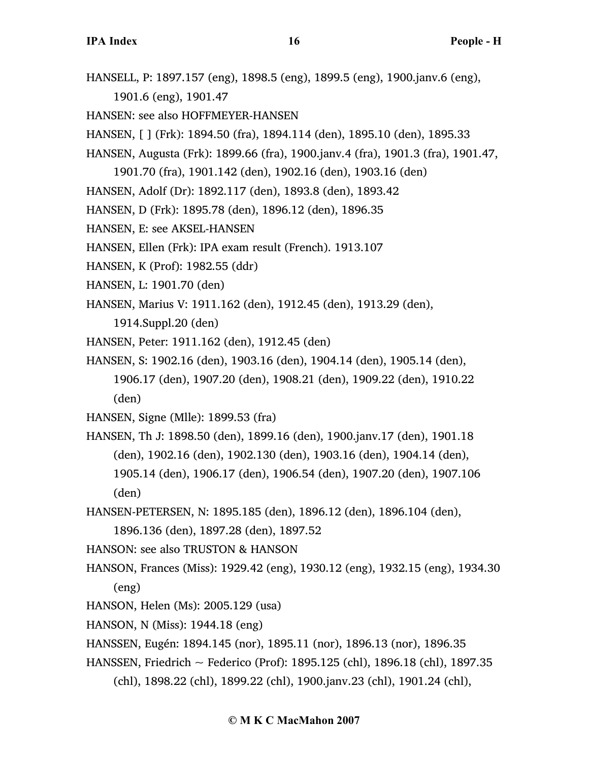HANSELL, P: 1897.157 (eng), 1898.5 (eng), 1899.5 (eng), 1900.janv.6 (eng),

1901.6 (eng), 1901.47

- HANSEN: see also HOFFMEYER-HANSEN
- HANSEN, [ ] (Frk): 1894.50 (fra), 1894.114 (den), 1895.10 (den), 1895.33
- HANSEN, Augusta (Frk): 1899.66 (fra), 1900.janv.4 (fra), 1901.3 (fra), 1901.47,
	- 1901.70 (fra), 1901.142 (den), 1902.16 (den), 1903.16 (den)
- HANSEN, Adolf (Dr): 1892.117 (den), 1893.8 (den), 1893.42
- HANSEN, D (Frk): 1895.78 (den), 1896.12 (den), 1896.35
- HANSEN, E: see AKSEL-HANSEN
- HANSEN, Ellen (Frk): IPA exam result (French). 1913.107
- HANSEN, K (Prof): 1982.55 (ddr)
- HANSEN, L: 1901.70 (den)
- HANSEN, Marius V: 1911.162 (den), 1912.45 (den), 1913.29 (den),
	- 1914.Suppl.20 (den)
- HANSEN, Peter: 1911.162 (den), 1912.45 (den)
- HANSEN, S: 1902.16 (den), 1903.16 (den), 1904.14 (den), 1905.14 (den), 1906.17 (den), 1907.20 (den), 1908.21 (den), 1909.22 (den), 1910.22 (den)
- HANSEN, Signe (Mlle): 1899.53 (fra)
- HANSEN, Th J: 1898.50 (den), 1899.16 (den), 1900.janv.17 (den), 1901.18 (den), 1902.16 (den), 1902.130 (den), 1903.16 (den), 1904.14 (den), 1905.14 (den), 1906.17 (den), 1906.54 (den), 1907.20 (den), 1907.106 (den)
- HANSEN-PETERSEN, N: 1895.185 (den), 1896.12 (den), 1896.104 (den), 1896.136 (den), 1897.28 (den), 1897.52
- HANSON: see also TRUSTON & HANSON
- HANSON, Frances (Miss): 1929.42 (eng), 1930.12 (eng), 1932.15 (eng), 1934.30 (eng)
- HANSON, Helen (Ms): 2005.129 (usa)
- HANSON, N (Miss): 1944.18 (eng)
- HANSSEN, Eugén: 1894.145 (nor), 1895.11 (nor), 1896.13 (nor), 1896.35
- HANSSEN, Friedrich ~ Federico (Prof): 1895.125 (chl), 1896.18 (chl), 1897.35 (chl), 1898.22 (chl), 1899.22 (chl), 1900.janv.23 (chl), 1901.24 (chl),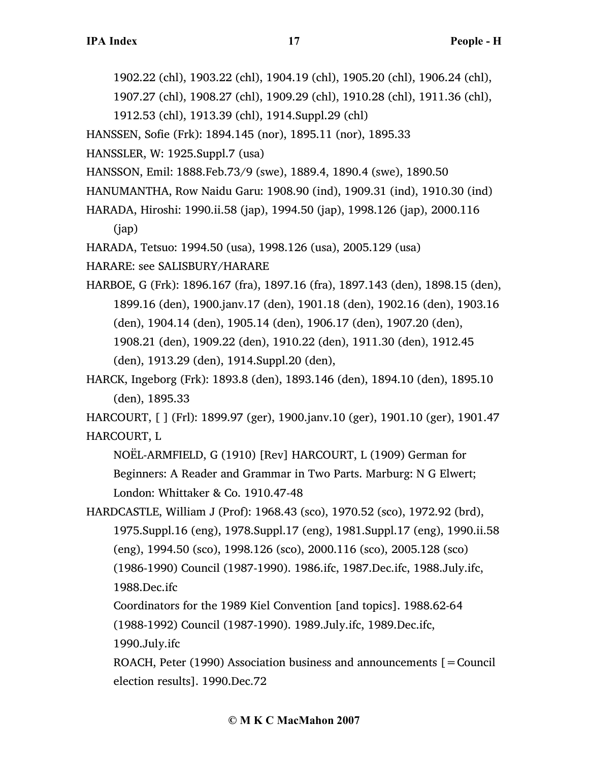1902.22 (chl), 1903.22 (chl), 1904.19 (chl), 1905.20 (chl), 1906.24 (chl),

1907.27 (chl), 1908.27 (chl), 1909.29 (chl), 1910.28 (chl), 1911.36 (chl),

1912.53 (chl), 1913.39 (chl), 1914.Suppl.29 (chl)

HANSSEN, Sofie (Frk): 1894.145 (nor), 1895.11 (nor), 1895.33

HANSSLER, W: 1925.Suppl.7 (usa)

HANSSON, Emil: 1888.Feb.73/9 (swe), 1889.4, 1890.4 (swe), 1890.50

HANUMANTHA, Row Naidu Garu: 1908.90 (ind), 1909.31 (ind), 1910.30 (ind)

HARADA, Hiroshi: 1990.ii.58 (jap), 1994.50 (jap), 1998.126 (jap), 2000.116 (jap)

HARADA, Tetsuo: 1994.50 (usa), 1998.126 (usa), 2005.129 (usa)

HARARE: see SALISBURY/HARARE

HARBOE, G (Frk): 1896.167 (fra), 1897.16 (fra), 1897.143 (den), 1898.15 (den), 1899.16 (den), 1900.janv.17 (den), 1901.18 (den), 1902.16 (den), 1903.16 (den), 1904.14 (den), 1905.14 (den), 1906.17 (den), 1907.20 (den), 1908.21 (den), 1909.22 (den), 1910.22 (den), 1911.30 (den), 1912.45 (den), 1913.29 (den), 1914.Suppl.20 (den),

HARCK, Ingeborg (Frk): 1893.8 (den), 1893.146 (den), 1894.10 (den), 1895.10 (den), 1895.33

HARCOURT, [ ] (Frl): 1899.97 (ger), 1900.janv.10 (ger), 1901.10 (ger), 1901.47 HARCOURT, L

NOËL-ARMFIELD, G (1910) [Rev] HARCOURT, L (1909) German for Beginners: A Reader and Grammar in Two Parts. Marburg: N G Elwert; London: Whittaker & Co. 1910.47-48

HARDCASTLE, William J (Prof): 1968.43 (sco), 1970.52 (sco), 1972.92 (brd), 1975.Suppl.16 (eng), 1978.Suppl.17 (eng), 1981.Suppl.17 (eng), 1990.ii.58 (eng), 1994.50 (sco), 1998.126 (sco), 2000.116 (sco), 2005.128 (sco) (1986-1990) Council (1987-1990). 1986.ifc, 1987.Dec.ifc, 1988.July.ifc, 1988.Dec.ifc

Coordinators for the 1989 Kiel Convention [and topics]. 1988.62-64 (1988-1992) Council (1987-1990). 1989.July.ifc, 1989.Dec.ifc, 1990.July.ifc

ROACH, Peter (1990) Association business and announcements  $\mathbf{r} =$  Council election results]. 1990.Dec.72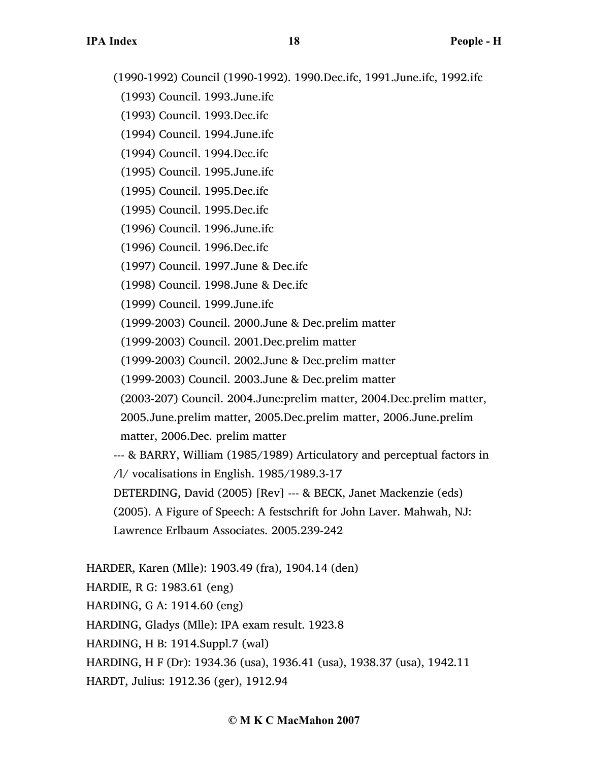(1990-1992) Council (1990-1992). 1990.Dec.ifc, 1991.June.ifc, 1992.ifc

- (1993) Council. 1993.June.ifc
- (1993) Council. 1993.Dec.ifc
- (1994) Council. 1994.June.ifc
- (1994) Council. 1994.Dec.ifc
- (1995) Council. 1995.June.ifc
- (1995) Council. 1995.Dec.ifc
- (1995) Council. 1995.Dec.ifc
- (1996) Council. 1996.June.ifc
- (1996) Council. 1996.Dec.ifc
- (1997) Council. 1997.June & Dec.ifc
- (1998) Council. 1998.June & Dec.ifc
- (1999) Council. 1999.June.ifc
- (1999-2003) Council. 2000.June & Dec.prelim matter
- (1999-2003) Council. 2001.Dec.prelim matter
- (1999-2003) Council. 2002.June & Dec.prelim matter
- (1999-2003) Council. 2003.June & Dec.prelim matter
- (2003-207) Council. 2004.June:prelim matter, 2004.Dec.prelim matter,
- 2005.June.prelim matter, 2005.Dec.prelim matter, 2006.June.prelim matter, 2006.Dec. prelim matter
- --- & BARRY, William (1985/1989) Articulatory and perceptual factors in /l/ vocalisations in English. 1985/1989.3-17
- DETERDING, David (2005) [Rev] --- & BECK, Janet Mackenzie (eds)
- (2005). A Figure of Speech: A festschrift for John Laver. Mahwah, NJ:
- Lawrence Erlbaum Associates. 2005.239-242
- HARDER, Karen (Mlle): 1903.49 (fra), 1904.14 (den) HARDIE, R G: 1983.61 (eng)
- HARDING, G A: 1914.60 (eng)
- HARDING, Gladys (Mlle): IPA exam result. 1923.8
- HARDING, H B: 1914.Suppl.7 (wal)
- HARDING, H F (Dr): 1934.36 (usa), 1936.41 (usa), 1938.37 (usa), 1942.11
- HARDT, Julius: 1912.36 (ger), 1912.94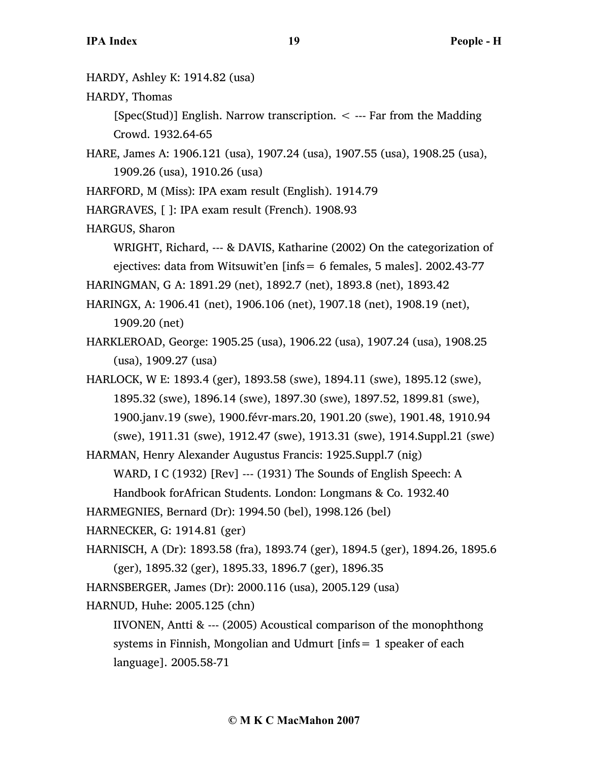- HARDY, Ashley K: 1914.82 (usa)
- HARDY, Thomas

[Spec(Stud)] English. Narrow transcription.  $\lt$  --- Far from the Madding Crowd. 1932.64-65

- HARE, James A: 1906.121 (usa), 1907.24 (usa), 1907.55 (usa), 1908.25 (usa), 1909.26 (usa), 1910.26 (usa)
- HARFORD, M (Miss): IPA exam result (English). 1914.79
- HARGRAVES, [ ]: IPA exam result (French). 1908.93
- HARGUS, Sharon

WRIGHT, Richard, --- & DAVIS, Katharine (2002) On the categorization of ejectives: data from Witsuwit'en [infs= 6 females, 5 males]. 2002.43-77

HARINGMAN, G A: 1891.29 (net), 1892.7 (net), 1893.8 (net), 1893.42

HARINGX, A: 1906.41 (net), 1906.106 (net), 1907.18 (net), 1908.19 (net), 1909.20 (net)

HARKLEROAD, George: 1905.25 (usa), 1906.22 (usa), 1907.24 (usa), 1908.25 (usa), 1909.27 (usa)

HARLOCK, W E: 1893.4 (ger), 1893.58 (swe), 1894.11 (swe), 1895.12 (swe), 1895.32 (swe), 1896.14 (swe), 1897.30 (swe), 1897.52, 1899.81 (swe), 1900.janv.19 (swe), 1900.févr-mars.20, 1901.20 (swe), 1901.48, 1910.94 (swe), 1911.31 (swe), 1912.47 (swe), 1913.31 (swe), 1914.Suppl.21 (swe)

HARMAN, Henry Alexander Augustus Francis: 1925.Suppl.7 (nig)

WARD, I C (1932) [Rev] --- (1931) The Sounds of English Speech: A

Handbook forAfrican Students. London: Longmans & Co. 1932.40

HARMEGNIES, Bernard (Dr): 1994.50 (bel), 1998.126 (bel)

HARNECKER, G: 1914.81 (ger)

HARNISCH, A (Dr): 1893.58 (fra), 1893.74 (ger), 1894.5 (ger), 1894.26, 1895.6 (ger), 1895.32 (ger), 1895.33, 1896.7 (ger), 1896.35

HARNSBERGER, James (Dr): 2000.116 (usa), 2005.129 (usa)

HARNUD, Huhe: 2005.125 (chn)

IIVONEN, Antti & --- (2005) Acoustical comparison of the monophthong systems in Finnish, Mongolian and Udmurt [infs= 1 speaker of each language]. 2005.58-71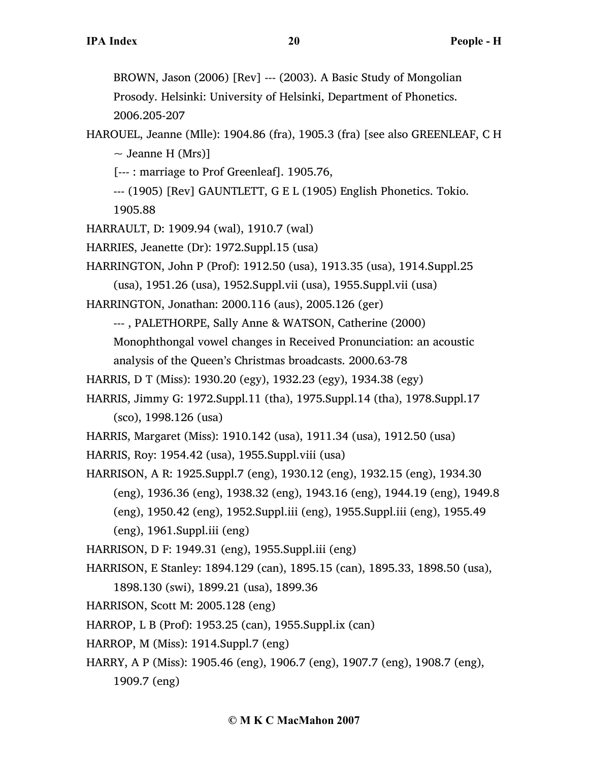BROWN, Jason (2006) [Rev] --- (2003). A Basic Study of Mongolian Prosody. Helsinki: University of Helsinki, Department of Phonetics. 2006.205-207

- HAROUEL, Jeanne (Mlle): 1904.86 (fra), 1905.3 (fra) [see also GREENLEAF, C H  $\sim$  Jeanne H (Mrs)]
	- [--- : marriage to Prof Greenleaf]. 1905.76,
	- --- (1905) [Rev] GAUNTLETT, G E L (1905) English Phonetics. Tokio.
	- 1905.88
- HARRAULT, D: 1909.94 (wal), 1910.7 (wal)
- HARRIES, Jeanette (Dr): 1972.Suppl.15 (usa)
- HARRINGTON, John P (Prof): 1912.50 (usa), 1913.35 (usa), 1914.Suppl.25
	- (usa), 1951.26 (usa), 1952.Suppl.vii (usa), 1955.Suppl.vii (usa)
- HARRINGTON, Jonathan: 2000.116 (aus), 2005.126 (ger)
	- --- , PALETHORPE, Sally Anne & WATSON, Catherine (2000)
	- Monophthongal vowel changes in Received Pronunciation: an acoustic analysis of the Queen's Christmas broadcasts. 2000.63-78
- HARRIS, D T (Miss): 1930.20 (egy), 1932.23 (egy), 1934.38 (egy)
- HARRIS, Jimmy G: 1972.Suppl.11 (tha), 1975.Suppl.14 (tha), 1978.Suppl.17 (sco), 1998.126 (usa)
- HARRIS, Margaret (Miss): 1910.142 (usa), 1911.34 (usa), 1912.50 (usa)
- HARRIS, Roy: 1954.42 (usa), 1955.Suppl.viii (usa)
- HARRISON, A R: 1925.Suppl.7 (eng), 1930.12 (eng), 1932.15 (eng), 1934.30 (eng), 1936.36 (eng), 1938.32 (eng), 1943.16 (eng), 1944.19 (eng), 1949.8 (eng), 1950.42 (eng), 1952.Suppl.iii (eng), 1955.Suppl.iii (eng), 1955.49 (eng), 1961.Suppl.iii (eng)
	-
- HARRISON, D F: 1949.31 (eng), 1955.Suppl.iii (eng)
- HARRISON, E Stanley: 1894.129 (can), 1895.15 (can), 1895.33, 1898.50 (usa), 1898.130 (swi), 1899.21 (usa), 1899.36
- HARRISON, Scott M: 2005.128 (eng)
- HARROP, L B (Prof): 1953.25 (can), 1955.Suppl.ix (can)
- HARROP, M (Miss): 1914.Suppl.7 (eng)
- HARRY, A P (Miss): 1905.46 (eng), 1906.7 (eng), 1907.7 (eng), 1908.7 (eng), 1909.7 (eng)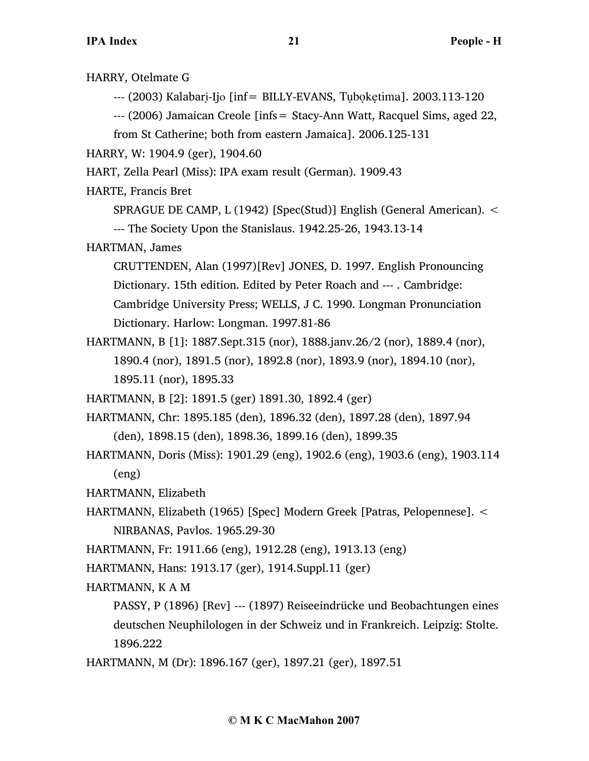HARRY, Otelmate G  $-$ -- $(2003)$  Kalabari-Ijo [inf= BILLY-EVANS, Tuboketima]. 2003.113-120 --- (2006) Jamaican Creole [infs= Stacy-Ann Watt, Racquel Sims, aged 22, from St Catherine; both from eastern Jamaica]. 2006.125-131 HARRY, W: 1904.9 (ger), 1904.60 HART, Zella Pearl (Miss): IPA exam result (German). 1909.43 HARTE, Francis Bret SPRAGUE DE CAMP, L (1942) [Spec(Stud)] English (General American). < --- The Society Upon the Stanislaus. 1942.25-26, 1943.13-14 HARTMAN, James CRUTTENDEN, Alan (1997)[Rev] JONES, D. 1997. English Pronouncing Dictionary. 15th edition. Edited by Peter Roach and --- . Cambridge: Cambridge University Press; WELLS, J C. 1990. Longman Pronunciation Dictionary. Harlow: Longman. 1997.81-86 HARTMANN, B [1]: 1887.Sept.315 (nor), 1888.janv.26/2 (nor), 1889.4 (nor), 1890.4 (nor), 1891.5 (nor), 1892.8 (nor), 1893.9 (nor), 1894.10 (nor), 1895.11 (nor), 1895.33 HARTMANN, B [2]: 1891.5 (ger) 1891.30, 1892.4 (ger) HARTMANN, Chr: 1895.185 (den), 1896.32 (den), 1897.28 (den), 1897.94 (den), 1898.15 (den), 1898.36, 1899.16 (den), 1899.35 HARTMANN, Doris (Miss): 1901.29 (eng), 1902.6 (eng), 1903.6 (eng), 1903.114 (eng) HARTMANN, Elizabeth HARTMANN, Elizabeth (1965) [Spec] Modern Greek [Patras, Pelopennese]. < NIRBANAS, Pavlos. 1965.29-30 HARTMANN, Fr: 1911.66 (eng), 1912.28 (eng), 1913.13 (eng) HARTMANN, Hans: 1913.17 (ger), 1914.Suppl.11 (ger) HARTMANN, K A M PASSY, P (1896) [Rev] --- (1897) Reiseeindrücke und Beobachtungen eines deutschen Neuphilologen in der Schweiz und in Frankreich. Leipzig: Stolte. 1896.222 HARTMANN, M (Dr): 1896.167 (ger), 1897.21 (ger), 1897.51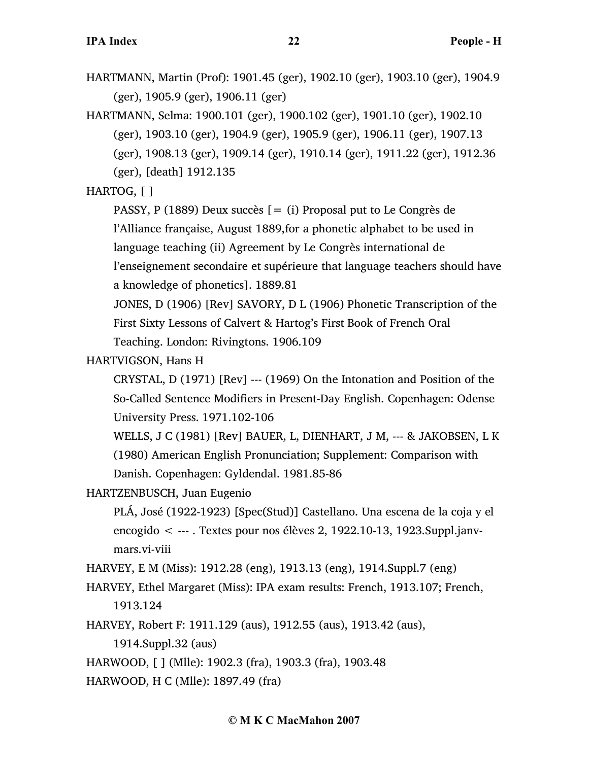- HARTMANN, Martin (Prof): 1901.45 (ger), 1902.10 (ger), 1903.10 (ger), 1904.9 (ger), 1905.9 (ger), 1906.11 (ger)
- HARTMANN, Selma: 1900.101 (ger), 1900.102 (ger), 1901.10 (ger), 1902.10 (ger), 1903.10 (ger), 1904.9 (ger), 1905.9 (ger), 1906.11 (ger), 1907.13 (ger), 1908.13 (ger), 1909.14 (ger), 1910.14 (ger), 1911.22 (ger), 1912.36

(ger), [death] 1912.135

# HARTOG, [ ]

PASSY, P (1889) Deux succès [= (i) Proposal put to Le Congrès de

l'Alliance française, August 1889,for a phonetic alphabet to be used in

language teaching (ii) Agreement by Le Congrès international de

l'enseignement secondaire et supérieure that language teachers should have a knowledge of phonetics]. 1889.81

JONES, D (1906) [Rev] SAVORY, D L (1906) Phonetic Transcription of the First Sixty Lessons of Calvert & Hartog's First Book of French Oral Teaching. London: Rivingtons. 1906.109

HARTVIGSON, Hans H

CRYSTAL, D (1971) [Rev] --- (1969) On the Intonation and Position of the So-Called Sentence Modifiers in Present-Day English. Copenhagen: Odense University Press. 1971.102-106

WELLS, J C (1981) [Rev] BAUER, L, DIENHART, J M, --- & JAKOBSEN, L K (1980) American English Pronunciation; Supplement: Comparison with Danish. Copenhagen: Gyldendal. 1981.85-86

HARTZENBUSCH, Juan Eugenio

PLÁ, José (1922-1923) [Spec(Stud)] Castellano. Una escena de la coja y el encogido < --- . Textes pour nos élèves 2, 1922.10-13, 1923.Suppl.janvmars.vi-viii

HARVEY, E M (Miss): 1912.28 (eng), 1913.13 (eng), 1914.Suppl.7 (eng)

- HARVEY, Ethel Margaret (Miss): IPA exam results: French, 1913.107; French, 1913.124
- HARVEY, Robert F: 1911.129 (aus), 1912.55 (aus), 1913.42 (aus),

1914.Suppl.32 (aus)

HARWOOD, [ ] (Mlle): 1902.3 (fra), 1903.3 (fra), 1903.48

HARWOOD, H C (Mlle): 1897.49 (fra)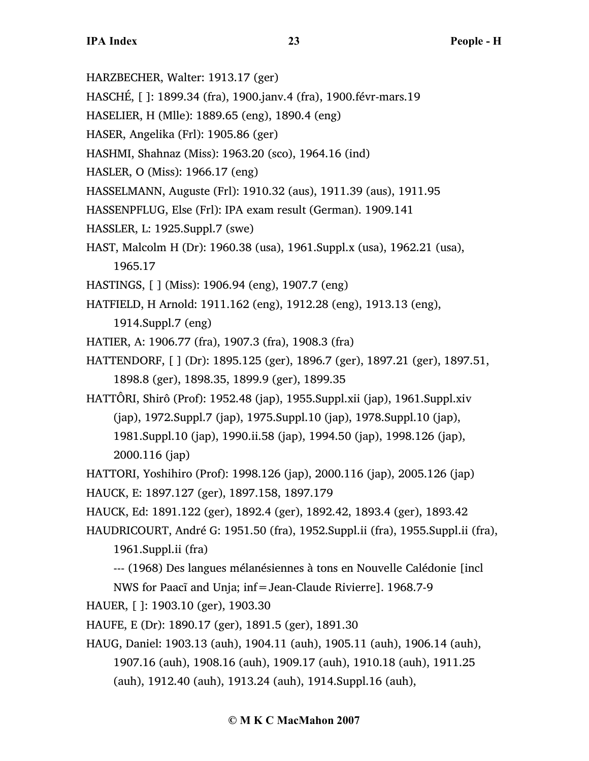- HARZBECHER, Walter: 1913.17 (ger)
- HASCHÉ, [ ]: 1899.34 (fra), 1900.janv.4 (fra), 1900.févr-mars.19
- HASELIER, H (Mlle): 1889.65 (eng), 1890.4 (eng)
- HASER, Angelika (Frl): 1905.86 (ger)
- HASHMI, Shahnaz (Miss): 1963.20 (sco), 1964.16 (ind)
- HASLER, O (Miss): 1966.17 (eng)
- HASSELMANN, Auguste (Frl): 1910.32 (aus), 1911.39 (aus), 1911.95
- HASSENPFLUG, Else (Frl): IPA exam result (German). 1909.141
- HASSLER, L: 1925.Suppl.7 (swe)
- HAST, Malcolm H (Dr): 1960.38 (usa), 1961.Suppl.x (usa), 1962.21 (usa), 1965.17
- HASTINGS, [ ] (Miss): 1906.94 (eng), 1907.7 (eng)
- HATFIELD, H Arnold: 1911.162 (eng), 1912.28 (eng), 1913.13 (eng), 1914.Suppl.7 (eng)
- HATIER, A: 1906.77 (fra), 1907.3 (fra), 1908.3 (fra)
- HATTENDORF, [ ] (Dr): 1895.125 (ger), 1896.7 (ger), 1897.21 (ger), 1897.51, 1898.8 (ger), 1898.35, 1899.9 (ger), 1899.35
- HATTÔRI, Shirô (Prof): 1952.48 (jap), 1955.Suppl.xii (jap), 1961.Suppl.xiv (jap), 1972.Suppl.7 (jap), 1975.Suppl.10 (jap), 1978.Suppl.10 (jap), 1981.Suppl.10 (jap), 1990.ii.58 (jap), 1994.50 (jap), 1998.126 (jap), 2000.116 (jap)
- HATTORI, Yoshihiro (Prof): 1998.126 (jap), 2000.116 (jap), 2005.126 (jap) HAUCK, E: 1897.127 (ger), 1897.158, 1897.179
- HAUCK, Ed: 1891.122 (ger), 1892.4 (ger), 1892.42, 1893.4 (ger), 1893.42
- HAUDRICOURT, André G: 1951.50 (fra), 1952.Suppl.ii (fra), 1955.Suppl.ii (fra),
	- 1961.Suppl.ii (fra)
	- --- (1968) Des langues mélanésiennes à tons en Nouvelle Calédonie [incl
	- NWS for Paacĩ and Unja; inf=Jean-Claude Rivierre]. 1968.7-9
- HAUER, [ ]: 1903.10 (ger), 1903.30
- HAUFE, E (Dr): 1890.17 (ger), 1891.5 (ger), 1891.30
- HAUG, Daniel: 1903.13 (auh), 1904.11 (auh), 1905.11 (auh), 1906.14 (auh), 1907.16 (auh), 1908.16 (auh), 1909.17 (auh), 1910.18 (auh), 1911.25 (auh), 1912.40 (auh), 1913.24 (auh), 1914.Suppl.16 (auh),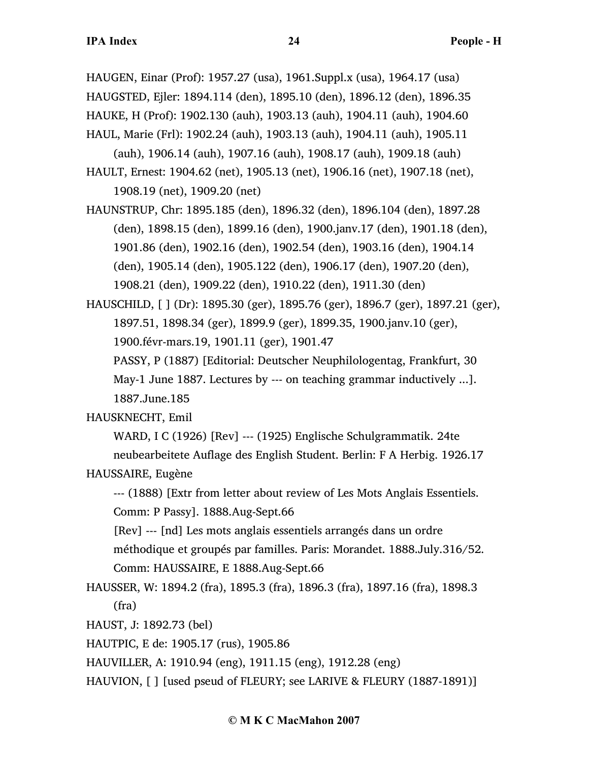HAUGEN, Einar (Prof): 1957.27 (usa), 1961.Suppl.x (usa), 1964.17 (usa) HAUGSTED, Ejler: 1894.114 (den), 1895.10 (den), 1896.12 (den), 1896.35 HAUKE, H (Prof): 1902.130 (auh), 1903.13 (auh), 1904.11 (auh), 1904.60 HAUL, Marie (Frl): 1902.24 (auh), 1903.13 (auh), 1904.11 (auh), 1905.11

(auh), 1906.14 (auh), 1907.16 (auh), 1908.17 (auh), 1909.18 (auh) HAULT, Ernest: 1904.62 (net), 1905.13 (net), 1906.16 (net), 1907.18 (net),

1908.19 (net), 1909.20 (net)

HAUNSTRUP, Chr: 1895.185 (den), 1896.32 (den), 1896.104 (den), 1897.28 (den), 1898.15 (den), 1899.16 (den), 1900.janv.17 (den), 1901.18 (den), 1901.86 (den), 1902.16 (den), 1902.54 (den), 1903.16 (den), 1904.14 (den), 1905.14 (den), 1905.122 (den), 1906.17 (den), 1907.20 (den), 1908.21 (den), 1909.22 (den), 1910.22 (den), 1911.30 (den)

HAUSCHILD, [ ] (Dr): 1895.30 (ger), 1895.76 (ger), 1896.7 (ger), 1897.21 (ger), 1897.51, 1898.34 (ger), 1899.9 (ger), 1899.35, 1900.janv.10 (ger), 1900.févr-mars.19, 1901.11 (ger), 1901.47 PASSY, P (1887) [Editorial: Deutscher Neuphilologentag, Frankfurt, 30

May-1 June 1887. Lectures by --- on teaching grammar inductively ...]. 1887.June.185

## HAUSKNECHT, Emil

WARD, I C (1926) [Rev] --- (1925) Englische Schulgrammatik. 24te neubearbeitete Auflage des English Student. Berlin: F A Herbig. 1926.17 HAUSSAIRE, Eugène

--- (1888) [Extr from letter about review of Les Mots Anglais Essentiels.

Comm: P Passy]. 1888.Aug-Sept.66

[Rev] --- [nd] Les mots anglais essentiels arrangés dans un ordre méthodique et groupés par familles. Paris: Morandet. 1888.July.316/52. Comm: HAUSSAIRE, E 1888.Aug-Sept.66

- HAUSSER, W: 1894.2 (fra), 1895.3 (fra), 1896.3 (fra), 1897.16 (fra), 1898.3 (fra)
- HAUST, J: 1892.73 (bel)
- HAUTPIC, E de: 1905.17 (rus), 1905.86

HAUVILLER, A: 1910.94 (eng), 1911.15 (eng), 1912.28 (eng)

HAUVION, [ ] [used pseud of FLEURY; see LARIVE & FLEURY (1887-1891)]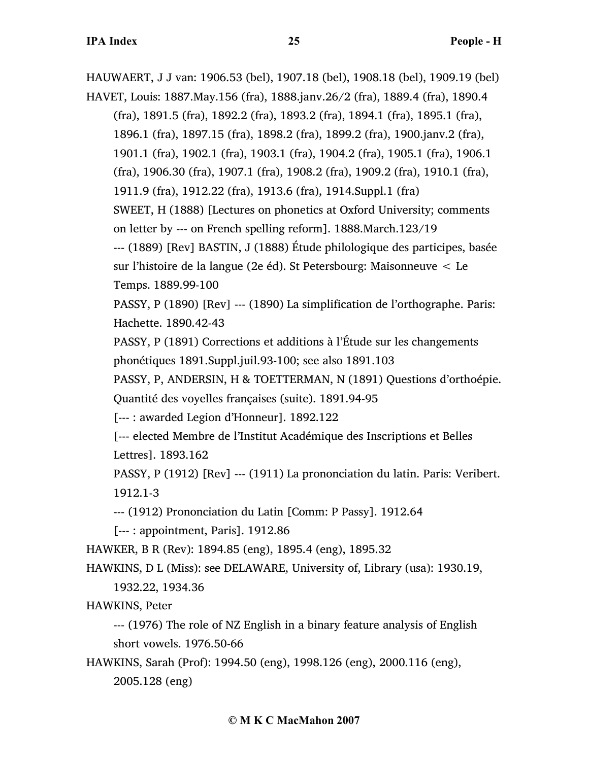HAUWAERT, J J van: 1906.53 (bel), 1907.18 (bel), 1908.18 (bel), 1909.19 (bel) HAVET, Louis: 1887.May.156 (fra), 1888.janv.26/2 (fra), 1889.4 (fra), 1890.4 (fra), 1891.5 (fra), 1892.2 (fra), 1893.2 (fra), 1894.1 (fra), 1895.1 (fra), 1896.1 (fra), 1897.15 (fra), 1898.2 (fra), 1899.2 (fra), 1900.janv.2 (fra), 1901.1 (fra), 1902.1 (fra), 1903.1 (fra), 1904.2 (fra), 1905.1 (fra), 1906.1 (fra), 1906.30 (fra), 1907.1 (fra), 1908.2 (fra), 1909.2 (fra), 1910.1 (fra), 1911.9 (fra), 1912.22 (fra), 1913.6 (fra), 1914.Suppl.1 (fra) SWEET, H (1888) [Lectures on phonetics at Oxford University; comments on letter by --- on French spelling reform]. 1888.March.123/19 --- (1889) [Rev] BASTIN, J (1888) Étude philologique des participes, basée sur l'histoire de la langue (2e éd). St Petersbourg: Maisonneuve < Le Temps. 1889.99-100 PASSY, P (1890) [Rev] --- (1890) La simplification de l'orthographe. Paris: Hachette. 1890.42-43 PASSY, P (1891) Corrections et additions à l'Étude sur les changements phonétiques 1891.Suppl.juil.93-100; see also 1891.103 PASSY, P, ANDERSIN, H & TOETTERMAN, N (1891) Questions d'orthoépie. Quantité des voyelles françaises (suite). 1891.94-95 [--- : awarded Legion d'Honneur]. 1892.122 [--- elected Membre de l'Institut Académique des Inscriptions et Belles Lettres]. 1893.162 PASSY, P (1912) [Rev] --- (1911) La prononciation du latin. Paris: Veribert. 1912.1-3 --- (1912) Prononciation du Latin [Comm: P Passy]. 1912.64 [--- : appointment, Paris]. 1912.86 HAWKER, B R (Rev): 1894.85 (eng), 1895.4 (eng), 1895.32 HAWKINS, D L (Miss): see DELAWARE, University of, Library (usa): 1930.19, 1932.22, 1934.36 HAWKINS, Peter --- (1976) The role of NZ English in a binary feature analysis of English short vowels. 1976.50-66 HAWKINS, Sarah (Prof): 1994.50 (eng), 1998.126 (eng), 2000.116 (eng),

2005.128 (eng)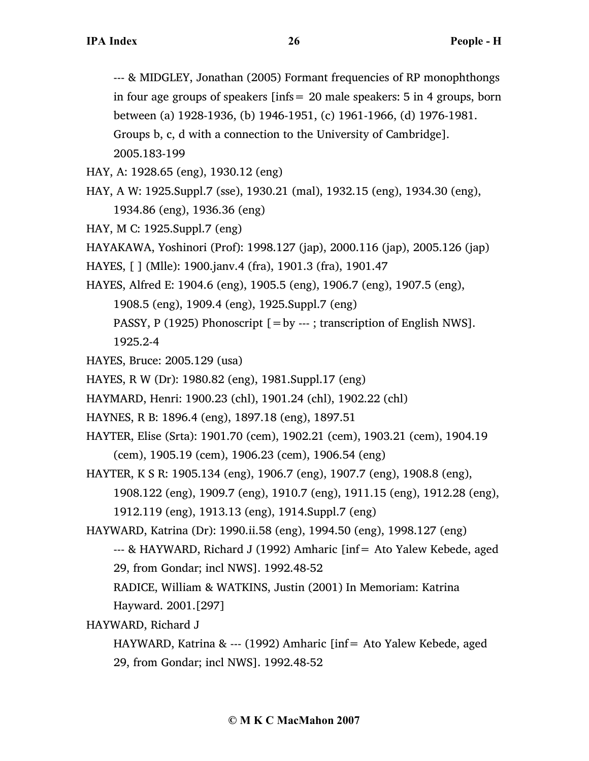--- & MIDGLEY, Jonathan (2005) Formant frequencies of RP monophthongs in four age groups of speakers [infs= 20 male speakers: 5 in 4 groups, born between (a) 1928-1936, (b) 1946-1951, (c) 1961-1966, (d) 1976-1981. Groups b, c, d with a connection to the University of Cambridge]. 2005.183-199

HAY, A: 1928.65 (eng), 1930.12 (eng)

HAY, A W: 1925.Suppl.7 (sse), 1930.21 (mal), 1932.15 (eng), 1934.30 (eng), 1934.86 (eng), 1936.36 (eng)

HAY, M C: 1925.Suppl.7 (eng)

HAYAKAWA, Yoshinori (Prof): 1998.127 (jap), 2000.116 (jap), 2005.126 (jap)

HAYES, [ ] (Mlle): 1900.janv.4 (fra), 1901.3 (fra), 1901.47

HAYES, Alfred E: 1904.6 (eng), 1905.5 (eng), 1906.7 (eng), 1907.5 (eng),

1908.5 (eng), 1909.4 (eng), 1925.Suppl.7 (eng)

PASSY, P (1925) Phonoscript  $[=by -1]$ ; transcription of English NWS].

1925.2-4

HAYES, Bruce: 2005.129 (usa)

HAYES, R W (Dr): 1980.82 (eng), 1981.Suppl.17 (eng)

HAYMARD, Henri: 1900.23 (chl), 1901.24 (chl), 1902.22 (chl)

HAYNES, R B: 1896.4 (eng), 1897.18 (eng), 1897.51

HAYTER, Elise (Srta): 1901.70 (cem), 1902.21 (cem), 1903.21 (cem), 1904.19 (cem), 1905.19 (cem), 1906.23 (cem), 1906.54 (eng)

HAYTER, K S R: 1905.134 (eng), 1906.7 (eng), 1907.7 (eng), 1908.8 (eng), 1908.122 (eng), 1909.7 (eng), 1910.7 (eng), 1911.15 (eng), 1912.28 (eng),

1912.119 (eng), 1913.13 (eng), 1914.Suppl.7 (eng)

HAYWARD, Katrina (Dr): 1990.ii.58 (eng), 1994.50 (eng), 1998.127 (eng)

--- & HAYWARD, Richard J (1992) Amharic [inf= Ato Yalew Kebede, aged 29, from Gondar; incl NWS]. 1992.48-52

RADICE, William & WATKINS, Justin (2001) In Memoriam: Katrina Hayward. 2001.[297]

HAYWARD, Richard J

HAYWARD, Katrina & --- (1992) Amharic [inf= Ato Yalew Kebede, aged 29, from Gondar; incl NWS]. 1992.48-52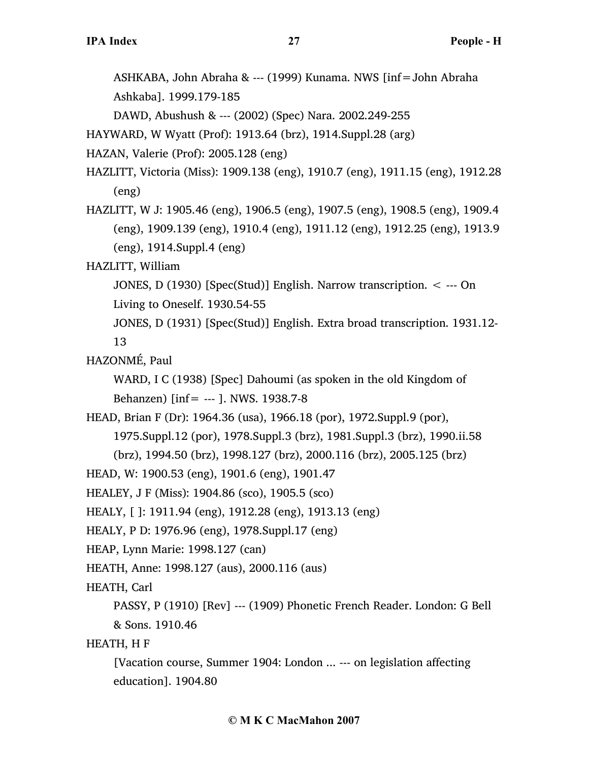ASHKABA, John Abraha & --- (1999) Kunama. NWS [inf=John Abraha Ashkaba]. 1999.179-185

DAWD, Abushush & --- (2002) (Spec) Nara. 2002.249-255

HAYWARD, W Wyatt (Prof): 1913.64 (brz), 1914.Suppl.28 (arg)

HAZAN, Valerie (Prof): 2005.128 (eng)

- HAZLITT, Victoria (Miss): 1909.138 (eng), 1910.7 (eng), 1911.15 (eng), 1912.28 (eng)
- HAZLITT, W J: 1905.46 (eng), 1906.5 (eng), 1907.5 (eng), 1908.5 (eng), 1909.4 (eng), 1909.139 (eng), 1910.4 (eng), 1911.12 (eng), 1912.25 (eng), 1913.9 (eng), 1914.Suppl.4 (eng)
- HAZLITT, William
	- JONES, D (1930) [Spec(Stud)] English. Narrow transcription. < --- On

Living to Oneself. 1930.54-55

JONES, D (1931) [Spec(Stud)] English. Extra broad transcription. 1931.12- 13

HAZONMÉ, Paul

WARD, I C (1938) [Spec] Dahoumi (as spoken in the old Kingdom of Behanzen) [inf= --- ]. NWS. 1938.7-8

HEAD, Brian F (Dr): 1964.36 (usa), 1966.18 (por), 1972.Suppl.9 (por),

1975.Suppl.12 (por), 1978.Suppl.3 (brz), 1981.Suppl.3 (brz), 1990.ii.58

(brz), 1994.50 (brz), 1998.127 (brz), 2000.116 (brz), 2005.125 (brz)

HEAD, W: 1900.53 (eng), 1901.6 (eng), 1901.47

HEALEY, J F (Miss): 1904.86 (sco), 1905.5 (sco)

HEALY, [ ]: 1911.94 (eng), 1912.28 (eng), 1913.13 (eng)

```
HEALY, P D: 1976.96 (eng), 1978.Suppl.17 (eng)
```
HEAP, Lynn Marie: 1998.127 (can)

```
HEATH, Anne: 1998.127 (aus), 2000.116 (aus)
```
HEATH, Carl

PASSY, P (1910) [Rev] --- (1909) Phonetic French Reader. London: G Bell & Sons. 1910.46

HEATH, H F

[Vacation course, Summer 1904: London ... --- on legislation affecting education]. 1904.80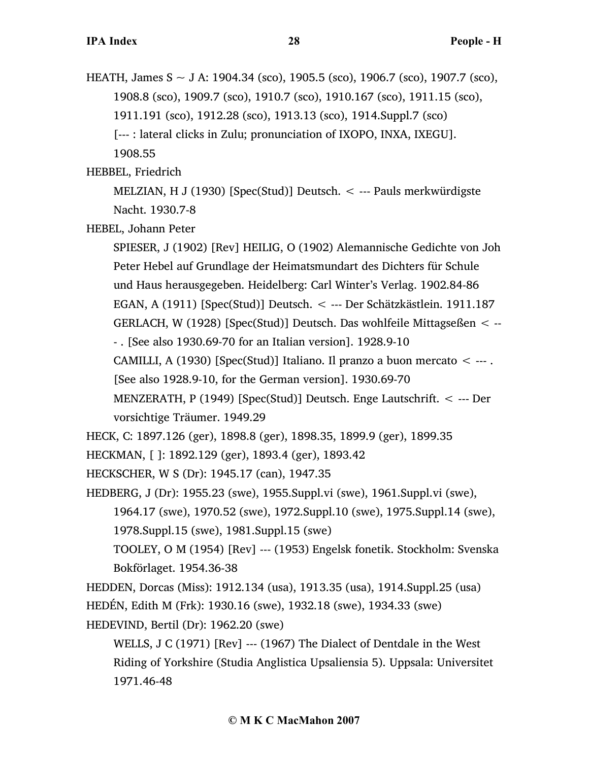HEATH, James S ~ J A: 1904.34 (sco), 1905.5 (sco), 1906.7 (sco), 1907.7 (sco), 1908.8 (sco), 1909.7 (sco), 1910.7 (sco), 1910.167 (sco), 1911.15 (sco), 1911.191 (sco), 1912.28 (sco), 1913.13 (sco), 1914.Suppl.7 (sco) [--- : lateral clicks in Zulu; pronunciation of IXOPO, INXA, IXEGU]. 1908.55

HEBBEL, Friedrich

MELZIAN, H J (1930) [Spec(Stud)] Deutsch. < --- Pauls merkwürdigste Nacht. 1930.7-8

HEBEL, Johann Peter

SPIESER, J (1902) [Rev] HEILIG, O (1902) Alemannische Gedichte von Joh Peter Hebel auf Grundlage der Heimatsmundart des Dichters für Schule und Haus herausgegeben. Heidelberg: Carl Winter's Verlag. 1902.84-86 EGAN, A (1911) [Spec(Stud)] Deutsch. < --- Der Schätzkästlein. 1911.187 GERLACH, W (1928) [Spec(Stud)] Deutsch. Das wohlfeile Mittagseßen < -- - . [See also 1930.69-70 for an Italian version]. 1928.9-10 CAMILLI, A (1930) [Spec(Stud)] Italiano. Il pranzo a buon mercato  $\leq$  ---. [See also 1928.9-10, for the German version]. 1930.69-70 MENZERATH, P (1949) [Spec(Stud)] Deutsch. Enge Lautschrift. < --- Der vorsichtige Träumer. 1949.29

HECK, C: 1897.126 (ger), 1898.8 (ger), 1898.35, 1899.9 (ger), 1899.35

HECKMAN, [ ]: 1892.129 (ger), 1893.4 (ger), 1893.42

HECKSCHER, W S (Dr): 1945.17 (can), 1947.35

HEDBERG, J (Dr): 1955.23 (swe), 1955.Suppl.vi (swe), 1961.Suppl.vi (swe),

1964.17 (swe), 1970.52 (swe), 1972.Suppl.10 (swe), 1975.Suppl.14 (swe), 1978.Suppl.15 (swe), 1981.Suppl.15 (swe)

TOOLEY, O M (1954) [Rev] --- (1953) Engelsk fonetik. Stockholm: Svenska Bokförlaget. 1954.36-38

HEDDEN, Dorcas (Miss): 1912.134 (usa), 1913.35 (usa), 1914.Suppl.25 (usa) HEDÉN, Edith M (Frk): 1930.16 (swe), 1932.18 (swe), 1934.33 (swe) HEDEVIND, Bertil (Dr): 1962.20 (swe)

WELLS, J C (1971) [Rev] --- (1967) The Dialect of Dentdale in the West Riding of Yorkshire (Studia Anglistica Upsaliensia 5). Uppsala: Universitet 1971.46-48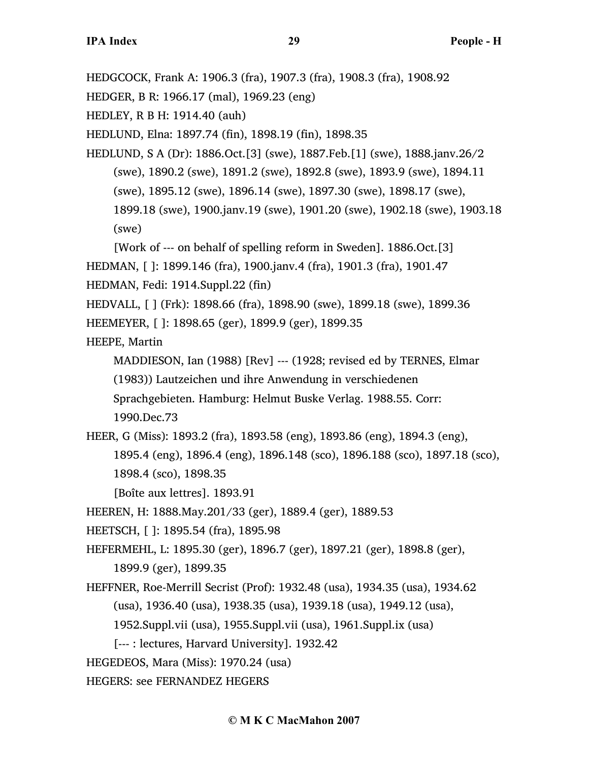HEDGCOCK, Frank A: 1906.3 (fra), 1907.3 (fra), 1908.3 (fra), 1908.92

HEDGER, B R: 1966.17 (mal), 1969.23 (eng)

HEDLEY, R B H: 1914.40 (auh)

HEDLUND, Elna: 1897.74 (fin), 1898.19 (fin), 1898.35

HEDLUND, S A (Dr): 1886.Oct.[3] (swe), 1887.Feb.[1] (swe), 1888.janv.26/2 (swe), 1890.2 (swe), 1891.2 (swe), 1892.8 (swe), 1893.9 (swe), 1894.11 (swe), 1895.12 (swe), 1896.14 (swe), 1897.30 (swe), 1898.17 (swe), 1899.18 (swe), 1900.janv.19 (swe), 1901.20 (swe), 1902.18 (swe), 1903.18 (swe)

[Work of --- on behalf of spelling reform in Sweden]. 1886.Oct.[3]

HEDMAN, [ ]: 1899.146 (fra), 1900.janv.4 (fra), 1901.3 (fra), 1901.47

- HEDMAN, Fedi: 1914.Suppl.22 (fin)
- HEDVALL, [ ] (Frk): 1898.66 (fra), 1898.90 (swe), 1899.18 (swe), 1899.36
- HEEMEYER, [ ]: 1898.65 (ger), 1899.9 (ger), 1899.35

HEEPE, Martin

MADDIESON, Ian (1988) [Rev] --- (1928; revised ed by TERNES, Elmar (1983)) Lautzeichen und ihre Anwendung in verschiedenen Sprachgebieten. Hamburg: Helmut Buske Verlag. 1988.55. Corr: 1990.Dec.73

HEER, G (Miss): 1893.2 (fra), 1893.58 (eng), 1893.86 (eng), 1894.3 (eng), 1895.4 (eng), 1896.4 (eng), 1896.148 (sco), 1896.188 (sco), 1897.18 (sco),

1898.4 (sco), 1898.35

[Boîte aux lettres]. 1893.91

HEEREN, H: 1888.May.201/33 (ger), 1889.4 (ger), 1889.53

HEETSCH, [ ]: 1895.54 (fra), 1895.98

HEFERMEHL, L: 1895.30 (ger), 1896.7 (ger), 1897.21 (ger), 1898.8 (ger), 1899.9 (ger), 1899.35

HEFFNER, Roe-Merrill Secrist (Prof): 1932.48 (usa), 1934.35 (usa), 1934.62 (usa), 1936.40 (usa), 1938.35 (usa), 1939.18 (usa), 1949.12 (usa), 1952.Suppl.vii (usa), 1955.Suppl.vii (usa), 1961.Suppl.ix (usa)

[--- : lectures, Harvard University]. 1932.42

HEGEDEOS, Mara (Miss): 1970.24 (usa)

HEGERS: see FERNANDEZ HEGERS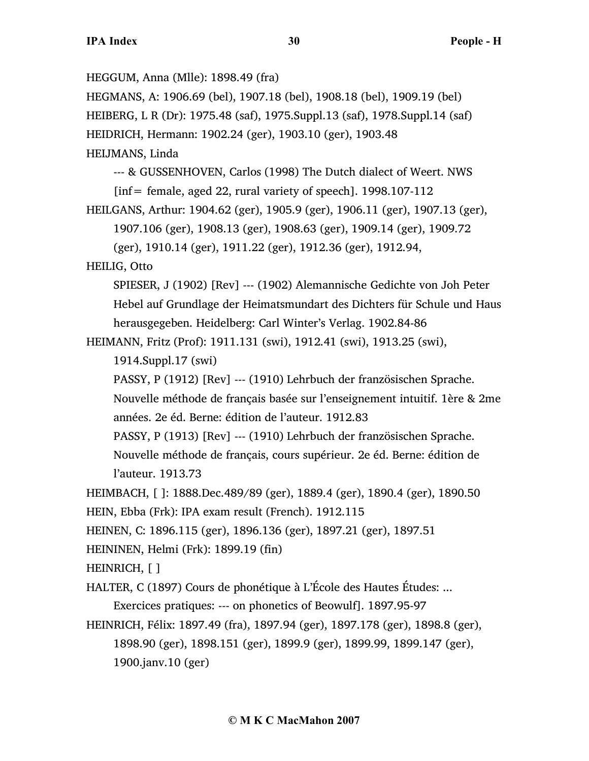HEGGUM, Anna (Mlle): 1898.49 (fra)

HEGMANS, A: 1906.69 (bel), 1907.18 (bel), 1908.18 (bel), 1909.19 (bel)

HEIBERG, L R (Dr): 1975.48 (saf), 1975.Suppl.13 (saf), 1978.Suppl.14 (saf)

HEIDRICH, Hermann: 1902.24 (ger), 1903.10 (ger), 1903.48

HEIJMANS, Linda

--- & GUSSENHOVEN, Carlos (1998) The Dutch dialect of Weert. NWS  $[inf = female, aged 22, rural variety of speech].$  1998.107-112

```
HEILGANS, Arthur: 1904.62 (ger), 1905.9 (ger), 1906.11 (ger), 1907.13 (ger), 
     1907.106 (ger), 1908.13 (ger), 1908.63 (ger), 1909.14 (ger), 1909.72
```
(ger), 1910.14 (ger), 1911.22 (ger), 1912.36 (ger), 1912.94,

HEILIG, Otto

SPIESER, J (1902) [Rev] --- (1902) Alemannische Gedichte von Joh Peter Hebel auf Grundlage der Heimatsmundart des Dichters für Schule und Haus herausgegeben. Heidelberg: Carl Winter's Verlag. 1902.84-86

HEIMANN, Fritz (Prof): 1911.131 (swi), 1912.41 (swi), 1913.25 (swi),

```
1914.Suppl.17 (swi)
```
PASSY, P (1912) [Rev] --- (1910) Lehrbuch der französischen Sprache. Nouvelle méthode de français basée sur l'enseignement intuitif. 1ère & 2me années. 2e éd. Berne: édition de l'auteur. 1912.83

PASSY, P (1913) [Rev] --- (1910) Lehrbuch der französischen Sprache. Nouvelle méthode de français, cours supérieur. 2e éd. Berne: édition de l'auteur. 1913.73

HEIMBACH, [ ]: 1888.Dec.489/89 (ger), 1889.4 (ger), 1890.4 (ger), 1890.50

HEIN, Ebba (Frk): IPA exam result (French). 1912.115

HEINEN, C: 1896.115 (ger), 1896.136 (ger), 1897.21 (ger), 1897.51

HEININEN, Helmi (Frk): 1899.19 (fin)

HEINRICH, [ ]

HALTER, C (1897) Cours de phonétique à L'École des Hautes Études: ... Exercices pratiques: --- on phonetics of Beowulf]. 1897.95-97

HEINRICH, Félix: 1897.49 (fra), 1897.94 (ger), 1897.178 (ger), 1898.8 (ger), 1898.90 (ger), 1898.151 (ger), 1899.9 (ger), 1899.99, 1899.147 (ger), 1900.janv.10 (ger)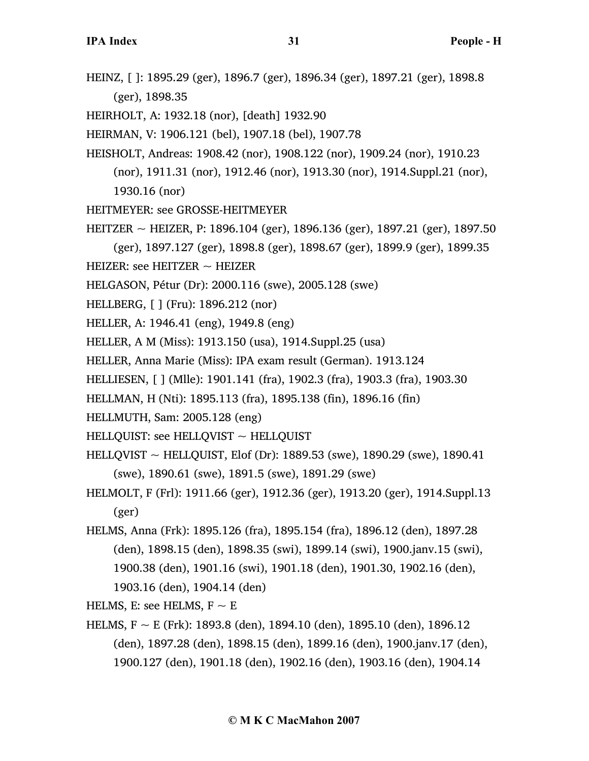HEINZ, [ ]: 1895.29 (ger), 1896.7 (ger), 1896.34 (ger), 1897.21 (ger), 1898.8 (ger), 1898.35

HEIRHOLT, A: 1932.18 (nor), [death] 1932.90

HEIRMAN, V: 1906.121 (bel), 1907.18 (bel), 1907.78

- HEISHOLT, Andreas: 1908.42 (nor), 1908.122 (nor), 1909.24 (nor), 1910.23 (nor), 1911.31 (nor), 1912.46 (nor), 1913.30 (nor), 1914.Suppl.21 (nor), 1930.16 (nor)
- HEITMEYER: see GROSSE-HEITMEYER
- HEITZER ~ HEIZER, P: 1896.104 (ger), 1896.136 (ger), 1897.21 (ger), 1897.50 (ger), 1897.127 (ger), 1898.8 (ger), 1898.67 (ger), 1899.9 (ger), 1899.35

HEIZER: see HEITZER  $\sim$  HEIZER

- HELGASON, Pétur (Dr): 2000.116 (swe), 2005.128 (swe)
- HELLBERG, [ ] (Fru): 1896.212 (nor)
- HELLER, A: 1946.41 (eng), 1949.8 (eng)
- HELLER, A M (Miss): 1913.150 (usa), 1914.Suppl.25 (usa)
- HELLER, Anna Marie (Miss): IPA exam result (German). 1913.124
- HELLIESEN, [ ] (Mlle): 1901.141 (fra), 1902.3 (fra), 1903.3 (fra), 1903.30
- HELLMAN, H (Nti): 1895.113 (fra), 1895.138 (fin), 1896.16 (fin)
- HELLMUTH, Sam: 2005.128 (eng)
- HELLQUIST: see HELLQVIST  $\sim$  HELLQUIST
- HELLQVIST ~ HELLQUIST, Elof (Dr): 1889.53 (swe), 1890.29 (swe), 1890.41 (swe), 1890.61 (swe), 1891.5 (swe), 1891.29 (swe)
- HELMOLT, F (Frl): 1911.66 (ger), 1912.36 (ger), 1913.20 (ger), 1914.Suppl.13 (ger)
- HELMS, Anna (Frk): 1895.126 (fra), 1895.154 (fra), 1896.12 (den), 1897.28 (den), 1898.15 (den), 1898.35 (swi), 1899.14 (swi), 1900.janv.15 (swi), 1900.38 (den), 1901.16 (swi), 1901.18 (den), 1901.30, 1902.16 (den), 1903.16 (den), 1904.14 (den)

HELMS, E: see HELMS,  $F \sim E$ 

HELMS, F  $\sim$  E (Frk): 1893.8 (den), 1894.10 (den), 1895.10 (den), 1896.12 (den), 1897.28 (den), 1898.15 (den), 1899.16 (den), 1900.janv.17 (den), 1900.127 (den), 1901.18 (den), 1902.16 (den), 1903.16 (den), 1904.14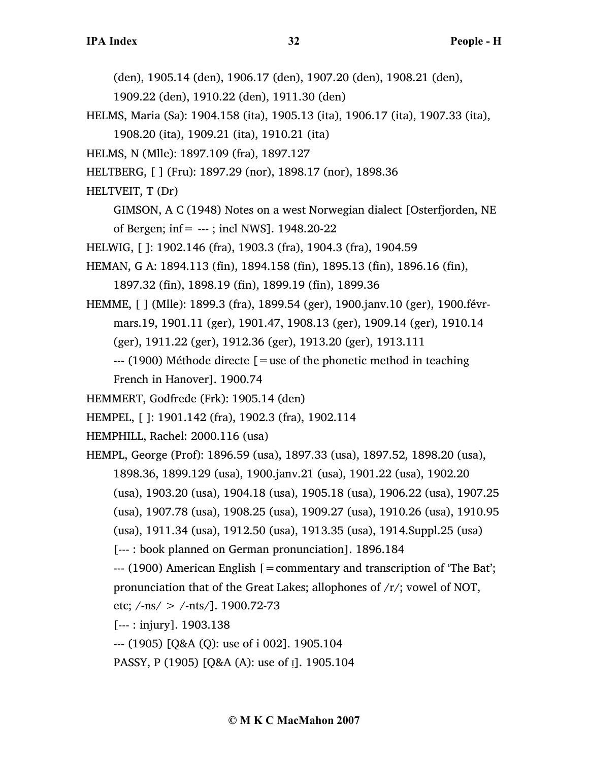(den), 1905.14 (den), 1906.17 (den), 1907.20 (den), 1908.21 (den),

- 1909.22 (den), 1910.22 (den), 1911.30 (den)
- HELMS, Maria (Sa): 1904.158 (ita), 1905.13 (ita), 1906.17 (ita), 1907.33 (ita),

1908.20 (ita), 1909.21 (ita), 1910.21 (ita)

HELMS, N (Mlle): 1897.109 (fra), 1897.127

HELTBERG, [ ] (Fru): 1897.29 (nor), 1898.17 (nor), 1898.36

HELTVEIT, T (Dr)

GIMSON, A C (1948) Notes on a west Norwegian dialect [Osterfjorden, NE of Bergen;  $inf = -1$ ; incl NWS]. 1948.20-22

HELWIG, [ ]: 1902.146 (fra), 1903.3 (fra), 1904.3 (fra), 1904.59

HEMAN, G A: 1894.113 (fin), 1894.158 (fin), 1895.13 (fin), 1896.16 (fin), 1897.32 (fin), 1898.19 (fin), 1899.19 (fin), 1899.36

- HEMME, [ ] (Mlle): 1899.3 (fra), 1899.54 (ger), 1900.janv.10 (ger), 1900.févrmars.19, 1901.11 (ger), 1901.47, 1908.13 (ger), 1909.14 (ger), 1910.14 (ger), 1911.22 (ger), 1912.36 (ger), 1913.20 (ger), 1913.111
	- $-$ --- (1900) Méthode directe  $\mathbf{r} =$  use of the phonetic method in teaching French in Hanover]. 1900.74

HEMMERT, Godfrede (Frk): 1905.14 (den)

- HEMPEL, [ ]: 1901.142 (fra), 1902.3 (fra), 1902.114
- HEMPHILL, Rachel: 2000.116 (usa)
- HEMPL, George (Prof): 1896.59 (usa), 1897.33 (usa), 1897.52, 1898.20 (usa), 1898.36, 1899.129 (usa), 1900.janv.21 (usa), 1901.22 (usa), 1902.20 (usa), 1903.20 (usa), 1904.18 (usa), 1905.18 (usa), 1906.22 (usa), 1907.25 (usa), 1907.78 (usa), 1908.25 (usa), 1909.27 (usa), 1910.26 (usa), 1910.95 (usa), 1911.34 (usa), 1912.50 (usa), 1913.35 (usa), 1914.Suppl.25 (usa)
	- [--- : book planned on German pronunciation]. 1896.184
	- $-$ -- (1900) American English  $=$  commentary and transcription of 'The Bat';
	- pronunciation that of the Great Lakes; allophones of /r/; vowel of NOT,

etc;  $/$ -ns $/$  >  $/$ -nts $/$ ]. 1900.72-73

- [--- : injury]. 1903.138
- --- (1905) [Q&A (Q): use of i 002]. 1905.104
- PASSY, P (1905) [Q&A (A): use of Ị]. 1905.104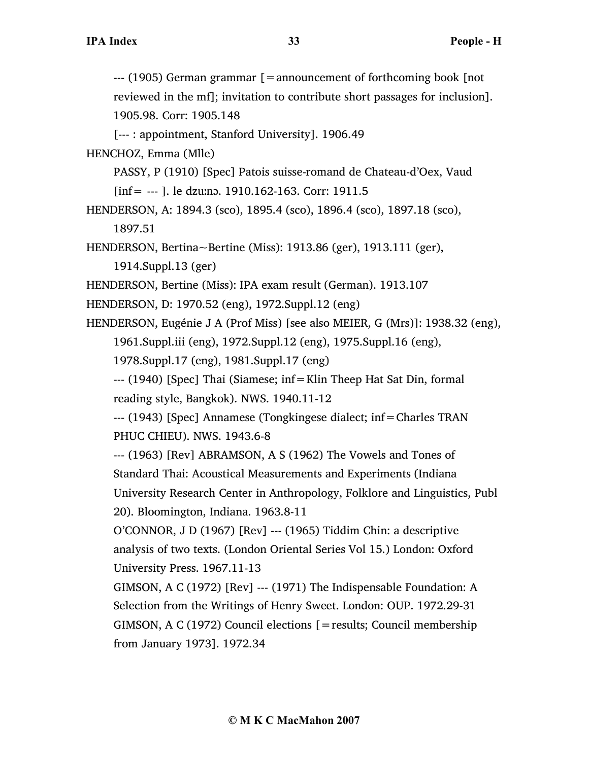--- (1905) German grammar [=announcement of forthcoming book [not reviewed in the mf]; invitation to contribute short passages for inclusion]. 1905.98. Corr: 1905.148

[--- : appointment, Stanford University]. 1906.49

HENCHOZ, Emma (Mlle)

PASSY, P (1910) [Spec] Patois suisse-romand de Chateau-d'Oex, Vaud  $[inf = -1]$ . le dzumo. 1910.162-163. Corr: 1911.5

HENDERSON, A: 1894.3 (sco), 1895.4 (sco), 1896.4 (sco), 1897.18 (sco), 1897.51

HENDERSON, Bertina~Bertine (Miss): 1913.86 (ger), 1913.111 (ger), 1914.Suppl.13 (ger)

HENDERSON, Bertine (Miss): IPA exam result (German). 1913.107

HENDERSON, D: 1970.52 (eng), 1972.Suppl.12 (eng)

HENDERSON, Eugénie J A (Prof Miss) [see also MEIER, G (Mrs)]: 1938.32 (eng), 1961.Suppl.iii (eng), 1972.Suppl.12 (eng), 1975.Suppl.16 (eng), 1978.Suppl.17 (eng), 1981.Suppl.17 (eng)

--- (1940) [Spec] Thai (Siamese; inf=Klin Theep Hat Sat Din, formal reading style, Bangkok). NWS. 1940.11-12

--- (1943) [Spec] Annamese (Tongkingese dialect; inf=Charles TRAN PHUC CHIEU). NWS. 1943.6-8

--- (1963) [Rev] ABRAMSON, A S (1962) The Vowels and Tones of Standard Thai: Acoustical Measurements and Experiments (Indiana University Research Center in Anthropology, Folklore and Linguistics, Publ 20). Bloomington, Indiana. 1963.8-11

O'CONNOR, J D (1967) [Rev] --- (1965) Tiddim Chin: a descriptive analysis of two texts. (London Oriental Series Vol 15.) London: Oxford University Press. 1967.11-13

GIMSON, A C (1972) [Rev] --- (1971) The Indispensable Foundation: A Selection from the Writings of Henry Sweet. London: OUP. 1972.29-31 GIMSON, A C (1972) Council elections [=results; Council membership from January 1973]. 1972.34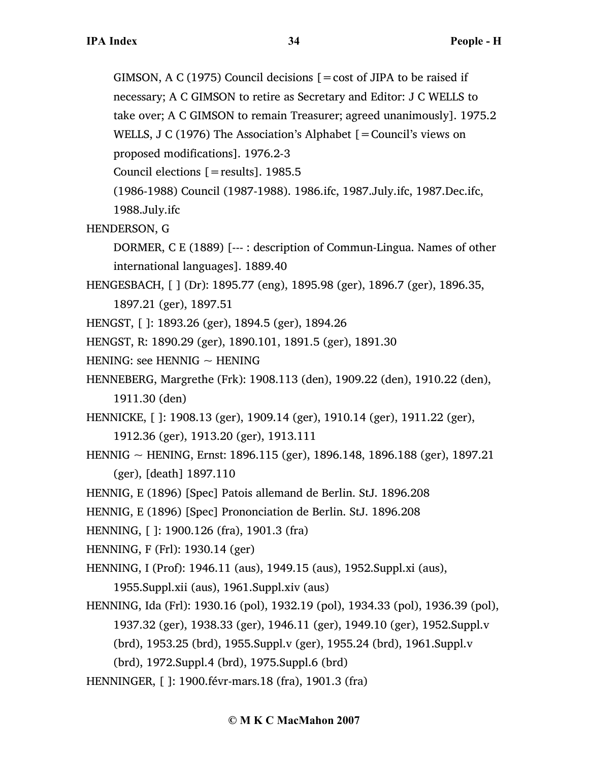GIMSON, A C (1975) Council decisions  $[ = \text{cost of JIPA to be raised if}]$ 

necessary; A C GIMSON to retire as Secretary and Editor: J C WELLS to

take over; A C GIMSON to remain Treasurer; agreed unanimously]. 1975.2

WELLS, J C (1976) The Association's Alphabet  $[=$  Council's views on

proposed modifications]. 1976.2-3

Council elections  $[=$  results]. 1985.5

(1986-1988) Council (1987-1988). 1986.ifc, 1987.July.ifc, 1987.Dec.ifc,

1988.July.ifc

HENDERSON, G

DORMER, C E (1889) [--- : description of Commun-Lingua. Names of other international languages]. 1889.40

HENGESBACH, [ ] (Dr): 1895.77 (eng), 1895.98 (ger), 1896.7 (ger), 1896.35,

1897.21 (ger), 1897.51

HENGST, [ ]: 1893.26 (ger), 1894.5 (ger), 1894.26

HENGST, R: 1890.29 (ger), 1890.101, 1891.5 (ger), 1891.30

HENING: see HENNIG  $\sim$  HENING

HENNEBERG, Margrethe (Frk): 1908.113 (den), 1909.22 (den), 1910.22 (den), 1911.30 (den)

HENNICKE, [ ]: 1908.13 (ger), 1909.14 (ger), 1910.14 (ger), 1911.22 (ger),

1912.36 (ger), 1913.20 (ger), 1913.111

HENNIG ~ HENING, Ernst: 1896.115 (ger), 1896.148, 1896.188 (ger), 1897.21 (ger), [death] 1897.110

HENNIG, E (1896) [Spec] Patois allemand de Berlin. StJ. 1896.208

HENNIG, E (1896) [Spec] Prononciation de Berlin. StJ. 1896.208

HENNING, [ ]: 1900.126 (fra), 1901.3 (fra)

HENNING, F (Frl): 1930.14 (ger)

HENNING, I (Prof): 1946.11 (aus), 1949.15 (aus), 1952.Suppl.xi (aus), 1955.Suppl.xii (aus), 1961.Suppl.xiv (aus)

HENNING, Ida (Frl): 1930.16 (pol), 1932.19 (pol), 1934.33 (pol), 1936.39 (pol), 1937.32 (ger), 1938.33 (ger), 1946.11 (ger), 1949.10 (ger), 1952.Suppl.v

(brd), 1953.25 (brd), 1955.Suppl.v (ger), 1955.24 (brd), 1961.Suppl.v

- (brd), 1972.Suppl.4 (brd), 1975.Suppl.6 (brd)
- HENNINGER, [ ]: 1900.févr-mars.18 (fra), 1901.3 (fra)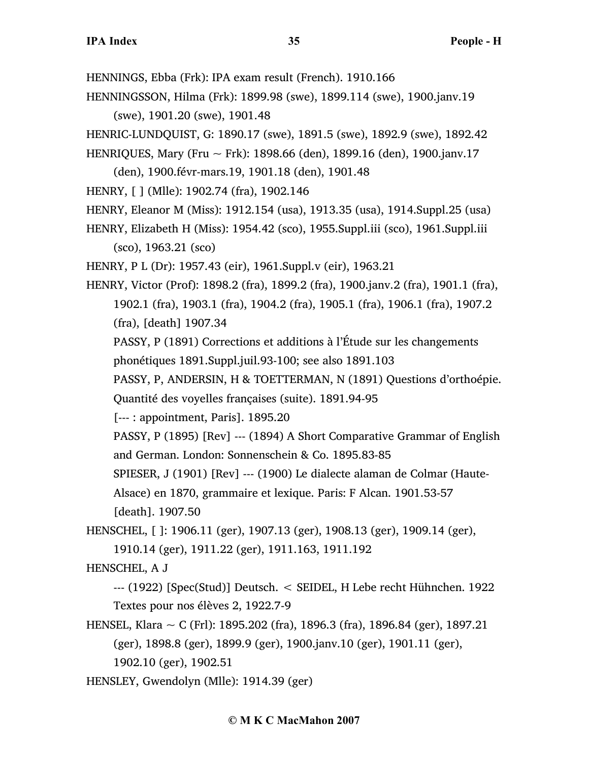HENNINGS, Ebba (Frk): IPA exam result (French). 1910.166

HENNINGSSON, Hilma (Frk): 1899.98 (swe), 1899.114 (swe), 1900.janv.19 (swe), 1901.20 (swe), 1901.48

HENRIC-LUNDQUIST, G: 1890.17 (swe), 1891.5 (swe), 1892.9 (swe), 1892.42

HENRIQUES, Mary (Fru ~ Frk): 1898.66 (den), 1899.16 (den), 1900.janv.17

(den), 1900.févr-mars.19, 1901.18 (den), 1901.48

HENRY, [ ] (Mlle): 1902.74 (fra), 1902.146

HENRY, Eleanor M (Miss): 1912.154 (usa), 1913.35 (usa), 1914.Suppl.25 (usa)

HENRY, Elizabeth H (Miss): 1954.42 (sco), 1955.Suppl.iii (sco), 1961.Suppl.iii (sco), 1963.21 (sco)

HENRY, P L (Dr): 1957.43 (eir), 1961.Suppl.v (eir), 1963.21

HENRY, Victor (Prof): 1898.2 (fra), 1899.2 (fra), 1900.janv.2 (fra), 1901.1 (fra), 1902.1 (fra), 1903.1 (fra), 1904.2 (fra), 1905.1 (fra), 1906.1 (fra), 1907.2 (fra), [death] 1907.34

PASSY, P (1891) Corrections et additions à l'Étude sur les changements phonétiques 1891.Suppl.juil.93-100; see also 1891.103

PASSY, P, ANDERSIN, H & TOETTERMAN, N (1891) Questions d'orthoépie. Quantité des voyelles françaises (suite). 1891.94-95

[--- : appointment, Paris]. 1895.20

PASSY, P (1895) [Rev] --- (1894) A Short Comparative Grammar of English and German. London: Sonnenschein & Co. 1895.83-85

SPIESER, J (1901) [Rev] --- (1900) Le dialecte alaman de Colmar (Haute-

Alsace) en 1870, grammaire et lexique. Paris: F Alcan. 1901.53-57

[death]. 1907.50

HENSCHEL, [ ]: 1906.11 (ger), 1907.13 (ger), 1908.13 (ger), 1909.14 (ger),

1910.14 (ger), 1911.22 (ger), 1911.163, 1911.192

HENSCHEL, A J

--- (1922) [Spec(Stud)] Deutsch. < SEIDEL, H Lebe recht Hühnchen. 1922 Textes pour nos élèves 2, 1922.7-9

HENSEL, Klara ~ C (Frl): 1895.202 (fra), 1896.3 (fra), 1896.84 (ger), 1897.21 (ger), 1898.8 (ger), 1899.9 (ger), 1900.janv.10 (ger), 1901.11 (ger), 1902.10 (ger), 1902.51

HENSLEY, Gwendolyn (Mlle): 1914.39 (ger)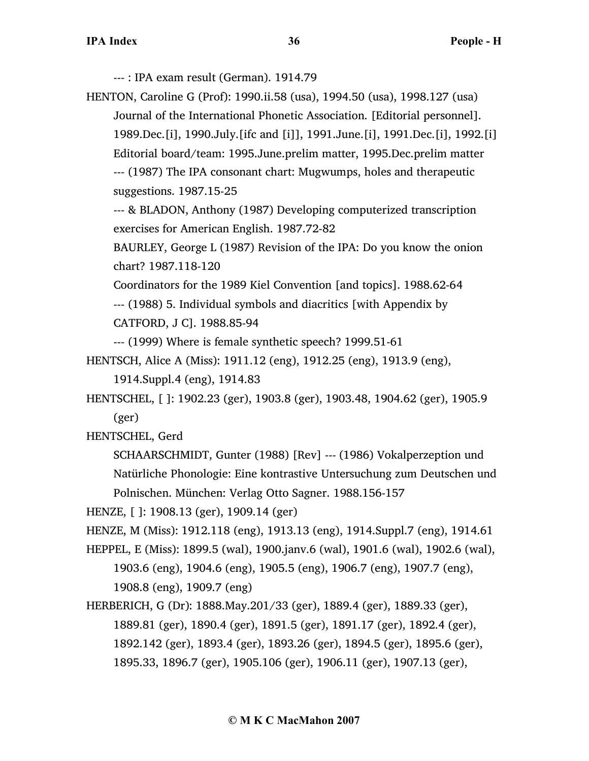--- : IPA exam result (German). 1914.79

HENTON, Caroline G (Prof): 1990.ii.58 (usa), 1994.50 (usa), 1998.127 (usa)

Journal of the International Phonetic Association. [Editorial personnel]. 1989.Dec.[i], 1990.July.[ifc and [i]], 1991.June.[i], 1991.Dec.[i], 1992.[i] Editorial board/team: 1995.June.prelim matter, 1995.Dec.prelim matter --- (1987) The IPA consonant chart: Mugwumps, holes and therapeutic suggestions. 1987.15-25

--- & BLADON, Anthony (1987) Developing computerized transcription exercises for American English. 1987.72-82

BAURLEY, George L (1987) Revision of the IPA: Do you know the onion chart? 1987.118-120

Coordinators for the 1989 Kiel Convention [and topics]. 1988.62-64

--- (1988) 5. Individual symbols and diacritics [with Appendix by CATFORD, J C]. 1988.85-94

--- (1999) Where is female synthetic speech? 1999.51-61

HENTSCH, Alice A (Miss): 1911.12 (eng), 1912.25 (eng), 1913.9 (eng), 1914.Suppl.4 (eng), 1914.83

HENTSCHEL, [ ]: 1902.23 (ger), 1903.8 (ger), 1903.48, 1904.62 (ger), 1905.9 (ger)

HENTSCHEL, Gerd

SCHAARSCHMIDT, Gunter (1988) [Rev] --- (1986) Vokalperzeption und Natürliche Phonologie: Eine kontrastive Untersuchung zum Deutschen und Polnischen. München: Verlag Otto Sagner. 1988.156-157

HENZE, [ ]: 1908.13 (ger), 1909.14 (ger)

HENZE, M (Miss): 1912.118 (eng), 1913.13 (eng), 1914.Suppl.7 (eng), 1914.61

- HEPPEL, E (Miss): 1899.5 (wal), 1900.janv.6 (wal), 1901.6 (wal), 1902.6 (wal), 1903.6 (eng), 1904.6 (eng), 1905.5 (eng), 1906.7 (eng), 1907.7 (eng), 1908.8 (eng), 1909.7 (eng)
- HERBERICH, G (Dr): 1888.May.201/33 (ger), 1889.4 (ger), 1889.33 (ger), 1889.81 (ger), 1890.4 (ger), 1891.5 (ger), 1891.17 (ger), 1892.4 (ger), 1892.142 (ger), 1893.4 (ger), 1893.26 (ger), 1894.5 (ger), 1895.6 (ger), 1895.33, 1896.7 (ger), 1905.106 (ger), 1906.11 (ger), 1907.13 (ger),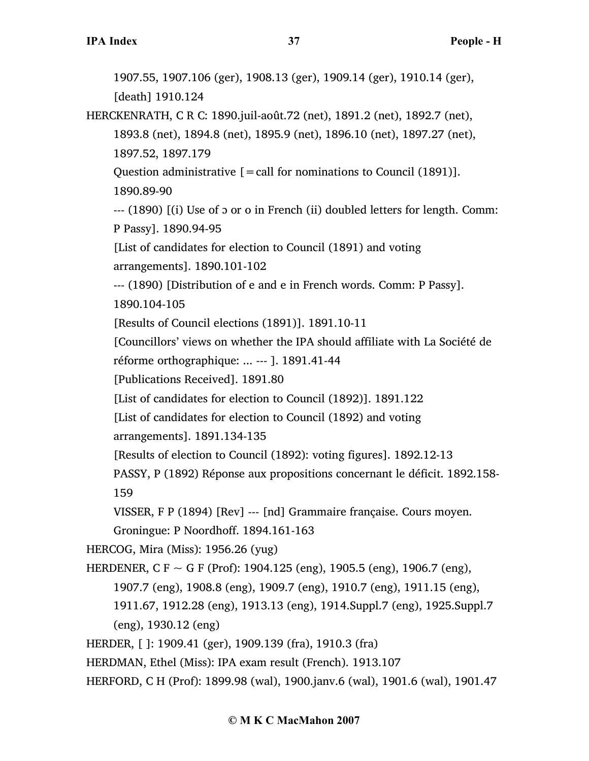1907.55, 1907.106 (ger), 1908.13 (ger), 1909.14 (ger), 1910.14 (ger), [death] 1910.124 HERCKENRATH, C R C: 1890.juil-août.72 (net), 1891.2 (net), 1892.7 (net), 1893.8 (net), 1894.8 (net), 1895.9 (net), 1896.10 (net), 1897.27 (net), 1897.52, 1897.179 Question administrative  $[=$  call for nominations to Council (1891)]. 1890.89-90 --- (1890) [(i) Use of ɔ or o in French (ii) doubled letters for length. Comm: P Passy]. 1890.94-95 [List of candidates for election to Council (1891) and voting arrangements]. 1890.101-102 --- (1890) [Distribution of e and e in French words. Comm: P Passy]. 1890.104-105 [Results of Council elections (1891)]. 1891.10-11 [Councillors' views on whether the IPA should affiliate with La Société de réforme orthographique: ... --- ]. 1891.41-44 [Publications Received]. 1891.80 [List of candidates for election to Council (1892)]. 1891.122 [List of candidates for election to Council (1892) and voting arrangements]. 1891.134-135 [Results of election to Council (1892): voting figures]. 1892.12-13 PASSY, P (1892) Réponse aux propositions concernant le déficit. 1892.158- 159 VISSER, F P (1894) [Rev] --- [nd] Grammaire française. Cours moyen. Groningue: P Noordhoff. 1894.161-163 HERCOG, Mira (Miss): 1956.26 (yug) HERDENER, C F  $\sim$  G F (Prof): 1904.125 (eng), 1905.5 (eng), 1906.7 (eng), 1907.7 (eng), 1908.8 (eng), 1909.7 (eng), 1910.7 (eng), 1911.15 (eng), 1911.67, 1912.28 (eng), 1913.13 (eng), 1914.Suppl.7 (eng), 1925.Suppl.7 (eng), 1930.12 (eng) HERDER, [ ]: 1909.41 (ger), 1909.139 (fra), 1910.3 (fra) HERDMAN, Ethel (Miss): IPA exam result (French). 1913.107 HERFORD, C H (Prof): 1899.98 (wal), 1900.janv.6 (wal), 1901.6 (wal), 1901.47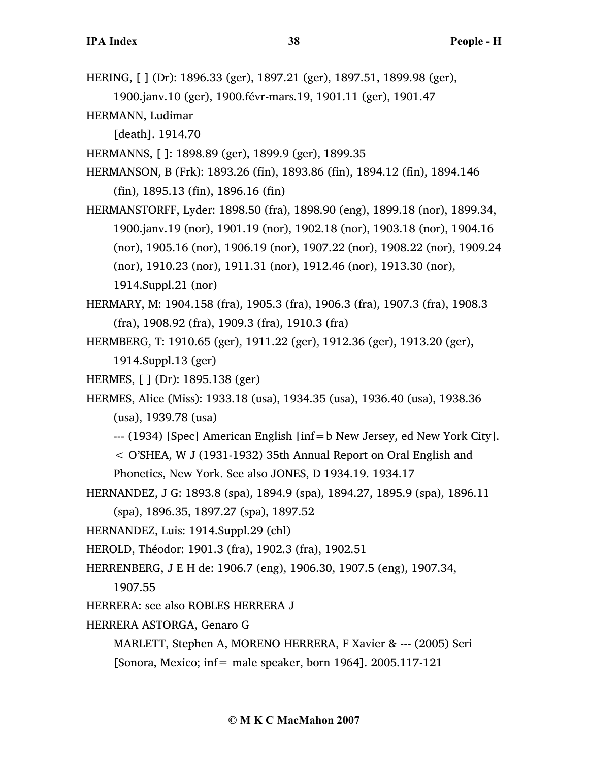HERING, [ ] (Dr): 1896.33 (ger), 1897.21 (ger), 1897.51, 1899.98 (ger), 1900.janv.10 (ger), 1900.févr-mars.19, 1901.11 (ger), 1901.47

HERMANN, Ludimar

[death]. 1914.70

HERMANNS, [ ]: 1898.89 (ger), 1899.9 (ger), 1899.35

HERMANSON, B (Frk): 1893.26 (fin), 1893.86 (fin), 1894.12 (fin), 1894.146 (fin), 1895.13 (fin), 1896.16 (fin)

HERMANSTORFF, Lyder: 1898.50 (fra), 1898.90 (eng), 1899.18 (nor), 1899.34, 1900.janv.19 (nor), 1901.19 (nor), 1902.18 (nor), 1903.18 (nor), 1904.16 (nor), 1905.16 (nor), 1906.19 (nor), 1907.22 (nor), 1908.22 (nor), 1909.24 (nor), 1910.23 (nor), 1911.31 (nor), 1912.46 (nor), 1913.30 (nor), 1914.Suppl.21 (nor)

HERMARY, M: 1904.158 (fra), 1905.3 (fra), 1906.3 (fra), 1907.3 (fra), 1908.3 (fra), 1908.92 (fra), 1909.3 (fra), 1910.3 (fra)

HERMBERG, T: 1910.65 (ger), 1911.22 (ger), 1912.36 (ger), 1913.20 (ger), 1914.Suppl.13 (ger)

HERMES, [ ] (Dr): 1895.138 (ger)

HERMES, Alice (Miss): 1933.18 (usa), 1934.35 (usa), 1936.40 (usa), 1938.36 (usa), 1939.78 (usa)

--- (1934) [Spec] American English [inf=b New Jersey, ed New York City].

< O'SHEA, W J (1931-1932) 35th Annual Report on Oral English and

Phonetics, New York. See also JONES, D 1934.19. 1934.17

HERNANDEZ, J G: 1893.8 (spa), 1894.9 (spa), 1894.27, 1895.9 (spa), 1896.11

(spa), 1896.35, 1897.27 (spa), 1897.52

HERNANDEZ, Luis: 1914.Suppl.29 (chl)

HEROLD, Théodor: 1901.3 (fra), 1902.3 (fra), 1902.51

HERRENBERG, J E H de: 1906.7 (eng), 1906.30, 1907.5 (eng), 1907.34,

1907.55

HERRERA: see also ROBLES HERRERA J

HERRERA ASTORGA, Genaro G

MARLETT, Stephen A, MORENO HERRERA, F Xavier & --- (2005) Seri

[Sonora, Mexico; inf= male speaker, born 1964]. 2005.117-121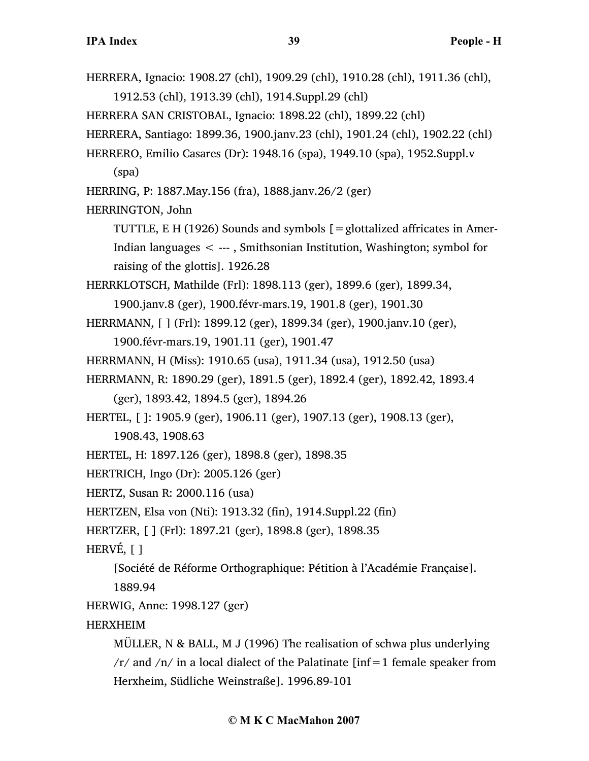HERRERA, Ignacio: 1908.27 (chl), 1909.29 (chl), 1910.28 (chl), 1911.36 (chl), 1912.53 (chl), 1913.39 (chl), 1914.Suppl.29 (chl) HERRERA SAN CRISTOBAL, Ignacio: 1898.22 (chl), 1899.22 (chl) HERRERA, Santiago: 1899.36, 1900.janv.23 (chl), 1901.24 (chl), 1902.22 (chl) HERRERO, Emilio Casares (Dr): 1948.16 (spa), 1949.10 (spa), 1952.Suppl.v (spa) HERRING, P: 1887.May.156 (fra), 1888.janv.26/2 (ger) HERRINGTON, John TUTTLE, E H (1926) Sounds and symbols  $[ =$ glottalized affricates in Amer-Indian languages < --- , Smithsonian Institution, Washington; symbol for raising of the glottis]. 1926.28 HERRKLOTSCH, Mathilde (Frl): 1898.113 (ger), 1899.6 (ger), 1899.34, 1900.janv.8 (ger), 1900.févr-mars.19, 1901.8 (ger), 1901.30 HERRMANN, [ ] (Frl): 1899.12 (ger), 1899.34 (ger), 1900.janv.10 (ger), 1900.févr-mars.19, 1901.11 (ger), 1901.47 HERRMANN, H (Miss): 1910.65 (usa), 1911.34 (usa), 1912.50 (usa) HERRMANN, R: 1890.29 (ger), 1891.5 (ger), 1892.4 (ger), 1892.42, 1893.4 (ger), 1893.42, 1894.5 (ger), 1894.26 HERTEL, [ ]: 1905.9 (ger), 1906.11 (ger), 1907.13 (ger), 1908.13 (ger), 1908.43, 1908.63 HERTEL, H: 1897.126 (ger), 1898.8 (ger), 1898.35 HERTRICH, Ingo (Dr): 2005.126 (ger) HERTZ, Susan R: 2000.116 (usa) HERTZEN, Elsa von (Nti): 1913.32 (fin), 1914.Suppl.22 (fin) HERTZER, [ ] (Frl): 1897.21 (ger), 1898.8 (ger), 1898.35 HERVÉ, [ ] [Société de Réforme Orthographique: Pétition à l'Académie Française]. 1889.94 HERWIG, Anne: 1998.127 (ger) HERXHEIM MÜLLER, N & BALL, M J (1996) The realisation of schwa plus underlying  $/r$  and  $/n$  in a local dialect of the Palatinate [inf=1 female speaker from Herxheim, Südliche Weinstraße]. 1996.89-101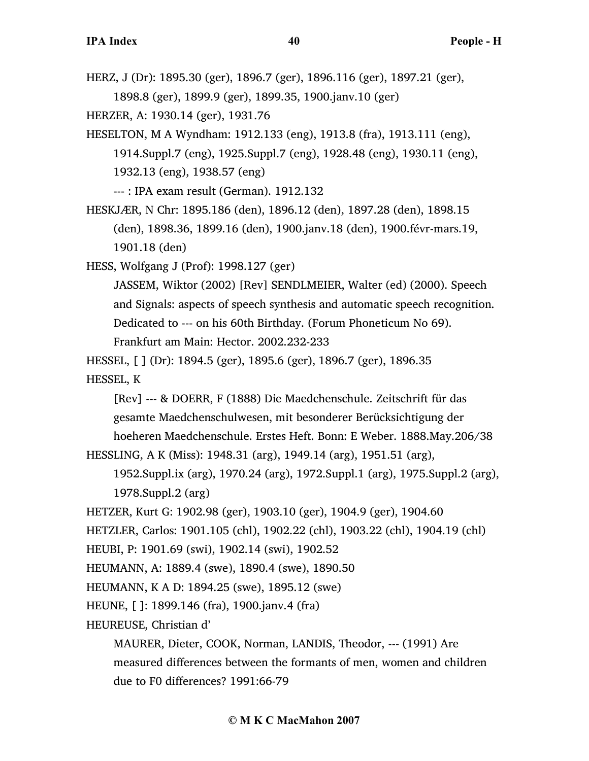HERZ, J (Dr): 1895.30 (ger), 1896.7 (ger), 1896.116 (ger), 1897.21 (ger), 1898.8 (ger), 1899.9 (ger), 1899.35, 1900.janv.10 (ger)

HERZER, A: 1930.14 (ger), 1931.76

HESELTON, M A Wyndham: 1912.133 (eng), 1913.8 (fra), 1913.111 (eng), 1914.Suppl.7 (eng), 1925.Suppl.7 (eng), 1928.48 (eng), 1930.11 (eng), 1932.13 (eng), 1938.57 (eng)

--- : IPA exam result (German). 1912.132

HESKJÆR, N Chr: 1895.186 (den), 1896.12 (den), 1897.28 (den), 1898.15 (den), 1898.36, 1899.16 (den), 1900.janv.18 (den), 1900.févr-mars.19, 1901.18 (den)

HESS, Wolfgang J (Prof): 1998.127 (ger)

JASSEM, Wiktor (2002) [Rev] SENDLMEIER, Walter (ed) (2000). Speech and Signals: aspects of speech synthesis and automatic speech recognition. Dedicated to --- on his 60th Birthday. (Forum Phoneticum No 69). Frankfurt am Main: Hector. 2002.232-233

HESSEL, [ ] (Dr): 1894.5 (ger), 1895.6 (ger), 1896.7 (ger), 1896.35 HESSEL, K

[Rev] --- & DOERR, F (1888) Die Maedchenschule. Zeitschrift für das gesamte Maedchenschulwesen, mit besonderer Berücksichtigung der hoeheren Maedchenschule. Erstes Heft. Bonn: E Weber. 1888.May.206/38

```
HESSLING, A K (Miss): 1948.31 (arg), 1949.14 (arg), 1951.51 (arg),
```
1952.Suppl.ix (arg), 1970.24 (arg), 1972.Suppl.1 (arg), 1975.Suppl.2 (arg), 1978.Suppl.2 (arg)

HETZER, Kurt G: 1902.98 (ger), 1903.10 (ger), 1904.9 (ger), 1904.60

HETZLER, Carlos: 1901.105 (chl), 1902.22 (chl), 1903.22 (chl), 1904.19 (chl)

HEUBI, P: 1901.69 (swi), 1902.14 (swi), 1902.52

HEUMANN, A: 1889.4 (swe), 1890.4 (swe), 1890.50

HEUMANN, K A D: 1894.25 (swe), 1895.12 (swe)

HEUNE, [ ]: 1899.146 (fra), 1900.janv.4 (fra)

HEUREUSE, Christian d'

MAURER, Dieter, COOK, Norman, LANDIS, Theodor, --- (1991) Are measured differences between the formants of men, women and children due to F0 differences? 1991:66-79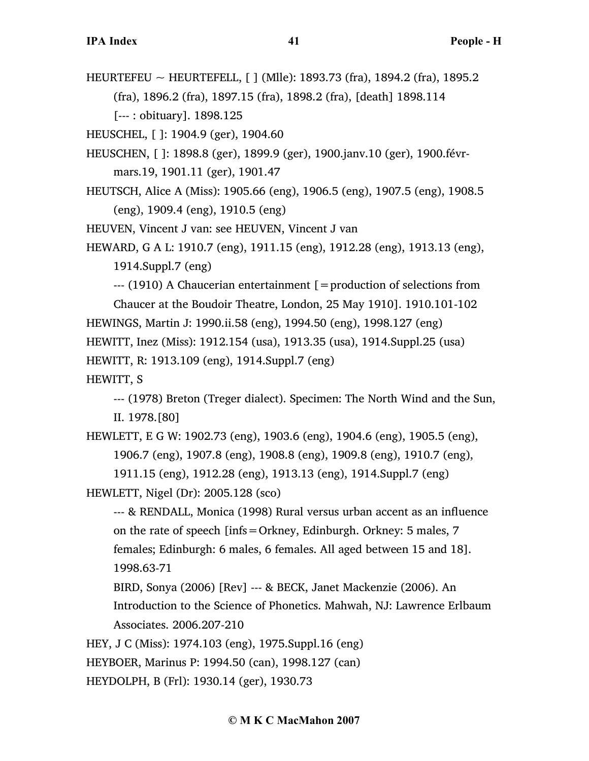HEURTEFEU ~ HEURTEFELL, [ ] (Mlle): 1893.73 (fra), 1894.2 (fra), 1895.2 (fra), 1896.2 (fra), 1897.15 (fra), 1898.2 (fra), [death] 1898.114 [--- : obituary]. 1898.125

HEUSCHEL, [ ]: 1904.9 (ger), 1904.60

- HEUSCHEN, [ ]: 1898.8 (ger), 1899.9 (ger), 1900.janv.10 (ger), 1900.févrmars.19, 1901.11 (ger), 1901.47
- HEUTSCH, Alice A (Miss): 1905.66 (eng), 1906.5 (eng), 1907.5 (eng), 1908.5 (eng), 1909.4 (eng), 1910.5 (eng)

HEUVEN, Vincent J van: see HEUVEN, Vincent J van

HEWARD, G A L: 1910.7 (eng), 1911.15 (eng), 1912.28 (eng), 1913.13 (eng), 1914.Suppl.7 (eng)

--- (1910) A Chaucerian entertainment [=production of selections from

Chaucer at the Boudoir Theatre, London, 25 May 1910]. 1910.101-102

HEWINGS, Martin J: 1990.ii.58 (eng), 1994.50 (eng), 1998.127 (eng)

HEWITT, Inez (Miss): 1912.154 (usa), 1913.35 (usa), 1914.Suppl.25 (usa)

HEWITT, R: 1913.109 (eng), 1914.Suppl.7 (eng)

HEWITT, S

--- (1978) Breton (Treger dialect). Specimen: The North Wind and the Sun, II. 1978.[80]

HEWLETT, E G W: 1902.73 (eng), 1903.6 (eng), 1904.6 (eng), 1905.5 (eng), 1906.7 (eng), 1907.8 (eng), 1908.8 (eng), 1909.8 (eng), 1910.7 (eng),

```
1911.15 (eng), 1912.28 (eng), 1913.13 (eng), 1914.Suppl.7 (eng)
HEWLETT, Nigel (Dr): 2005.128 (sco)
```
--- & RENDALL, Monica (1998) Rural versus urban accent as an influence on the rate of speech [infs=Orkney, Edinburgh. Orkney: 5 males, 7 females; Edinburgh: 6 males, 6 females. All aged between 15 and 18]. 1998.63-71

- BIRD, Sonya (2006) [Rev] --- & BECK, Janet Mackenzie (2006). An Introduction to the Science of Phonetics. Mahwah, NJ: Lawrence Erlbaum
- Associates. 2006.207-210

HEY, J C (Miss): 1974.103 (eng), 1975.Suppl.16 (eng)

HEYBOER, Marinus P: 1994.50 (can), 1998.127 (can)

HEYDOLPH, B (Frl): 1930.14 (ger), 1930.73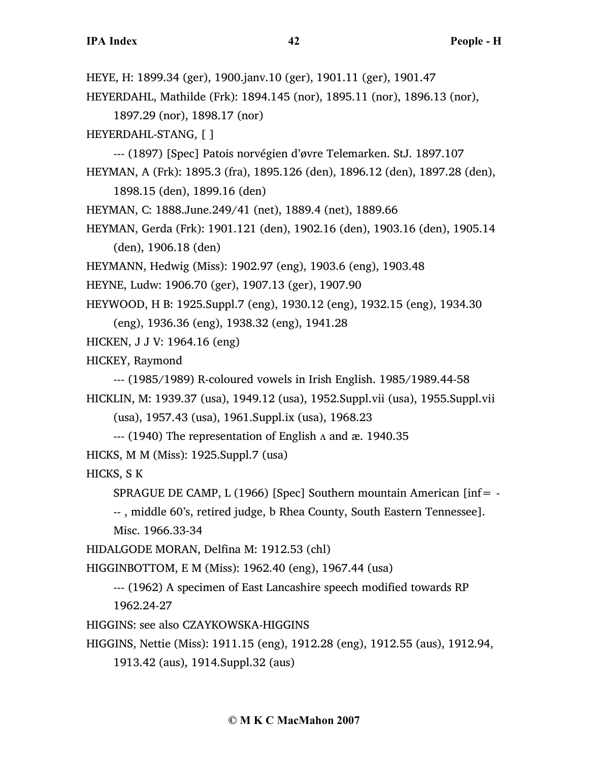HEYE, H: 1899.34 (ger), 1900.janv.10 (ger), 1901.11 (ger), 1901.47

HEYERDAHL, Mathilde (Frk): 1894.145 (nor), 1895.11 (nor), 1896.13 (nor),

1897.29 (nor), 1898.17 (nor)

HEYERDAHL-STANG, [ ]

--- (1897) [Spec] Patois norvégien d'øvre Telemarken. StJ. 1897.107

HEYMAN, A (Frk): 1895.3 (fra), 1895.126 (den), 1896.12 (den), 1897.28 (den), 1898.15 (den), 1899.16 (den)

HEYMAN, C: 1888.June.249/41 (net), 1889.4 (net), 1889.66

HEYMAN, Gerda (Frk): 1901.121 (den), 1902.16 (den), 1903.16 (den), 1905.14 (den), 1906.18 (den)

HEYMANN, Hedwig (Miss): 1902.97 (eng), 1903.6 (eng), 1903.48

HEYNE, Ludw: 1906.70 (ger), 1907.13 (ger), 1907.90

HEYWOOD, H B: 1925.Suppl.7 (eng), 1930.12 (eng), 1932.15 (eng), 1934.30

(eng), 1936.36 (eng), 1938.32 (eng), 1941.28

HICKEN, J J V: 1964.16 (eng)

HICKEY, Raymond

--- (1985/1989) R-coloured vowels in Irish English. 1985/1989.44-58 HICKLIN, M: 1939.37 (usa), 1949.12 (usa), 1952.Suppl.vii (usa), 1955.Suppl.vii

(usa), 1957.43 (usa), 1961.Suppl.ix (usa), 1968.23

 $-$ -- (1940) The representation of English  $\Lambda$  and æ. 1940.35

HICKS, M M (Miss): 1925.Suppl.7 (usa)

HICKS, S K

SPRAGUE DE CAMP, L  $(1966)$  [Spec] Southern mountain American [inf= -

-- , middle 60's, retired judge, b Rhea County, South Eastern Tennessee]. Misc. 1966.33-34

HIDALGODE MORAN, Delfina M: 1912.53 (chl)

HIGGINBOTTOM, E M (Miss): 1962.40 (eng), 1967.44 (usa)

--- (1962) A specimen of East Lancashire speech modified towards RP 1962.24-27

HIGGINS: see also CZAYKOWSKA-HIGGINS

HIGGINS, Nettie (Miss): 1911.15 (eng), 1912.28 (eng), 1912.55 (aus), 1912.94,

1913.42 (aus), 1914.Suppl.32 (aus)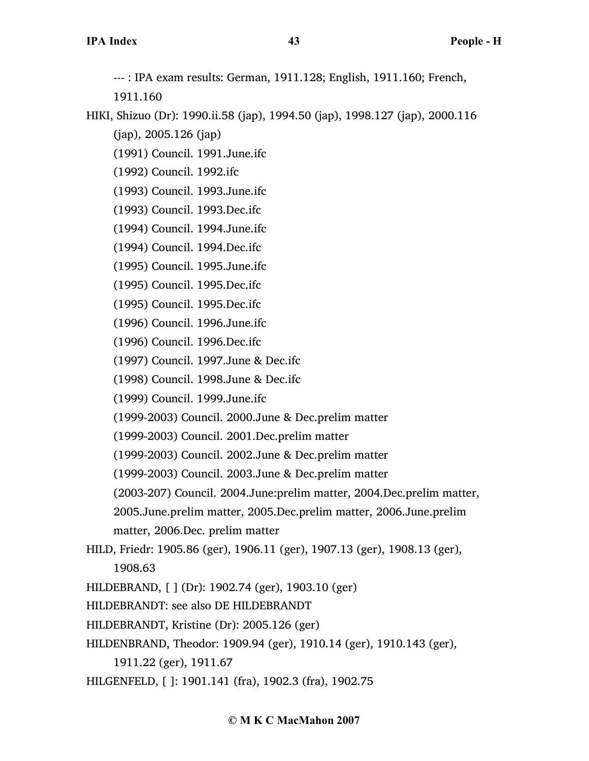--- : IPA exam results: German, 1911.128; English, 1911.160; French,

1911.160

HIKI, Shizuo (Dr): 1990.ii.58 (jap), 1994.50 (jap), 1998.127 (jap), 2000.116 (jap), 2005.126 (jap)

(1991) Council. 1991.June.ifc

(1992) Council. 1992.ifc

(1993) Council. 1993.June.ifc

(1993) Council. 1993.Dec.ifc

(1994) Council. 1994.June.ifc

- (1994) Council. 1994.Dec.ifc
- (1995) Council. 1995.June.ifc
- (1995) Council. 1995.Dec.ifc

(1995) Council. 1995.Dec.ifc

- (1996) Council. 1996.June.ifc
- (1996) Council. 1996.Dec.ifc

(1997) Council. 1997.June & Dec.ifc

(1998) Council. 1998.June & Dec.ifc

(1999) Council. 1999.June.ifc

(1999-2003) Council. 2000.June & Dec.prelim matter

(1999-2003) Council. 2001.Dec.prelim matter

(1999-2003) Council. 2002.June & Dec.prelim matter

(1999-2003) Council. 2003.June & Dec.prelim matter

(2003-207) Council. 2004.June:prelim matter, 2004.Dec.prelim matter,

2005.June.prelim matter, 2005.Dec.prelim matter, 2006.June.prelim

matter, 2006.Dec. prelim matter

HILD, Friedr: 1905.86 (ger), 1906.11 (ger), 1907.13 (ger), 1908.13 (ger), 1908.63

HILDEBRAND, [ ] (Dr): 1902.74 (ger), 1903.10 (ger)

HILDEBRANDT: see also DE HILDEBRANDT

HILDEBRANDT, Kristine (Dr): 2005.126 (ger)

HILDENBRAND, Theodor: 1909.94 (ger), 1910.14 (ger), 1910.143 (ger),

1911.22 (ger), 1911.67

HILGENFELD, [ ]: 1901.141 (fra), 1902.3 (fra), 1902.75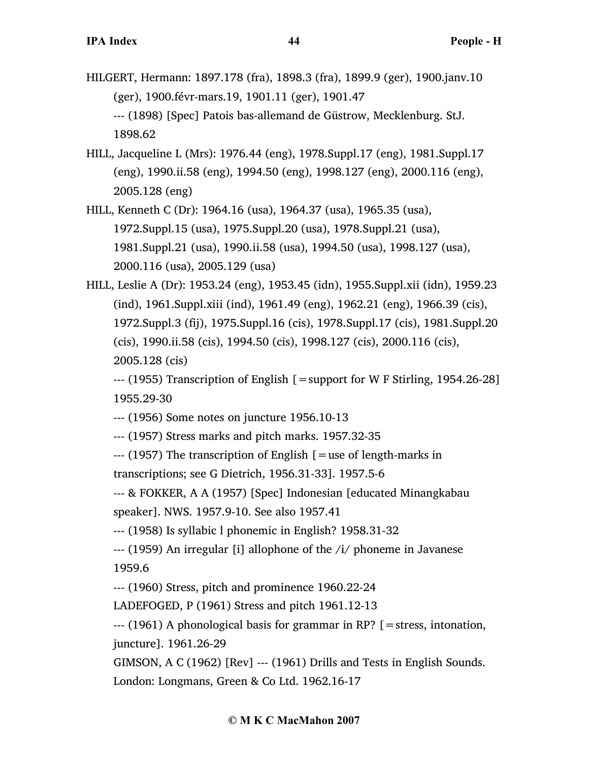- HILGERT, Hermann: 1897.178 (fra), 1898.3 (fra), 1899.9 (ger), 1900.janv.10 (ger), 1900.févr-mars.19, 1901.11 (ger), 1901.47 --- (1898) [Spec] Patois bas-allemand de Güstrow, Mecklenburg. StJ. 1898.62
- HILL, Jacqueline L (Mrs): 1976.44 (eng), 1978.Suppl.17 (eng), 1981.Suppl.17 (eng), 1990.ii.58 (eng), 1994.50 (eng), 1998.127 (eng), 2000.116 (eng), 2005.128 (eng)
- HILL, Kenneth C (Dr): 1964.16 (usa), 1964.37 (usa), 1965.35 (usa), 1972.Suppl.15 (usa), 1975.Suppl.20 (usa), 1978.Suppl.21 (usa), 1981.Suppl.21 (usa), 1990.ii.58 (usa), 1994.50 (usa), 1998.127 (usa), 2000.116 (usa), 2005.129 (usa)
- HILL, Leslie A (Dr): 1953.24 (eng), 1953.45 (idn), 1955.Suppl.xii (idn), 1959.23 (ind), 1961.Suppl.xiii (ind), 1961.49 (eng), 1962.21 (eng), 1966.39 (cis), 1972.Suppl.3 (fij), 1975.Suppl.16 (cis), 1978.Suppl.17 (cis), 1981.Suppl.20 (cis), 1990.ii.58 (cis), 1994.50 (cis), 1998.127 (cis), 2000.116 (cis), 2005.128 (cis)

--- (1955) Transcription of English [=support for W F Stirling, 1954.26-28] 1955.29-30

--- (1956) Some notes on juncture 1956.10-13

--- (1957) Stress marks and pitch marks. 1957.32-35

 $-$ --- (1957) The transcription of English  $\mathfrak{g}$  = use of length-marks in

transcriptions; see G Dietrich, 1956.31-33]. 1957.5-6

--- & FOKKER, A A (1957) [Spec] Indonesian [educated Minangkabau speaker]. NWS. 1957.9-10. See also 1957.41

--- (1958) Is syllabic l phonemic in English? 1958.31-32

--- (1959) An irregular [i] allophone of the /i/ phoneme in Javanese 1959.6

--- (1960) Stress, pitch and prominence 1960.22-24

LADEFOGED, P (1961) Stress and pitch 1961.12-13

 $-$ -- $(1961)$  A phonological basis for grammar in RP?  $\lceil$  = stress, intonation, juncture]. 1961.26-29

GIMSON, A C (1962) [Rev] --- (1961) Drills and Tests in English Sounds. London: Longmans, Green & Co Ltd. 1962.16-17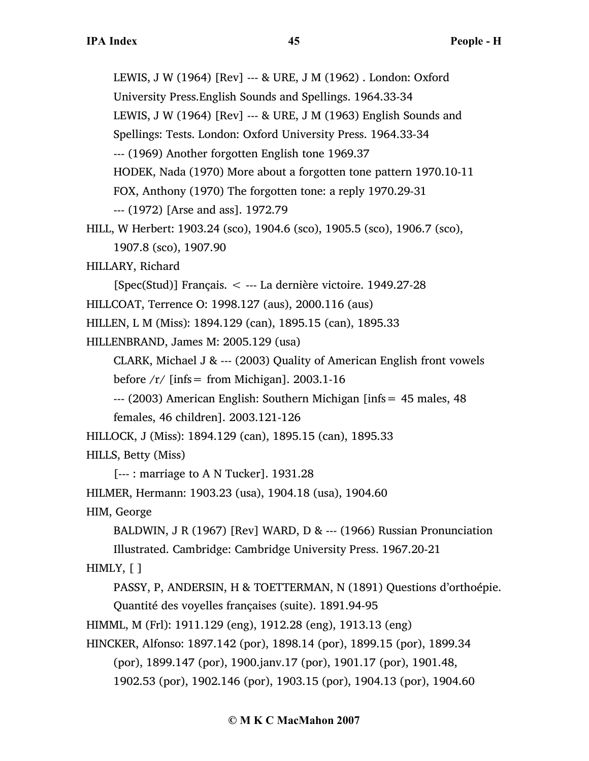LEWIS, J W (1964) [Rev] --- & URE, J M (1962) . London: Oxford University Press.English Sounds and Spellings. 1964.33-34 LEWIS, J W (1964) [Rev] --- & URE, J M (1963) English Sounds and Spellings: Tests. London: Oxford University Press. 1964.33-34 --- (1969) Another forgotten English tone 1969.37 HODEK, Nada (1970) More about a forgotten tone pattern 1970.10-11 FOX, Anthony (1970) The forgotten tone: a reply 1970.29-31 --- (1972) [Arse and ass]. 1972.79

```
HILL, W Herbert: 1903.24 (sco), 1904.6 (sco), 1905.5 (sco), 1906.7 (sco), 
     1907.8 (sco), 1907.90
```
HILLARY, Richard

[Spec(Stud)] Français. < --- La dernière victoire. 1949.27-28

HILLCOAT, Terrence O: 1998.127 (aus), 2000.116 (aus)

HILLEN, L M (Miss): 1894.129 (can), 1895.15 (can), 1895.33

HILLENBRAND, James M: 2005.129 (usa)

CLARK, Michael J &  $--$  (2003) Quality of American English front vowels

before  $/r/$  [infs = from Michigan]. 2003.1-16

--- (2003) American English: Southern Michigan [infs= 45 males, 48

females, 46 children]. 2003.121-126

HILLOCK, J (Miss): 1894.129 (can), 1895.15 (can), 1895.33

HILLS, Betty (Miss)

[--- : marriage to A N Tucker]. 1931.28

HILMER, Hermann: 1903.23 (usa), 1904.18 (usa), 1904.60

HIM, George

BALDWIN, J R (1967) [Rev] WARD, D & --- (1966) Russian Pronunciation

Illustrated. Cambridge: Cambridge University Press. 1967.20-21

# HIMLY, [ ]

PASSY, P, ANDERSIN, H & TOETTERMAN, N (1891) Questions d'orthoépie. Quantité des voyelles françaises (suite). 1891.94-95

HIMML, M (Frl): 1911.129 (eng), 1912.28 (eng), 1913.13 (eng)

HINCKER, Alfonso: 1897.142 (por), 1898.14 (por), 1899.15 (por), 1899.34 (por), 1899.147 (por), 1900.janv.17 (por), 1901.17 (por), 1901.48, 1902.53 (por), 1902.146 (por), 1903.15 (por), 1904.13 (por), 1904.60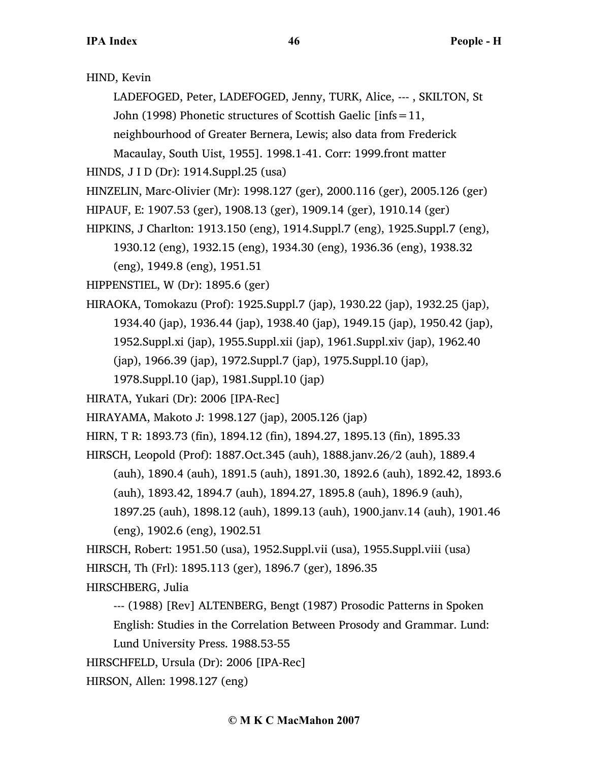## HIND, Kevin

LADEFOGED, Peter, LADEFOGED, Jenny, TURK, Alice, --- , SKILTON, St John (1998) Phonetic structures of Scottish Gaelic [infs=11,

neighbourhood of Greater Bernera, Lewis; also data from Frederick

Macaulay, South Uist, 1955]. 1998.1-41. Corr: 1999.front matter

HINDS, J I D (Dr): 1914.Suppl.25 (usa)

- HINZELIN, Marc-Olivier (Mr): 1998.127 (ger), 2000.116 (ger), 2005.126 (ger)
- HIPAUF, E: 1907.53 (ger), 1908.13 (ger), 1909.14 (ger), 1910.14 (ger)
- HIPKINS, J Charlton: 1913.150 (eng), 1914.Suppl.7 (eng), 1925.Suppl.7 (eng), 1930.12 (eng), 1932.15 (eng), 1934.30 (eng), 1936.36 (eng), 1938.32

(eng), 1949.8 (eng), 1951.51

HIPPENSTIEL, W (Dr): 1895.6 (ger)

HIRAOKA, Tomokazu (Prof): 1925.Suppl.7 (jap), 1930.22 (jap), 1932.25 (jap), 1934.40 (jap), 1936.44 (jap), 1938.40 (jap), 1949.15 (jap), 1950.42 (jap), 1952.Suppl.xi (jap), 1955.Suppl.xii (jap), 1961.Suppl.xiv (jap), 1962.40 (jap), 1966.39 (jap), 1972.Suppl.7 (jap), 1975.Suppl.10 (jap), 1978.Suppl.10 (jap), 1981.Suppl.10 (jap)

HIRATA, Yukari (Dr): 2006 [IPA-Rec]

- HIRAYAMA, Makoto J: 1998.127 (jap), 2005.126 (jap)
- HIRN, T R: 1893.73 (fin), 1894.12 (fin), 1894.27, 1895.13 (fin), 1895.33

HIRSCH, Leopold (Prof): 1887.Oct.345 (auh), 1888.janv.26/2 (auh), 1889.4

(auh), 1890.4 (auh), 1891.5 (auh), 1891.30, 1892.6 (auh), 1892.42, 1893.6 (auh), 1893.42, 1894.7 (auh), 1894.27, 1895.8 (auh), 1896.9 (auh),

1897.25 (auh), 1898.12 (auh), 1899.13 (auh), 1900.janv.14 (auh), 1901.46 (eng), 1902.6 (eng), 1902.51

HIRSCH, Robert: 1951.50 (usa), 1952.Suppl.vii (usa), 1955.Suppl.viii (usa) HIRSCH, Th (Frl): 1895.113 (ger), 1896.7 (ger), 1896.35

HIRSCHBERG, Julia

--- (1988) [Rev] ALTENBERG, Bengt (1987) Prosodic Patterns in Spoken English: Studies in the Correlation Between Prosody and Grammar. Lund:

Lund University Press. 1988.53-55

HIRSCHFELD, Ursula (Dr): 2006 [IPA-Rec]

HIRSON, Allen: 1998.127 (eng)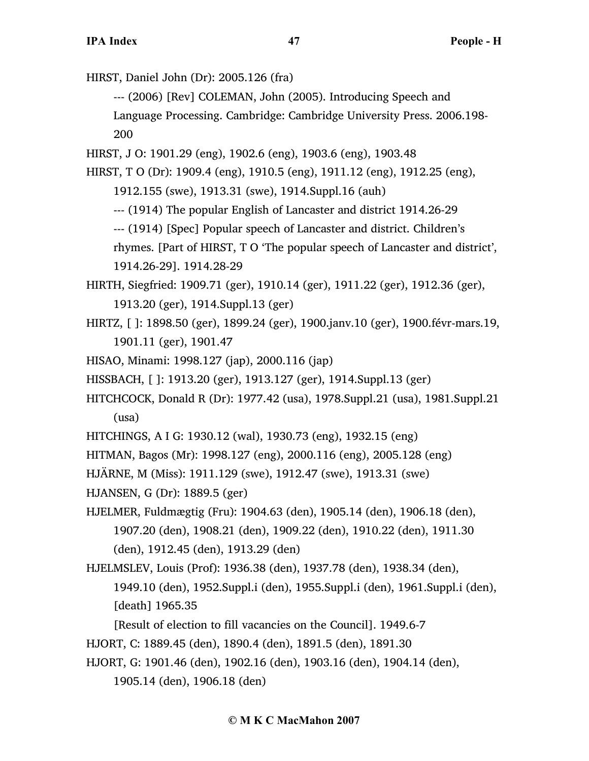HIRST, Daniel John (Dr): 2005.126 (fra)

--- (2006) [Rev] COLEMAN, John (2005). Introducing Speech and

Language Processing. Cambridge: Cambridge University Press. 2006.198- 200

HIRST, J O: 1901.29 (eng), 1902.6 (eng), 1903.6 (eng), 1903.48

HIRST, T O (Dr): 1909.4 (eng), 1910.5 (eng), 1911.12 (eng), 1912.25 (eng),

1912.155 (swe), 1913.31 (swe), 1914.Suppl.16 (auh)

--- (1914) The popular English of Lancaster and district 1914.26-29

--- (1914) [Spec] Popular speech of Lancaster and district. Children's

rhymes. [Part of HIRST, T O 'The popular speech of Lancaster and district', 1914.26-29]. 1914.28-29

HIRTH, Siegfried: 1909.71 (ger), 1910.14 (ger), 1911.22 (ger), 1912.36 (ger), 1913.20 (ger), 1914.Suppl.13 (ger)

HIRTZ, [ ]: 1898.50 (ger), 1899.24 (ger), 1900.janv.10 (ger), 1900.févr-mars.19, 1901.11 (ger), 1901.47

HISAO, Minami: 1998.127 (jap), 2000.116 (jap)

HISSBACH, [ ]: 1913.20 (ger), 1913.127 (ger), 1914.Suppl.13 (ger)

HITCHCOCK, Donald R (Dr): 1977.42 (usa), 1978.Suppl.21 (usa), 1981.Suppl.21 (usa)

HITCHINGS, A I G: 1930.12 (wal), 1930.73 (eng), 1932.15 (eng)

HITMAN, Bagos (Mr): 1998.127 (eng), 2000.116 (eng), 2005.128 (eng)

HJÄRNE, M (Miss): 1911.129 (swe), 1912.47 (swe), 1913.31 (swe)

HJANSEN, G (Dr): 1889.5 (ger)

HJELMER, Fuldmægtig (Fru): 1904.63 (den), 1905.14 (den), 1906.18 (den), 1907.20 (den), 1908.21 (den), 1909.22 (den), 1910.22 (den), 1911.30 (den), 1912.45 (den), 1913.29 (den)

HJELMSLEV, Louis (Prof): 1936.38 (den), 1937.78 (den), 1938.34 (den), 1949.10 (den), 1952.Suppl.i (den), 1955.Suppl.i (den), 1961.Suppl.i (den), [death] 1965.35

[Result of election to fill vacancies on the Council]. 1949.6-7

HJORT, C: 1889.45 (den), 1890.4 (den), 1891.5 (den), 1891.30

HJORT, G: 1901.46 (den), 1902.16 (den), 1903.16 (den), 1904.14 (den),

1905.14 (den), 1906.18 (den)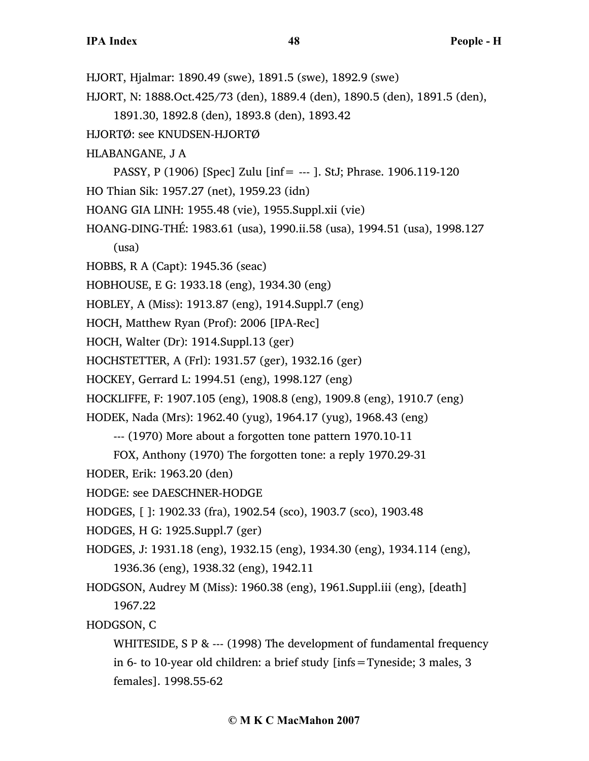- HJORT, Hjalmar: 1890.49 (swe), 1891.5 (swe), 1892.9 (swe)
- HJORT, N: 1888.Oct.425/73 (den), 1889.4 (den), 1890.5 (den), 1891.5 (den),
	- 1891.30, 1892.8 (den), 1893.8 (den), 1893.42
- HJORTØ: see KNUDSEN-HJORTØ
- HLABANGANE, J A
- PASSY, P (1906) [Spec] Zulu [inf= --- ]. StJ; Phrase. 1906.119-120
- HO Thian Sik: 1957.27 (net), 1959.23 (idn)
- HOANG GIA LINH: 1955.48 (vie), 1955.Suppl.xii (vie)
- HOANG-DING-THÉ: 1983.61 (usa), 1990.ii.58 (usa), 1994.51 (usa), 1998.127
	- (usa)
- HOBBS, R A (Capt): 1945.36 (seac)
- HOBHOUSE, E G: 1933.18 (eng), 1934.30 (eng)
- HOBLEY, A (Miss): 1913.87 (eng), 1914.Suppl.7 (eng)
- HOCH, Matthew Ryan (Prof): 2006 [IPA-Rec]
- HOCH, Walter (Dr): 1914.Suppl.13 (ger)
- HOCHSTETTER, A (Frl): 1931.57 (ger), 1932.16 (ger)
- HOCKEY, Gerrard L: 1994.51 (eng), 1998.127 (eng)
- HOCKLIFFE, F: 1907.105 (eng), 1908.8 (eng), 1909.8 (eng), 1910.7 (eng)
- HODEK, Nada (Mrs): 1962.40 (yug), 1964.17 (yug), 1968.43 (eng)
	- --- (1970) More about a forgotten tone pattern 1970.10-11
	- FOX, Anthony (1970) The forgotten tone: a reply 1970.29-31
- HODER, Erik: 1963.20 (den)
- HODGE: see DAESCHNER-HODGE
- HODGES, [ ]: 1902.33 (fra), 1902.54 (sco), 1903.7 (sco), 1903.48
- HODGES, H G: 1925.Suppl.7 (ger)
- HODGES, J: 1931.18 (eng), 1932.15 (eng), 1934.30 (eng), 1934.114 (eng), 1936.36 (eng), 1938.32 (eng), 1942.11
- HODGSON, Audrey M (Miss): 1960.38 (eng), 1961.Suppl.iii (eng), [death] 1967.22
- HODGSON, C
	- WHITESIDE, S P & --- (1998) The development of fundamental frequency in 6- to 10-year old children: a brief study [infs=Tyneside; 3 males, 3 females]. 1998.55-62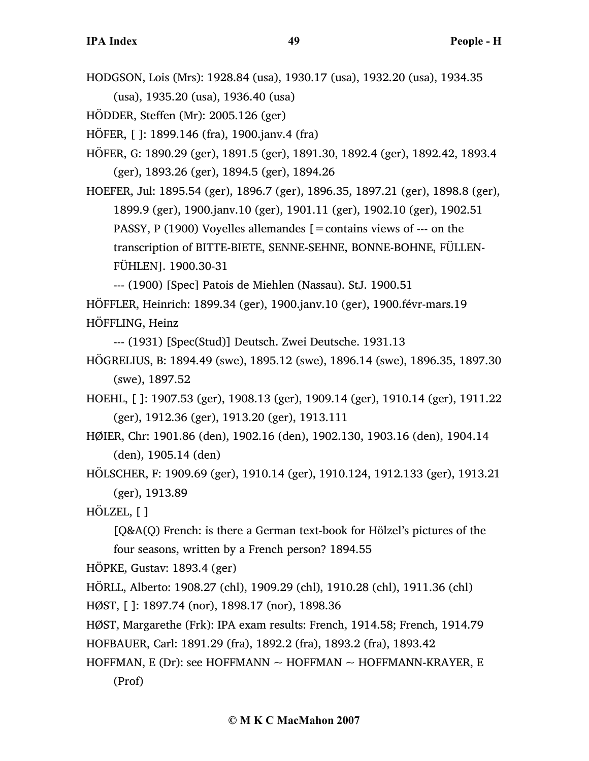HODGSON, Lois (Mrs): 1928.84 (usa), 1930.17 (usa), 1932.20 (usa), 1934.35 (usa), 1935.20 (usa), 1936.40 (usa)

HÖDDER, Steffen (Mr): 2005.126 (ger)

HÖFER, [ ]: 1899.146 (fra), 1900.janv.4 (fra)

HÖFER, G: 1890.29 (ger), 1891.5 (ger), 1891.30, 1892.4 (ger), 1892.42, 1893.4 (ger), 1893.26 (ger), 1894.5 (ger), 1894.26

HOEFER, Jul: 1895.54 (ger), 1896.7 (ger), 1896.35, 1897.21 (ger), 1898.8 (ger), 1899.9 (ger), 1900.janv.10 (ger), 1901.11 (ger), 1902.10 (ger), 1902.51 PASSY, P (1900) Voyelles allemandes  $\mathbf{r} =$  contains views of --- on the transcription of BITTE-BIETE, SENNE-SEHNE, BONNE-BOHNE, FÜLLEN-FÜHLEN]. 1900.30-31

--- (1900) [Spec] Patois de Miehlen (Nassau). StJ. 1900.51 HÖFFLER, Heinrich: 1899.34 (ger), 1900.janv.10 (ger), 1900.févr-mars.19 HÖFFLING, Heinz

--- (1931) [Spec(Stud)] Deutsch. Zwei Deutsche. 1931.13

HÖGRELIUS, B: 1894.49 (swe), 1895.12 (swe), 1896.14 (swe), 1896.35, 1897.30 (swe), 1897.52

HOEHL, [ ]: 1907.53 (ger), 1908.13 (ger), 1909.14 (ger), 1910.14 (ger), 1911.22 (ger), 1912.36 (ger), 1913.20 (ger), 1913.111

HØIER, Chr: 1901.86 (den), 1902.16 (den), 1902.130, 1903.16 (den), 1904.14 (den), 1905.14 (den)

HÖLSCHER, F: 1909.69 (ger), 1910.14 (ger), 1910.124, 1912.133 (ger), 1913.21 (ger), 1913.89

HÖLZEL, [ ]

[Q&A(Q) French: is there a German text-book for Hölzel's pictures of the four seasons, written by a French person? 1894.55

HÖPKE, Gustav: 1893.4 (ger)

HÖRLL, Alberto: 1908.27 (chl), 1909.29 (chl), 1910.28 (chl), 1911.36 (chl)

HØST, [ ]: 1897.74 (nor), 1898.17 (nor), 1898.36

HØST, Margarethe (Frk): IPA exam results: French, 1914.58; French, 1914.79

HOFBAUER, Carl: 1891.29 (fra), 1892.2 (fra), 1893.2 (fra), 1893.42

HOFFMAN, E (Dr): see HOFFMANN  $\sim$  HOFFMAN  $\sim$  HOFFMANN-KRAYER, E (Prof)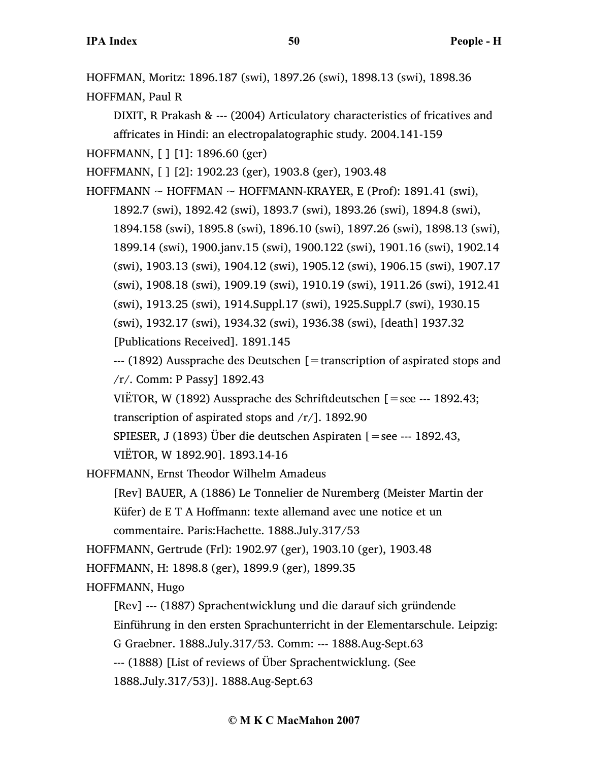HOFFMAN, Moritz: 1896.187 (swi), 1897.26 (swi), 1898.13 (swi), 1898.36

HOFFMAN, Paul R

DIXIT, R Prakash & --- (2004) Articulatory characteristics of fricatives and affricates in Hindi: an electropalatographic study. 2004.141-159

HOFFMANN, [ ] [1]: 1896.60 (ger)

HOFFMANN, [ ] [2]: 1902.23 (ger), 1903.8 (ger), 1903.48

 $HOFFMANN \sim HOFFMAN \sim HOFFMANN-KRAYER, E (Prof): 1891.41 (swi),$ 

1892.7 (swi), 1892.42 (swi), 1893.7 (swi), 1893.26 (swi), 1894.8 (swi),

1894.158 (swi), 1895.8 (swi), 1896.10 (swi), 1897.26 (swi), 1898.13 (swi),

1899.14 (swi), 1900.janv.15 (swi), 1900.122 (swi), 1901.16 (swi), 1902.14

(swi), 1903.13 (swi), 1904.12 (swi), 1905.12 (swi), 1906.15 (swi), 1907.17

(swi), 1908.18 (swi), 1909.19 (swi), 1910.19 (swi), 1911.26 (swi), 1912.41

(swi), 1913.25 (swi), 1914.Suppl.17 (swi), 1925.Suppl.7 (swi), 1930.15

(swi), 1932.17 (swi), 1934.32 (swi), 1936.38 (swi), [death] 1937.32

[Publications Received]. 1891.145

 $-$ -- (1892) Aussprache des Deutschen [=transcription of aspirated stops and /r/. Comm: P Passy] 1892.43

VIËTOR, W (1892) Aussprache des Schriftdeutschen [=see --- 1892.43; transcription of aspirated stops and  $/r/$ ]. 1892.90

SPIESER, J (1893) Über die deutschen Aspiraten [=see --- 1892.43,

VIËTOR, W 1892.90]. 1893.14-16

HOFFMANN, Ernst Theodor Wilhelm Amadeus

[Rev] BAUER, A (1886) Le Tonnelier de Nuremberg (Meister Martin der Küfer) de E T A Hoffmann: texte allemand avec une notice et un commentaire. Paris:Hachette. 1888.July.317/53

HOFFMANN, Gertrude (Frl): 1902.97 (ger), 1903.10 (ger), 1903.48

HOFFMANN, H: 1898.8 (ger), 1899.9 (ger), 1899.35

HOFFMANN, Hugo

[Rev] --- (1887) Sprachentwicklung und die darauf sich gründende Einführung in den ersten Sprachunterricht in der Elementarschule. Leipzig: G Graebner. 1888.July.317/53. Comm: --- 1888.Aug-Sept.63 --- (1888) [List of reviews of Über Sprachentwicklung. (See

1888.July.317/53)]. 1888.Aug-Sept.63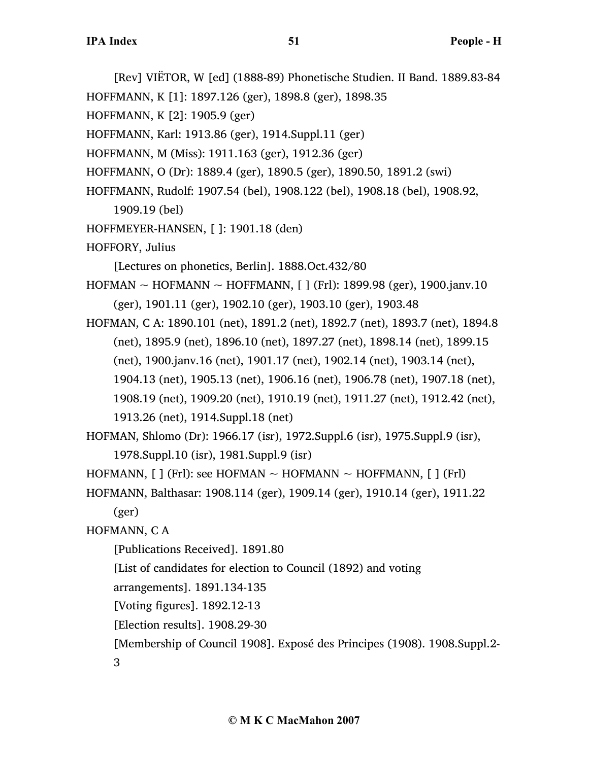[Rev] VIËTOR, W [ed] (1888-89) Phonetische Studien. II Band. 1889.83-84

HOFFMANN, K [1]: 1897.126 (ger), 1898.8 (ger), 1898.35

HOFFMANN, K [2]: 1905.9 (ger)

HOFFMANN, Karl: 1913.86 (ger), 1914.Suppl.11 (ger)

HOFFMANN, M (Miss): 1911.163 (ger), 1912.36 (ger)

HOFFMANN, O (Dr): 1889.4 (ger), 1890.5 (ger), 1890.50, 1891.2 (swi)

- HOFFMANN, Rudolf: 1907.54 (bel), 1908.122 (bel), 1908.18 (bel), 1908.92,
	- 1909.19 (bel)
- HOFFMEYER-HANSEN, [ ]: 1901.18 (den)

HOFFORY, Julius

[Lectures on phonetics, Berlin]. 1888.Oct.432/80

 $HOFMAN \sim HOFMANN \sim HOFFMANN$ , [ ] (Frl): 1899.98 (ger), 1900.janv.10 (ger), 1901.11 (ger), 1902.10 (ger), 1903.10 (ger), 1903.48

HOFMAN, C A: 1890.101 (net), 1891.2 (net), 1892.7 (net), 1893.7 (net), 1894.8 (net), 1895.9 (net), 1896.10 (net), 1897.27 (net), 1898.14 (net), 1899.15 (net), 1900.janv.16 (net), 1901.17 (net), 1902.14 (net), 1903.14 (net), 1904.13 (net), 1905.13 (net), 1906.16 (net), 1906.78 (net), 1907.18 (net), 1908.19 (net), 1909.20 (net), 1910.19 (net), 1911.27 (net), 1912.42 (net),

1913.26 (net), 1914.Suppl.18 (net)

HOFMAN, Shlomo (Dr): 1966.17 (isr), 1972.Suppl.6 (isr), 1975.Suppl.9 (isr), 1978.Suppl.10 (isr), 1981.Suppl.9 (isr)

HOFMANN,  $[ ]$  (Frl): see HOFMAN ~ HOFMANN ~ HOFFMANN,  $[ ]$  (Frl)

HOFMANN, Balthasar: 1908.114 (ger), 1909.14 (ger), 1910.14 (ger), 1911.22

(ger)

HOFMANN, C A

[Publications Received]. 1891.80

[List of candidates for election to Council (1892) and voting

arrangements]. 1891.134-135

[Voting figures]. 1892.12-13

[Election results]. 1908.29-30

[Membership of Council 1908]. Exposé des Principes (1908). 1908.Suppl.2-

3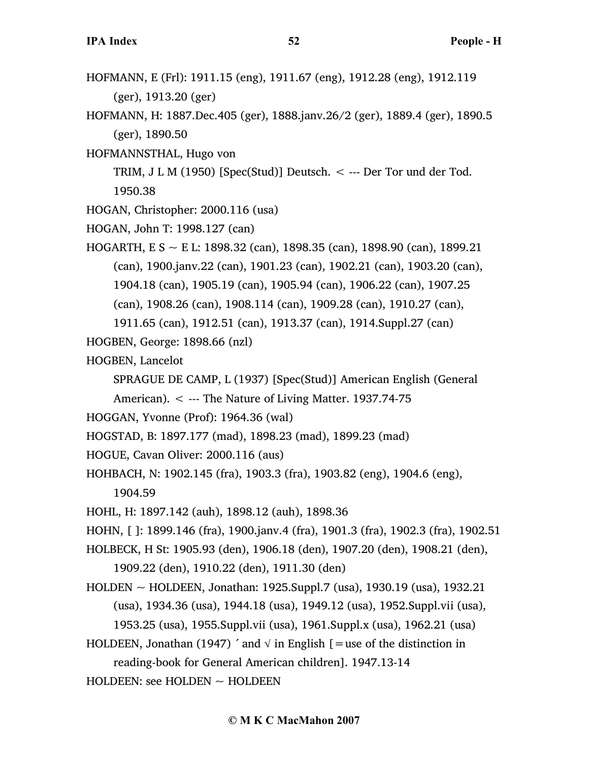- HOFMANN, E (Frl): 1911.15 (eng), 1911.67 (eng), 1912.28 (eng), 1912.119 (ger), 1913.20 (ger)
- HOFMANN, H: 1887.Dec.405 (ger), 1888.janv.26/2 (ger), 1889.4 (ger), 1890.5 (ger), 1890.50
- HOFMANNSTHAL, Hugo von

TRIM, J L M (1950) [Spec(Stud)] Deutsch.  $\lt$  --- Der Tor und der Tod. 1950.38

- HOGAN, Christopher: 2000.116 (usa)
- HOGAN, John T: 1998.127 (can)
- HOGARTH, E S ~ E L: 1898.32 (can), 1898.35 (can), 1898.90 (can), 1899.21 (can), 1900.janv.22 (can), 1901.23 (can), 1902.21 (can), 1903.20 (can), 1904.18 (can), 1905.19 (can), 1905.94 (can), 1906.22 (can), 1907.25 (can), 1908.26 (can), 1908.114 (can), 1909.28 (can), 1910.27 (can),

1911.65 (can), 1912.51 (can), 1913.37 (can), 1914.Suppl.27 (can)

- HOGBEN, George: 1898.66 (nzl)
- HOGBEN, Lancelot
	- SPRAGUE DE CAMP, L (1937) [Spec(Stud)] American English (General
	- American). < --- The Nature of Living Matter. 1937.74-75
- HOGGAN, Yvonne (Prof): 1964.36 (wal)
- HOGSTAD, B: 1897.177 (mad), 1898.23 (mad), 1899.23 (mad)
- HOGUE, Cavan Oliver: 2000.116 (aus)
- HOHBACH, N: 1902.145 (fra), 1903.3 (fra), 1903.82 (eng), 1904.6 (eng),
	- 1904.59
- HOHL, H: 1897.142 (auh), 1898.12 (auh), 1898.36
- HOHN, [ ]: 1899.146 (fra), 1900.janv.4 (fra), 1901.3 (fra), 1902.3 (fra), 1902.51
- HOLBECK, H St: 1905.93 (den), 1906.18 (den), 1907.20 (den), 1908.21 (den),
	- 1909.22 (den), 1910.22 (den), 1911.30 (den)
- HOLDEN ~ HOLDEEN, Jonathan: 1925.Suppl.7 (usa), 1930.19 (usa), 1932.21 (usa), 1934.36 (usa), 1944.18 (usa), 1949.12 (usa), 1952.Suppl.vii (usa), 1953.25 (usa), 1955.Suppl.vii (usa), 1961.Suppl.x (usa), 1962.21 (usa)
- HOLDEEN, Jonathan (1947)  $\hat{\ }$  and  $\hat{\ }$  in English [=use of the distinction in reading-book for General American children]. 1947.13-14

HOLDEEN: see HOLDEN  $\sim$  HOLDEEN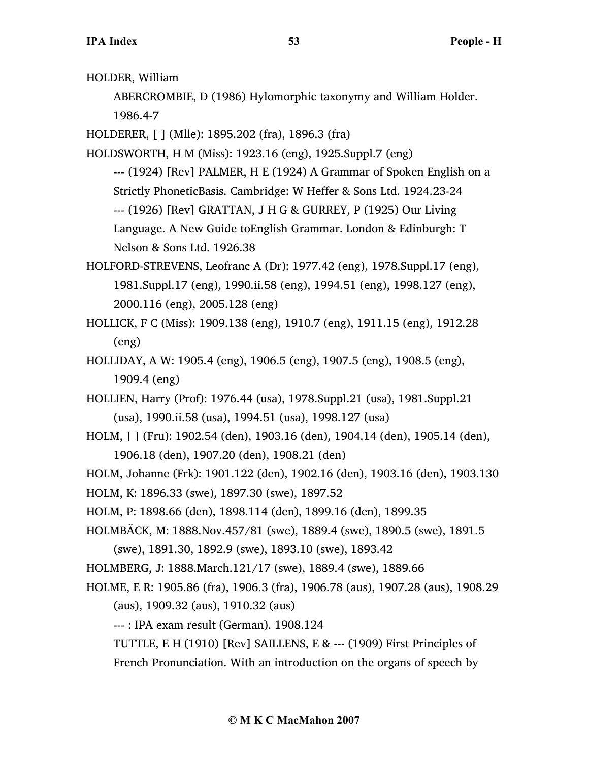HOLDER, William

ABERCROMBIE, D (1986) Hylomorphic taxonymy and William Holder.

1986.4-7

HOLDERER, [ ] (Mlle): 1895.202 (fra), 1896.3 (fra)

HOLDSWORTH, H M (Miss): 1923.16 (eng), 1925.Suppl.7 (eng)

--- (1924) [Rev] PALMER, H E (1924) A Grammar of Spoken English on a Strictly PhoneticBasis. Cambridge: W Heffer & Sons Ltd. 1924.23-24 --- (1926) [Rev] GRATTAN, J H G & GURREY, P (1925) Our Living Language. A New Guide toEnglish Grammar. London & Edinburgh: T Nelson & Sons Ltd. 1926.38

HOLFORD-STREVENS, Leofranc A (Dr): 1977.42 (eng), 1978.Suppl.17 (eng), 1981.Suppl.17 (eng), 1990.ii.58 (eng), 1994.51 (eng), 1998.127 (eng), 2000.116 (eng), 2005.128 (eng)

HOLLICK, F C (Miss): 1909.138 (eng), 1910.7 (eng), 1911.15 (eng), 1912.28 (eng)

HOLLIDAY, A W: 1905.4 (eng), 1906.5 (eng), 1907.5 (eng), 1908.5 (eng), 1909.4 (eng)

HOLLIEN, Harry (Prof): 1976.44 (usa), 1978.Suppl.21 (usa), 1981.Suppl.21 (usa), 1990.ii.58 (usa), 1994.51 (usa), 1998.127 (usa)

HOLM, [ ] (Fru): 1902.54 (den), 1903.16 (den), 1904.14 (den), 1905.14 (den), 1906.18 (den), 1907.20 (den), 1908.21 (den)

HOLM, Johanne (Frk): 1901.122 (den), 1902.16 (den), 1903.16 (den), 1903.130

HOLM, K: 1896.33 (swe), 1897.30 (swe), 1897.52

HOLM, P: 1898.66 (den), 1898.114 (den), 1899.16 (den), 1899.35

HOLMBÄCK, M: 1888.Nov.457/81 (swe), 1889.4 (swe), 1890.5 (swe), 1891.5

(swe), 1891.30, 1892.9 (swe), 1893.10 (swe), 1893.42

HOLMBERG, J: 1888.March.121/17 (swe), 1889.4 (swe), 1889.66

HOLME, E R: 1905.86 (fra), 1906.3 (fra), 1906.78 (aus), 1907.28 (aus), 1908.29 (aus), 1909.32 (aus), 1910.32 (aus)

--- : IPA exam result (German). 1908.124

TUTTLE, E H (1910) [Rev] SAILLENS, E & --- (1909) First Principles of French Pronunciation. With an introduction on the organs of speech by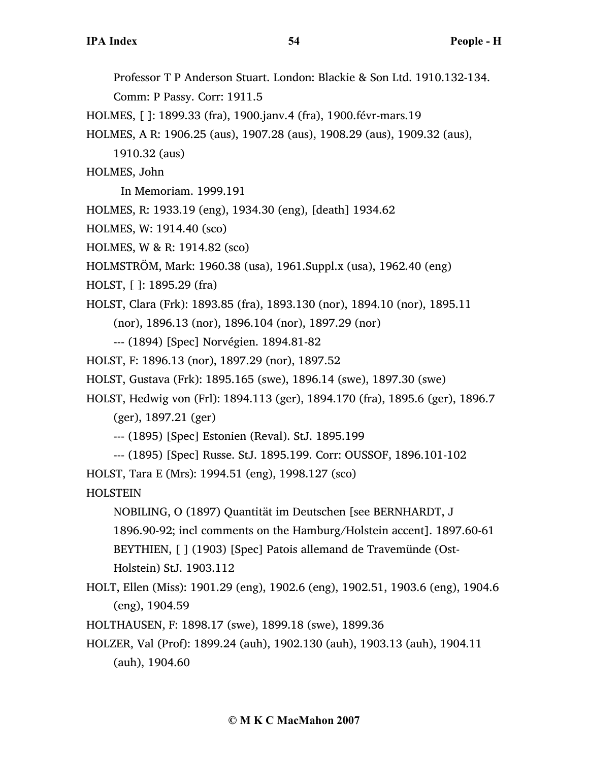Professor T P Anderson Stuart. London: Blackie & Son Ltd. 1910.132-134.

Comm: P Passy. Corr: 1911.5

HOLMES, [ ]: 1899.33 (fra), 1900.janv.4 (fra), 1900.févr-mars.19

HOLMES, A R: 1906.25 (aus), 1907.28 (aus), 1908.29 (aus), 1909.32 (aus),

1910.32 (aus)

HOLMES, John

In Memoriam. 1999.191

HOLMES, R: 1933.19 (eng), 1934.30 (eng), [death] 1934.62

HOLMES, W: 1914.40 (sco)

HOLMES, W & R: 1914.82 (sco)

HOLMSTRÖM, Mark: 1960.38 (usa), 1961.Suppl.x (usa), 1962.40 (eng)

HOLST, [ ]: 1895.29 (fra)

HOLST, Clara (Frk): 1893.85 (fra), 1893.130 (nor), 1894.10 (nor), 1895.11

(nor), 1896.13 (nor), 1896.104 (nor), 1897.29 (nor)

--- (1894) [Spec] Norvégien. 1894.81-82

HOLST, F: 1896.13 (nor), 1897.29 (nor), 1897.52

HOLST, Gustava (Frk): 1895.165 (swe), 1896.14 (swe), 1897.30 (swe)

HOLST, Hedwig von (Frl): 1894.113 (ger), 1894.170 (fra), 1895.6 (ger), 1896.7

(ger), 1897.21 (ger)

--- (1895) [Spec] Estonien (Reval). StJ. 1895.199

--- (1895) [Spec] Russe. StJ. 1895.199. Corr: OUSSOF, 1896.101-102

HOLST, Tara E (Mrs): 1994.51 (eng), 1998.127 (sco)

**HOLSTEIN** 

NOBILING, O (1897) Quantität im Deutschen [see BERNHARDT, J 1896.90-92; incl comments on the Hamburg/Holstein accent]. 1897.60-61 BEYTHIEN, [ ] (1903) [Spec] Patois allemand de Travemünde (Ost-Holstein) StJ. 1903.112

HOLT, Ellen (Miss): 1901.29 (eng), 1902.6 (eng), 1902.51, 1903.6 (eng), 1904.6 (eng), 1904.59

HOLTHAUSEN, F: 1898.17 (swe), 1899.18 (swe), 1899.36

HOLZER, Val (Prof): 1899.24 (auh), 1902.130 (auh), 1903.13 (auh), 1904.11 (auh), 1904.60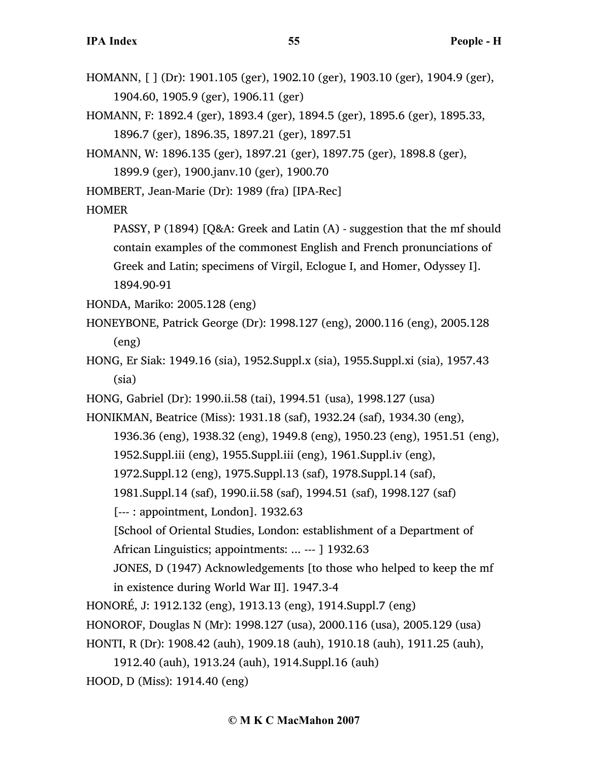- HOMANN, [ ] (Dr): 1901.105 (ger), 1902.10 (ger), 1903.10 (ger), 1904.9 (ger), 1904.60, 1905.9 (ger), 1906.11 (ger)
- HOMANN, F: 1892.4 (ger), 1893.4 (ger), 1894.5 (ger), 1895.6 (ger), 1895.33, 1896.7 (ger), 1896.35, 1897.21 (ger), 1897.51
- HOMANN, W: 1896.135 (ger), 1897.21 (ger), 1897.75 (ger), 1898.8 (ger),
	- 1899.9 (ger), 1900.janv.10 (ger), 1900.70
- HOMBERT, Jean-Marie (Dr): 1989 (fra) [IPA-Rec]
- HOMER

PASSY, P (1894) [Q&A: Greek and Latin (A) - suggestion that the mf should contain examples of the commonest English and French pronunciations of Greek and Latin; specimens of Virgil, Eclogue I, and Homer, Odyssey I]. 1894.90-91

HONDA, Mariko: 2005.128 (eng)

- HONEYBONE, Patrick George (Dr): 1998.127 (eng), 2000.116 (eng), 2005.128 (eng)
- HONG, Er Siak: 1949.16 (sia), 1952.Suppl.x (sia), 1955.Suppl.xi (sia), 1957.43 (sia)
- HONG, Gabriel (Dr): 1990.ii.58 (tai), 1994.51 (usa), 1998.127 (usa)

HONIKMAN, Beatrice (Miss): 1931.18 (saf), 1932.24 (saf), 1934.30 (eng),

- 1936.36 (eng), 1938.32 (eng), 1949.8 (eng), 1950.23 (eng), 1951.51 (eng),
	- 1952.Suppl.iii (eng), 1955.Suppl.iii (eng), 1961.Suppl.iv (eng),
	- 1972.Suppl.12 (eng), 1975.Suppl.13 (saf), 1978.Suppl.14 (saf),
	- 1981.Suppl.14 (saf), 1990.ii.58 (saf), 1994.51 (saf), 1998.127 (saf)
- [--- : appointment, London]. 1932.63
- [School of Oriental Studies, London: establishment of a Department of

African Linguistics; appointments: ... --- ] 1932.63

- JONES, D (1947) Acknowledgements [to those who helped to keep the mf in existence during World War II]. 1947.3-4
- HONORÉ, J: 1912.132 (eng), 1913.13 (eng), 1914.Suppl.7 (eng)
- HONOROF, Douglas N (Mr): 1998.127 (usa), 2000.116 (usa), 2005.129 (usa)
- HONTI, R (Dr): 1908.42 (auh), 1909.18 (auh), 1910.18 (auh), 1911.25 (auh),
	- 1912.40 (auh), 1913.24 (auh), 1914.Suppl.16 (auh)

HOOD, D (Miss): 1914.40 (eng)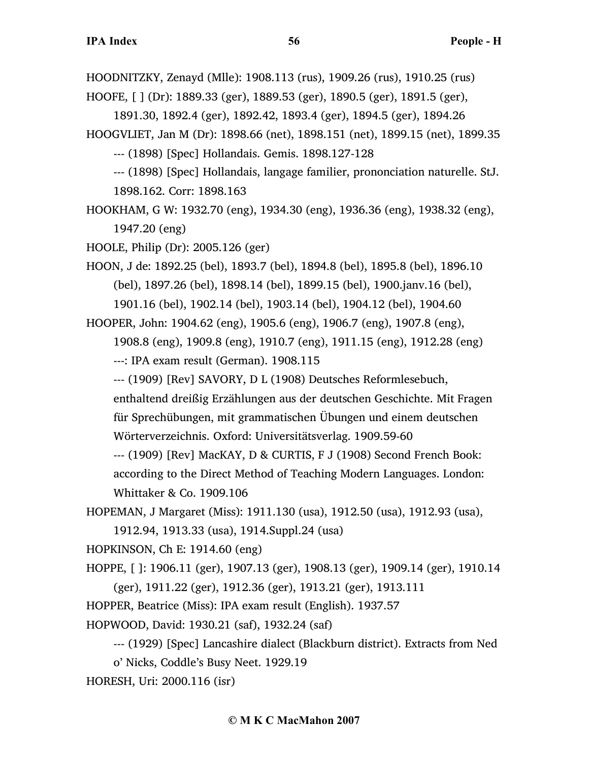HOODNITZKY, Zenayd (Mlle): 1908.113 (rus), 1909.26 (rus), 1910.25 (rus)

HOOFE, [ ] (Dr): 1889.33 (ger), 1889.53 (ger), 1890.5 (ger), 1891.5 (ger),

1891.30, 1892.4 (ger), 1892.42, 1893.4 (ger), 1894.5 (ger), 1894.26

HOOGVLIET, Jan M (Dr): 1898.66 (net), 1898.151 (net), 1899.15 (net), 1899.35

--- (1898) [Spec] Hollandais. Gemis. 1898.127-128

--- (1898) [Spec] Hollandais, langage familier, prononciation naturelle. StJ. 1898.162. Corr: 1898.163

HOOKHAM, G W: 1932.70 (eng), 1934.30 (eng), 1936.36 (eng), 1938.32 (eng), 1947.20 (eng)

HOOLE, Philip (Dr): 2005.126 (ger)

HOON, J de: 1892.25 (bel), 1893.7 (bel), 1894.8 (bel), 1895.8 (bel), 1896.10 (bel), 1897.26 (bel), 1898.14 (bel), 1899.15 (bel), 1900.janv.16 (bel), 1901.16 (bel), 1902.14 (bel), 1903.14 (bel), 1904.12 (bel), 1904.60

HOOPER, John: 1904.62 (eng), 1905.6 (eng), 1906.7 (eng), 1907.8 (eng),

1908.8 (eng), 1909.8 (eng), 1910.7 (eng), 1911.15 (eng), 1912.28 (eng) ---: IPA exam result (German). 1908.115

--- (1909) [Rev] SAVORY, D L (1908) Deutsches Reformlesebuch,

enthaltend dreißig Erzählungen aus der deutschen Geschichte. Mit Fragen für Sprechübungen, mit grammatischen Übungen und einem deutschen

Wörterverzeichnis. Oxford: Universitätsverlag. 1909.59-60

--- (1909) [Rev] MacKAY, D & CURTIS, F J (1908) Second French Book: according to the Direct Method of Teaching Modern Languages. London: Whittaker & Co. 1909.106

HOPEMAN, J Margaret (Miss): 1911.130 (usa), 1912.50 (usa), 1912.93 (usa), 1912.94, 1913.33 (usa), 1914.Suppl.24 (usa)

HOPKINSON, Ch E: 1914.60 (eng)

HOPPE, [ ]: 1906.11 (ger), 1907.13 (ger), 1908.13 (ger), 1909.14 (ger), 1910.14 (ger), 1911.22 (ger), 1912.36 (ger), 1913.21 (ger), 1913.111

HOPPER, Beatrice (Miss): IPA exam result (English). 1937.57

HOPWOOD, David: 1930.21 (saf), 1932.24 (saf)

--- (1929) [Spec] Lancashire dialect (Blackburn district). Extracts from Ned

o' Nicks, Coddle's Busy Neet. 1929.19

HORESH, Uri: 2000.116 (isr)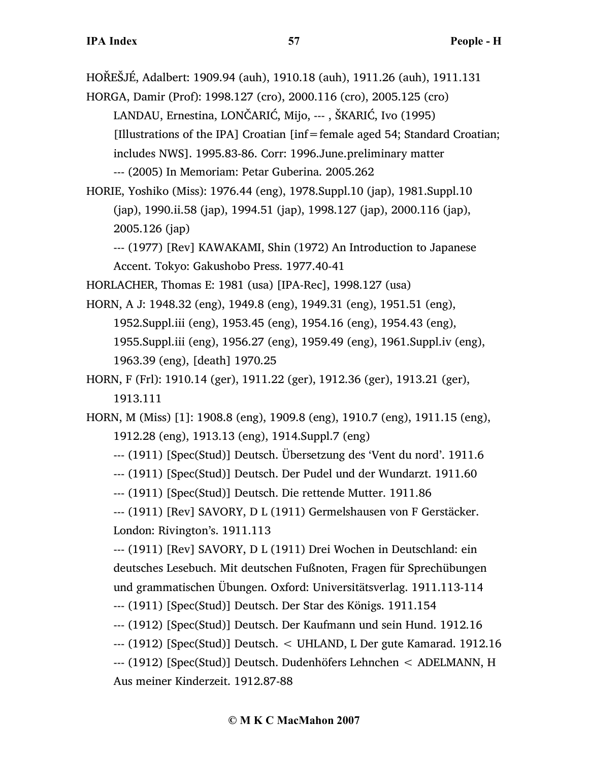HOŘEŠJÉ, Adalbert: 1909.94 (auh), 1910.18 (auh), 1911.26 (auh), 1911.131

HORGA, Damir (Prof): 1998.127 (cro), 2000.116 (cro), 2005.125 (cro) LANDAU, Ernestina, LONČARIĆ, Mijo, --- , ŠKARIĆ, Ivo (1995) [Illustrations of the IPA] Croatian [inf=female aged 54; Standard Croatian; includes NWS]. 1995.83-86. Corr: 1996.June.preliminary matter --- (2005) In Memoriam: Petar Guberina. 2005.262

HORIE, Yoshiko (Miss): 1976.44 (eng), 1978.Suppl.10 (jap), 1981.Suppl.10 (jap), 1990.ii.58 (jap), 1994.51 (jap), 1998.127 (jap), 2000.116 (jap), 2005.126 (jap)

--- (1977) [Rev] KAWAKAMI, Shin (1972) An Introduction to Japanese Accent. Tokyo: Gakushobo Press. 1977.40-41

HORLACHER, Thomas E: 1981 (usa) [IPA-Rec], 1998.127 (usa)

HORN, A J: 1948.32 (eng), 1949.8 (eng), 1949.31 (eng), 1951.51 (eng), 1952.Suppl.iii (eng), 1953.45 (eng), 1954.16 (eng), 1954.43 (eng), 1955.Suppl.iii (eng), 1956.27 (eng), 1959.49 (eng), 1961.Suppl.iv (eng), 1963.39 (eng), [death] 1970.25

HORN, F (Frl): 1910.14 (ger), 1911.22 (ger), 1912.36 (ger), 1913.21 (ger), 1913.111

HORN, M (Miss) [1]: 1908.8 (eng), 1909.8 (eng), 1910.7 (eng), 1911.15 (eng), 1912.28 (eng), 1913.13 (eng), 1914.Suppl.7 (eng)

--- (1911) [Spec(Stud)] Deutsch. Übersetzung des 'Vent du nord'. 1911.6

--- (1911) [Spec(Stud)] Deutsch. Der Pudel und der Wundarzt. 1911.60

--- (1911) [Spec(Stud)] Deutsch. Die rettende Mutter. 1911.86

--- (1911) [Rev] SAVORY, D L (1911) Germelshausen von F Gerstäcker. London: Rivington's. 1911.113

--- (1911) [Rev] SAVORY, D L (1911) Drei Wochen in Deutschland: ein deutsches Lesebuch. Mit deutschen Fußnoten, Fragen für Sprechübungen und grammatischen Übungen. Oxford: Universitätsverlag. 1911.113-114

--- (1911) [Spec(Stud)] Deutsch. Der Star des Königs. 1911.154

--- (1912) [Spec(Stud)] Deutsch. Der Kaufmann und sein Hund. 1912.16

--- (1912) [Spec(Stud)] Deutsch. < UHLAND, L Der gute Kamarad. 1912.16

--- (1912) [Spec(Stud)] Deutsch. Dudenhöfers Lehnchen < ADELMANN, H Aus meiner Kinderzeit. 1912.87-88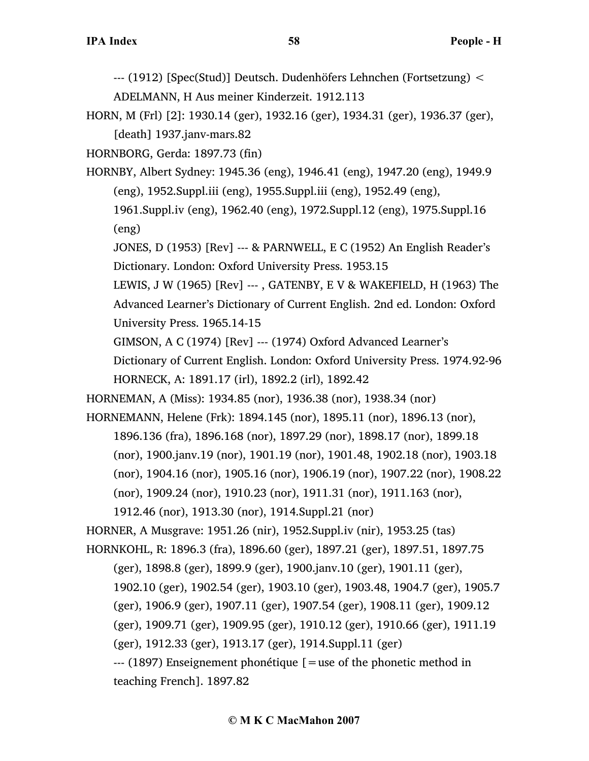- --- (1912) [Spec(Stud)] Deutsch. Dudenhöfers Lehnchen (Fortsetzung) < ADELMANN, H Aus meiner Kinderzeit. 1912.113
- HORN, M (Frl) [2]: 1930.14 (ger), 1932.16 (ger), 1934.31 (ger), 1936.37 (ger), [death] 1937.janv-mars.82

HORNBORG, Gerda: 1897.73 (fin)

- HORNBY, Albert Sydney: 1945.36 (eng), 1946.41 (eng), 1947.20 (eng), 1949.9 (eng), 1952.Suppl.iii (eng), 1955.Suppl.iii (eng), 1952.49 (eng),
	- 1961.Suppl.iv (eng), 1962.40 (eng), 1972.Suppl.12 (eng), 1975.Suppl.16 (eng)

JONES, D (1953) [Rev] --- & PARNWELL, E C (1952) An English Reader's Dictionary. London: Oxford University Press. 1953.15

LEWIS, J W (1965) [Rev] ---, GATENBY, E V & WAKEFIELD, H (1963) The Advanced Learner's Dictionary of Current English. 2nd ed. London: Oxford University Press. 1965.14-15

GIMSON, A C (1974) [Rev] --- (1974) Oxford Advanced Learner's

Dictionary of Current English. London: Oxford University Press. 1974.92-96 HORNECK, A: 1891.17 (irl), 1892.2 (irl), 1892.42

HORNEMAN, A (Miss): 1934.85 (nor), 1936.38 (nor), 1938.34 (nor)

HORNEMANN, Helene (Frk): 1894.145 (nor), 1895.11 (nor), 1896.13 (nor), 1896.136 (fra), 1896.168 (nor), 1897.29 (nor), 1898.17 (nor), 1899.18 (nor), 1900.janv.19 (nor), 1901.19 (nor), 1901.48, 1902.18 (nor), 1903.18 (nor), 1904.16 (nor), 1905.16 (nor), 1906.19 (nor), 1907.22 (nor), 1908.22 (nor), 1909.24 (nor), 1910.23 (nor), 1911.31 (nor), 1911.163 (nor),

1912.46 (nor), 1913.30 (nor), 1914.Suppl.21 (nor)

HORNER, A Musgrave: 1951.26 (nir), 1952.Suppl.iv (nir), 1953.25 (tas)

HORNKOHL, R: 1896.3 (fra), 1896.60 (ger), 1897.21 (ger), 1897.51, 1897.75

(ger), 1898.8 (ger), 1899.9 (ger), 1900.janv.10 (ger), 1901.11 (ger),

1902.10 (ger), 1902.54 (ger), 1903.10 (ger), 1903.48, 1904.7 (ger), 1905.7

(ger), 1906.9 (ger), 1907.11 (ger), 1907.54 (ger), 1908.11 (ger), 1909.12

(ger), 1909.71 (ger), 1909.95 (ger), 1910.12 (ger), 1910.66 (ger), 1911.19

(ger), 1912.33 (ger), 1913.17 (ger), 1914.Suppl.11 (ger)

 $-$ --- (1897) Enseignement phonétique  $\mathfrak{g}$  = use of the phonetic method in teaching French]. 1897.82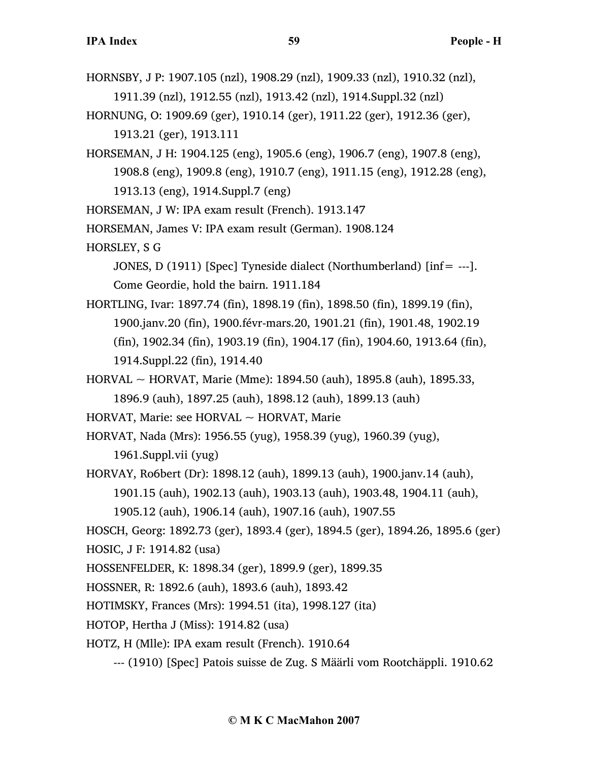- HORNSBY, J P: 1907.105 (nzl), 1908.29 (nzl), 1909.33 (nzl), 1910.32 (nzl), 1911.39 (nzl), 1912.55 (nzl), 1913.42 (nzl), 1914.Suppl.32 (nzl)
- HORNUNG, O: 1909.69 (ger), 1910.14 (ger), 1911.22 (ger), 1912.36 (ger), 1913.21 (ger), 1913.111
- HORSEMAN, J H: 1904.125 (eng), 1905.6 (eng), 1906.7 (eng), 1907.8 (eng), 1908.8 (eng), 1909.8 (eng), 1910.7 (eng), 1911.15 (eng), 1912.28 (eng), 1913.13 (eng), 1914.Suppl.7 (eng)
- HORSEMAN, J W: IPA exam result (French). 1913.147
- HORSEMAN, James V: IPA exam result (German). 1908.124
- HORSLEY, S G
	- JONES, D (1911) [Spec] Tyneside dialect (Northumberland) [inf= ---]. Come Geordie, hold the bairn. 1911.184
- HORTLING, Ivar: 1897.74 (fin), 1898.19 (fin), 1898.50 (fin), 1899.19 (fin), 1900.janv.20 (fin), 1900.févr-mars.20, 1901.21 (fin), 1901.48, 1902.19 (fin), 1902.34 (fin), 1903.19 (fin), 1904.17 (fin), 1904.60, 1913.64 (fin), 1914.Suppl.22 (fin), 1914.40
- HORVAL ~ HORVAT, Marie (Mme): 1894.50 (auh), 1895.8 (auh), 1895.33, 1896.9 (auh), 1897.25 (auh), 1898.12 (auh), 1899.13 (auh)
- HORVAT, Marie: see HORVAL ~ HORVAT, Marie
- HORVAT, Nada (Mrs): 1956.55 (yug), 1958.39 (yug), 1960.39 (yug), 1961.Suppl.vii (yug)
- HORVAY, Ro6bert (Dr): 1898.12 (auh), 1899.13 (auh), 1900.janv.14 (auh),
	- 1901.15 (auh), 1902.13 (auh), 1903.13 (auh), 1903.48, 1904.11 (auh),
	- 1905.12 (auh), 1906.14 (auh), 1907.16 (auh), 1907.55
- HOSCH, Georg: 1892.73 (ger), 1893.4 (ger), 1894.5 (ger), 1894.26, 1895.6 (ger)
- HOSIC, J F: 1914.82 (usa)
- HOSSENFELDER, K: 1898.34 (ger), 1899.9 (ger), 1899.35
- HOSSNER, R: 1892.6 (auh), 1893.6 (auh), 1893.42
- HOTIMSKY, Frances (Mrs): 1994.51 (ita), 1998.127 (ita)
- HOTOP, Hertha J (Miss): 1914.82 (usa)
- HOTZ, H (Mlle): IPA exam result (French). 1910.64
	- --- (1910) [Spec] Patois suisse de Zug. S Määrli vom Rootchäppli. 1910.62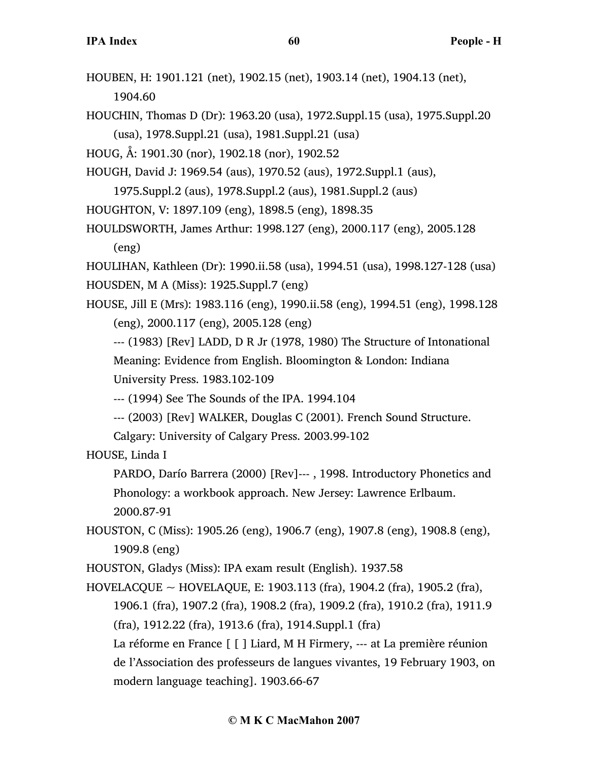- HOUBEN, H: 1901.121 (net), 1902.15 (net), 1903.14 (net), 1904.13 (net), 1904.60
- HOUCHIN, Thomas D (Dr): 1963.20 (usa), 1972.Suppl.15 (usa), 1975.Suppl.20 (usa), 1978.Suppl.21 (usa), 1981.Suppl.21 (usa)
- HOUG, Å: 1901.30 (nor), 1902.18 (nor), 1902.52
- HOUGH, David J: 1969.54 (aus), 1970.52 (aus), 1972.Suppl.1 (aus),
	- 1975.Suppl.2 (aus), 1978.Suppl.2 (aus), 1981.Suppl.2 (aus)
- HOUGHTON, V: 1897.109 (eng), 1898.5 (eng), 1898.35
- HOULDSWORTH, James Arthur: 1998.127 (eng), 2000.117 (eng), 2005.128 (eng)

HOULIHAN, Kathleen (Dr): 1990.ii.58 (usa), 1994.51 (usa), 1998.127-128 (usa) HOUSDEN, M A (Miss): 1925.Suppl.7 (eng)

- HOUSE, Jill E (Mrs): 1983.116 (eng), 1990.ii.58 (eng), 1994.51 (eng), 1998.128 (eng), 2000.117 (eng), 2005.128 (eng)
	- --- (1983) [Rev] LADD, D R Jr (1978, 1980) The Structure of Intonational Meaning: Evidence from English. Bloomington & London: Indiana University Press. 1983.102-109
	- --- (1994) See The Sounds of the IPA. 1994.104
	- --- (2003) [Rev] WALKER, Douglas C (2001). French Sound Structure.
	- Calgary: University of Calgary Press. 2003.99-102
- HOUSE, Linda I
	- PARDO, Darío Barrera (2000) [Rev]--- , 1998. Introductory Phonetics and Phonology: a workbook approach. New Jersey: Lawrence Erlbaum. 2000.87-91
- HOUSTON, C (Miss): 1905.26 (eng), 1906.7 (eng), 1907.8 (eng), 1908.8 (eng), 1909.8 (eng)

HOUSTON, Gladys (Miss): IPA exam result (English). 1937.58

HOVELACQUE ~ HOVELAQUE, E: 1903.113 (fra), 1904.2 (fra), 1905.2 (fra), 1906.1 (fra), 1907.2 (fra), 1908.2 (fra), 1909.2 (fra), 1910.2 (fra), 1911.9 (fra), 1912.22 (fra), 1913.6 (fra), 1914.Suppl.1 (fra)

La réforme en France [ [ ] Liard, M H Firmery, --- at La première réunion de l'Association des professeurs de langues vivantes, 19 February 1903, on modern language teaching]. 1903.66-67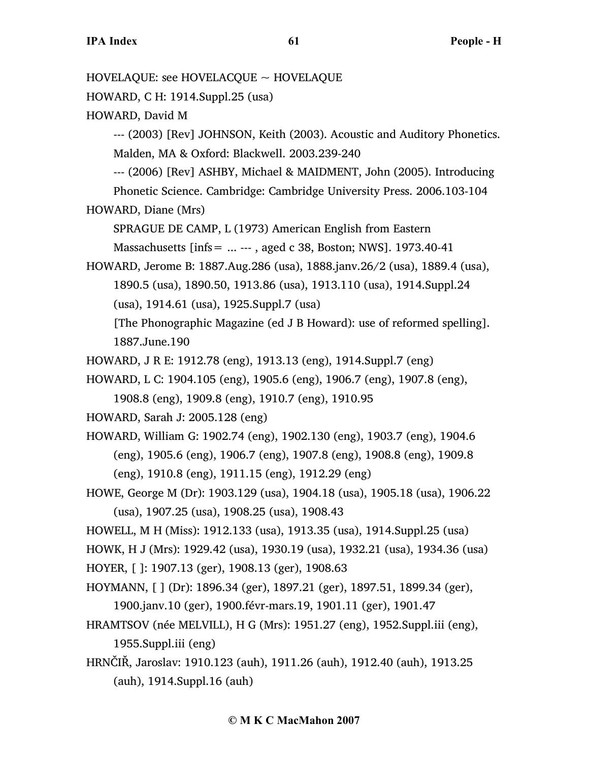HOVELAQUE: see HOVELACQUE ~ HOVELAQUE HOWARD, C H: 1914.Suppl.25 (usa) HOWARD, David M --- (2003) [Rev] JOHNSON, Keith (2003). Acoustic and Auditory Phonetics. Malden, MA & Oxford: Blackwell. 2003.239-240 --- (2006) [Rev] ASHBY, Michael & MAIDMENT, John (2005). Introducing Phonetic Science. Cambridge: Cambridge University Press. 2006.103-104 HOWARD, Diane (Mrs) SPRAGUE DE CAMP, L (1973) American English from Eastern Massachusetts [infs= ... --- , aged c 38, Boston; NWS]. 1973.40-41 HOWARD, Jerome B: 1887.Aug.286 (usa), 1888.janv.26/2 (usa), 1889.4 (usa), 1890.5 (usa), 1890.50, 1913.86 (usa), 1913.110 (usa), 1914.Suppl.24 (usa), 1914.61 (usa), 1925.Suppl.7 (usa) [The Phonographic Magazine (ed J B Howard): use of reformed spelling]. 1887.June.190 HOWARD, J R E: 1912.78 (eng), 1913.13 (eng), 1914.Suppl.7 (eng) HOWARD, L C: 1904.105 (eng), 1905.6 (eng), 1906.7 (eng), 1907.8 (eng), 1908.8 (eng), 1909.8 (eng), 1910.7 (eng), 1910.95 HOWARD, Sarah J: 2005.128 (eng) HOWARD, William G: 1902.74 (eng), 1902.130 (eng), 1903.7 (eng), 1904.6 (eng), 1905.6 (eng), 1906.7 (eng), 1907.8 (eng), 1908.8 (eng), 1909.8 (eng), 1910.8 (eng), 1911.15 (eng), 1912.29 (eng) HOWE, George M (Dr): 1903.129 (usa), 1904.18 (usa), 1905.18 (usa), 1906.22 (usa), 1907.25 (usa), 1908.25 (usa), 1908.43 HOWELL, M H (Miss): 1912.133 (usa), 1913.35 (usa), 1914.Suppl.25 (usa) HOWK, H J (Mrs): 1929.42 (usa), 1930.19 (usa), 1932.21 (usa), 1934.36 (usa) HOYER, [ ]: 1907.13 (ger), 1908.13 (ger), 1908.63 HOYMANN, [ ] (Dr): 1896.34 (ger), 1897.21 (ger), 1897.51, 1899.34 (ger), 1900.janv.10 (ger), 1900.févr-mars.19, 1901.11 (ger), 1901.47 HRAMTSOV (née MELVILL), H G (Mrs): 1951.27 (eng), 1952.Suppl.iii (eng), 1955.Suppl.iii (eng) HRNČIŘ, Jaroslav: 1910.123 (auh), 1911.26 (auh), 1912.40 (auh), 1913.25 (auh), 1914.Suppl.16 (auh)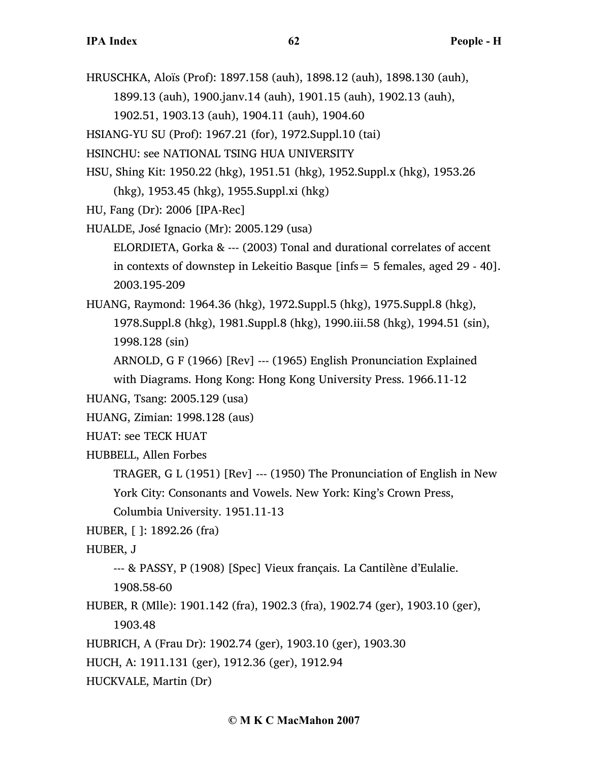HRUSCHKA, Aloïs (Prof): 1897.158 (auh), 1898.12 (auh), 1898.130 (auh),

1899.13 (auh), 1900.janv.14 (auh), 1901.15 (auh), 1902.13 (auh),

1902.51, 1903.13 (auh), 1904.11 (auh), 1904.60

HSIANG-YU SU (Prof): 1967.21 (for), 1972.Suppl.10 (tai)

HSINCHU: see NATIONAL TSING HUA UNIVERSITY

HSU, Shing Kit: 1950.22 (hkg), 1951.51 (hkg), 1952.Suppl.x (hkg), 1953.26 (hkg), 1953.45 (hkg), 1955.Suppl.xi (hkg)

HU, Fang (Dr): 2006 [IPA-Rec]

HUALDE, José Ignacio (Mr): 2005.129 (usa)

ELORDIETA, Gorka & --- (2003) Tonal and durational correlates of accent in contexts of downstep in Lekeitio Basque [infs= 5 females, aged 29 - 40]. 2003.195-209

HUANG, Raymond: 1964.36 (hkg), 1972.Suppl.5 (hkg), 1975.Suppl.8 (hkg), 1978.Suppl.8 (hkg), 1981.Suppl.8 (hkg), 1990.iii.58 (hkg), 1994.51 (sin), 1998.128 (sin)

ARNOLD, G F (1966) [Rev] --- (1965) English Pronunciation Explained

with Diagrams. Hong Kong: Hong Kong University Press. 1966.11-12

```
HUANG, Tsang: 2005.129 (usa)
```
HUANG, Zimian: 1998.128 (aus)

HUAT: see TECK HUAT

HUBBELL, Allen Forbes

TRAGER, G L (1951) [Rev] --- (1950) The Pronunciation of English in New York City: Consonants and Vowels. New York: King's Crown Press,

Columbia University. 1951.11-13

HUBER, [ ]: 1892.26 (fra)

HUBER, J

--- & PASSY, P (1908) [Spec] Vieux français. La Cantilène d'Eulalie.

1908.58-60

- HUBER, R (Mlle): 1901.142 (fra), 1902.3 (fra), 1902.74 (ger), 1903.10 (ger), 1903.48
- HUBRICH, A (Frau Dr): 1902.74 (ger), 1903.10 (ger), 1903.30
- HUCH, A: 1911.131 (ger), 1912.36 (ger), 1912.94
- HUCKVALE, Martin (Dr)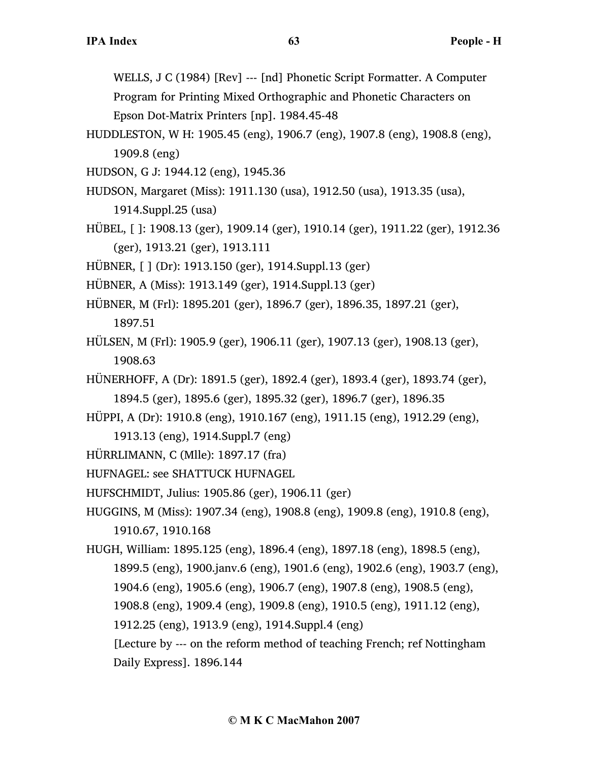WELLS, J C (1984) [Rev] --- [nd] Phonetic Script Formatter. A Computer

Program for Printing Mixed Orthographic and Phonetic Characters on Epson Dot-Matrix Printers [np]. 1984.45-48

HUDDLESTON, W H: 1905.45 (eng), 1906.7 (eng), 1907.8 (eng), 1908.8 (eng), 1909.8 (eng)

HUDSON, G J: 1944.12 (eng), 1945.36

HUDSON, Margaret (Miss): 1911.130 (usa), 1912.50 (usa), 1913.35 (usa),

1914.Suppl.25 (usa)

- HÜBEL, [ ]: 1908.13 (ger), 1909.14 (ger), 1910.14 (ger), 1911.22 (ger), 1912.36 (ger), 1913.21 (ger), 1913.111
- HÜBNER, [ ] (Dr): 1913.150 (ger), 1914.Suppl.13 (ger)
- HÜBNER, A (Miss): 1913.149 (ger), 1914.Suppl.13 (ger)
- HÜBNER, M (Frl): 1895.201 (ger), 1896.7 (ger), 1896.35, 1897.21 (ger), 1897.51
- HÜLSEN, M (Frl): 1905.9 (ger), 1906.11 (ger), 1907.13 (ger), 1908.13 (ger), 1908.63
- HÜNERHOFF, A (Dr): 1891.5 (ger), 1892.4 (ger), 1893.4 (ger), 1893.74 (ger), 1894.5 (ger), 1895.6 (ger), 1895.32 (ger), 1896.7 (ger), 1896.35
- HÜPPI, A (Dr): 1910.8 (eng), 1910.167 (eng), 1911.15 (eng), 1912.29 (eng),
	- 1913.13 (eng), 1914.Suppl.7 (eng)
- HÜRRLIMANN, C (Mlle): 1897.17 (fra)
- HUFNAGEL: see SHATTUCK HUFNAGEL
- HUFSCHMIDT, Julius: 1905.86 (ger), 1906.11 (ger)
- HUGGINS, M (Miss): 1907.34 (eng), 1908.8 (eng), 1909.8 (eng), 1910.8 (eng), 1910.67, 1910.168
- HUGH, William: 1895.125 (eng), 1896.4 (eng), 1897.18 (eng), 1898.5 (eng), 1899.5 (eng), 1900.janv.6 (eng), 1901.6 (eng), 1902.6 (eng), 1903.7 (eng), 1904.6 (eng), 1905.6 (eng), 1906.7 (eng), 1907.8 (eng), 1908.5 (eng), 1908.8 (eng), 1909.4 (eng), 1909.8 (eng), 1910.5 (eng), 1911.12 (eng),
	- 1912.25 (eng), 1913.9 (eng), 1914.Suppl.4 (eng)
	- [Lecture by --- on the reform method of teaching French; ref Nottingham Daily Express]. 1896.144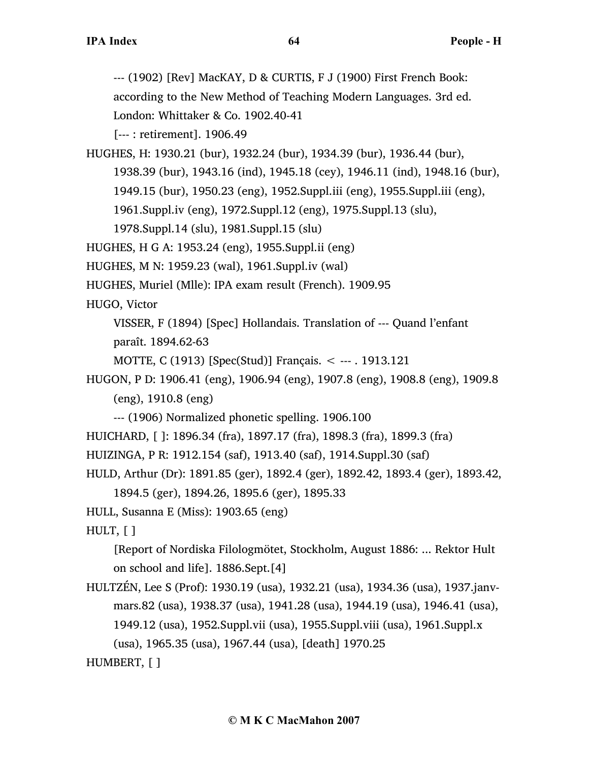--- (1902) [Rev] MacKAY, D & CURTIS, F J (1900) First French Book:

according to the New Method of Teaching Modern Languages. 3rd ed.

London: Whittaker & Co. 1902.40-41

[--- : retirement]. 1906.49

HUGHES, H: 1930.21 (bur), 1932.24 (bur), 1934.39 (bur), 1936.44 (bur), 1938.39 (bur), 1943.16 (ind), 1945.18 (cey), 1946.11 (ind), 1948.16 (bur), 1949.15 (bur), 1950.23 (eng), 1952.Suppl.iii (eng), 1955.Suppl.iii (eng), 1961.Suppl.iv (eng), 1972.Suppl.12 (eng), 1975.Suppl.13 (slu), 1978.Suppl.14 (slu), 1981.Suppl.15 (slu)

HUGHES, H G A: 1953.24 (eng), 1955.Suppl.ii (eng)

HUGHES, M N: 1959.23 (wal), 1961.Suppl.iv (wal)

HUGHES, Muriel (Mlle): IPA exam result (French). 1909.95

HUGO, Victor

VISSER, F (1894) [Spec] Hollandais. Translation of --- Quand l'enfant paraît. 1894.62-63

MOTTE, C (1913) [Spec(Stud)] Français. < --- . 1913.121

HUGON, P D: 1906.41 (eng), 1906.94 (eng), 1907.8 (eng), 1908.8 (eng), 1909.8 (eng), 1910.8 (eng)

--- (1906) Normalized phonetic spelling. 1906.100

HUICHARD, [ ]: 1896.34 (fra), 1897.17 (fra), 1898.3 (fra), 1899.3 (fra)

HUIZINGA, P R: 1912.154 (saf), 1913.40 (saf), 1914.Suppl.30 (saf)

HULD, Arthur (Dr): 1891.85 (ger), 1892.4 (ger), 1892.42, 1893.4 (ger), 1893.42, 1894.5 (ger), 1894.26, 1895.6 (ger), 1895.33

HULL, Susanna E (Miss): 1903.65 (eng)

HULT, [ ]

[Report of Nordiska Filologmötet, Stockholm, August 1886: ... Rektor Hult on school and life]. 1886.Sept.[4]

HULTZÉN, Lee S (Prof): 1930.19 (usa), 1932.21 (usa), 1934.36 (usa), 1937.janvmars.82 (usa), 1938.37 (usa), 1941.28 (usa), 1944.19 (usa), 1946.41 (usa), 1949.12 (usa), 1952.Suppl.vii (usa), 1955.Suppl.viii (usa), 1961.Suppl.x (usa), 1965.35 (usa), 1967.44 (usa), [death] 1970.25

HUMBERT, [ ]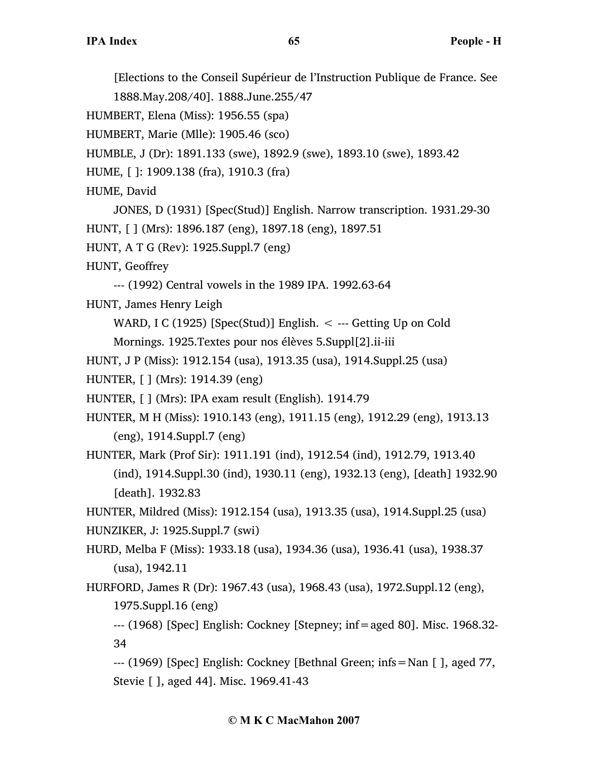[Elections to the Conseil Supérieur de l'Instruction Publique de France. See 1888.May.208/40]. 1888.June.255/47

HUMBERT, Elena (Miss): 1956.55 (spa)

HUMBERT, Marie (Mlle): 1905.46 (sco)

HUMBLE, J (Dr): 1891.133 (swe), 1892.9 (swe), 1893.10 (swe), 1893.42

HUME, [ ]: 1909.138 (fra), 1910.3 (fra)

HUME, David

JONES, D (1931) [Spec(Stud)] English. Narrow transcription. 1931.29-30 HUNT, [ ] (Mrs): 1896.187 (eng), 1897.18 (eng), 1897.51

HUNT, A T G (Rev): 1925.Suppl.7 (eng)

HUNT, Geoffrey

--- (1992) Central vowels in the 1989 IPA. 1992.63-64

HUNT, James Henry Leigh

WARD, I C (1925) [Spec(Stud)] English.  $\lt$  --- Getting Up on Cold

Mornings. 1925.Textes pour nos élèves 5.Suppl[2].ii-iii

HUNT, J P (Miss): 1912.154 (usa), 1913.35 (usa), 1914.Suppl.25 (usa)

HUNTER, [ ] (Mrs): 1914.39 (eng)

HUNTER, [ ] (Mrs): IPA exam result (English). 1914.79

HUNTER, M H (Miss): 1910.143 (eng), 1911.15 (eng), 1912.29 (eng), 1913.13 (eng), 1914.Suppl.7 (eng)

HUNTER, Mark (Prof Sir): 1911.191 (ind), 1912.54 (ind), 1912.79, 1913.40 (ind), 1914.Suppl.30 (ind), 1930.11 (eng), 1932.13 (eng), [death] 1932.90 [death]. 1932.83

HUNTER, Mildred (Miss): 1912.154 (usa), 1913.35 (usa), 1914.Suppl.25 (usa) HUNZIKER, J: 1925.Suppl.7 (swi)

HURD, Melba F (Miss): 1933.18 (usa), 1934.36 (usa), 1936.41 (usa), 1938.37 (usa), 1942.11

HURFORD, James R (Dr): 1967.43 (usa), 1968.43 (usa), 1972.Suppl.12 (eng), 1975.Suppl.16 (eng)

--- (1968) [Spec] English: Cockney [Stepney; inf=aged 80]. Misc. 1968.32- 34

--- (1969) [Spec] English: Cockney [Bethnal Green; infs=Nan [ ], aged 77, Stevie [ ], aged 44]. Misc. 1969.41-43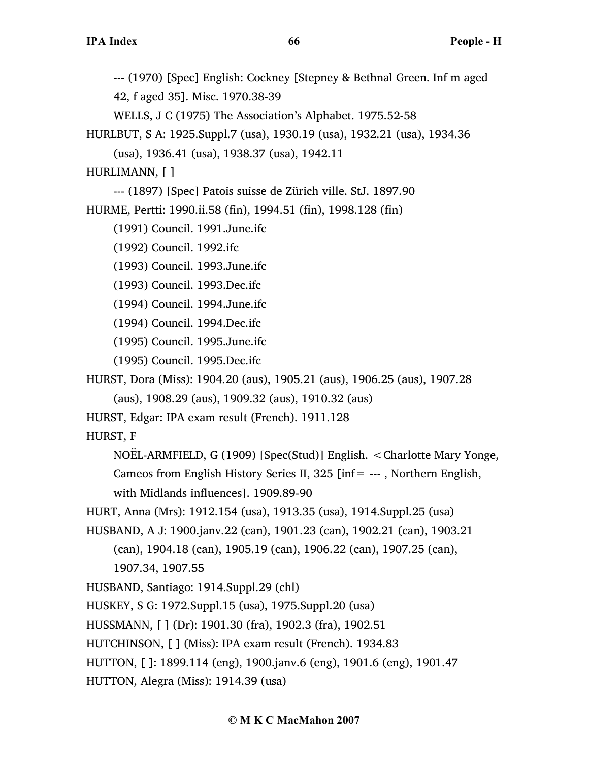--- (1970) [Spec] English: Cockney [Stepney & Bethnal Green. Inf m aged 42, f aged 35]. Misc. 1970.38-39 WELLS, J C (1975) The Association's Alphabet. 1975.52-58

HURLBUT, S A: 1925.Suppl.7 (usa), 1930.19 (usa), 1932.21 (usa), 1934.36 (usa), 1936.41 (usa), 1938.37 (usa), 1942.11

HURLIMANN, [ ]

--- (1897) [Spec] Patois suisse de Zürich ville. StJ. 1897.90

HURME, Pertti: 1990.ii.58 (fin), 1994.51 (fin), 1998.128 (fin)

(1991) Council. 1991.June.ifc

(1992) Council. 1992.ifc

(1993) Council. 1993.June.ifc

(1993) Council. 1993.Dec.ifc

(1994) Council. 1994.June.ifc

(1994) Council. 1994.Dec.ifc

(1995) Council. 1995.June.ifc

(1995) Council. 1995.Dec.ifc

HURST, Dora (Miss): 1904.20 (aus), 1905.21 (aus), 1906.25 (aus), 1907.28

(aus), 1908.29 (aus), 1909.32 (aus), 1910.32 (aus)

HURST, Edgar: IPA exam result (French). 1911.128

HURST, F

NOËL-ARMFIELD, G (1909) [Spec(Stud)] English. <Charlotte Mary Yonge, Cameos from English History Series II, 325 [inf= --- , Northern English, with Midlands influences]. 1909.89-90

HURT, Anna (Mrs): 1912.154 (usa), 1913.35 (usa), 1914.Suppl.25 (usa)

HUSBAND, A J: 1900.janv.22 (can), 1901.23 (can), 1902.21 (can), 1903.21 (can), 1904.18 (can), 1905.19 (can), 1906.22 (can), 1907.25 (can), 1907.34, 1907.55

HUSBAND, Santiago: 1914.Suppl.29 (chl)

HUSKEY, S G: 1972.Suppl.15 (usa), 1975.Suppl.20 (usa)

HUSSMANN, [ ] (Dr): 1901.30 (fra), 1902.3 (fra), 1902.51

HUTCHINSON, [ ] (Miss): IPA exam result (French). 1934.83

HUTTON, [ ]: 1899.114 (eng), 1900.janv.6 (eng), 1901.6 (eng), 1901.47

HUTTON, Alegra (Miss): 1914.39 (usa)